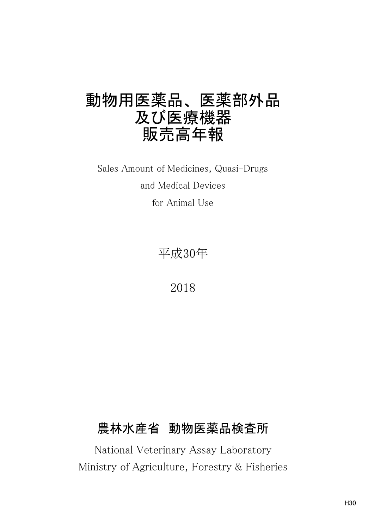# 動物用医薬品、 医薬部外品 及び医療機器 販売高年報

for Animal Use Sales Amount of Medicines, Quasi-Drugs and Medical Devices

平成30年

2018

## 農林水産省 動物医薬品検査所

National Veterinary Assay Laboratory Ministry of Agriculture, Forestry & Fisheries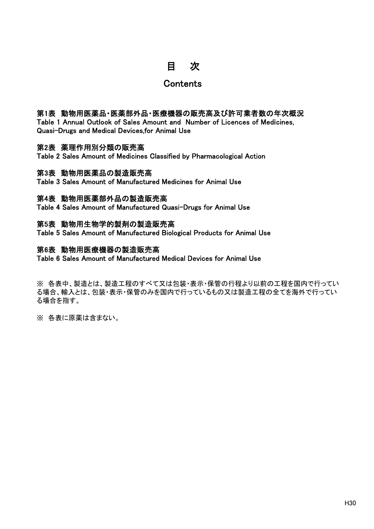## 目 次

## **Contents**

### 第1表 動物用医薬品・医薬部外品・医療機器の販売高及び許可業者数の年次概況

Table 1 Annual Outlook of Sales Amount and Number of Licences of Medicines, Quasi-Drugs and Medical Devices,for Animal Use

### 第2表 薬理作用別分類の販売高

Table 2 Sales Amount of Medicines Classified by Pharmacological Action

### 第3表 動物用医薬品の製造販売高

Table 3 Sales Amount of Manufactured Medicines for Animal Use

### 第4表 動物用医薬部外品の製造販売高

Table 4 Sales Amount of Manufactured Quasi-Drugs for Animal Use

### 第5表 動物用生物学的製剤の製造販売高

Table 5 Sales Amount of Manufactured Biological Products for Animal Use

### 第6表 動物用医療機器の製造販売高

Table 6 Sales Amount of Manufactured Medical Devices for Animal Use

※ 各表中、製造とは、製造工程のすべて又は包装・表示・保管の行程より以前の工程を国内で行ってい る場合、輸入とは、包装・表示・保管のみを国内で行っているもの又は製造工程の全てを海外で行ってい る場合を指す。

※ 各表に原薬は含まない。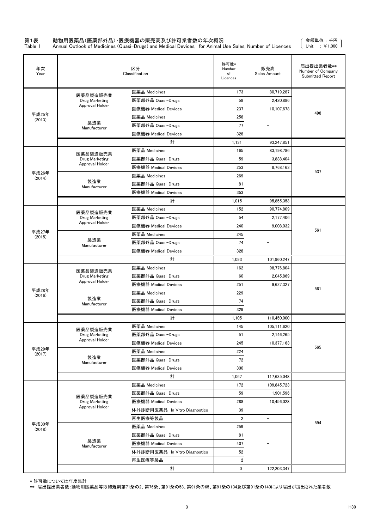## 第1表 動物用医薬品(医薬部外品)・医療機器の販売高及び許可業者数の年次概況<br>Table 1 Annual Outlook of Medicines (Quasi-Drugs) and Medical Devices, for Animal L

Table 1 Annual Outlook of Medicines (Quasi-Drugs) and Medical Devices, for Animal Use Sales, Number of Licences

金額単位 : 千円 Unit : ¥1,000

| 年次<br>Year      |                     | 区分<br>Classification          | 許可数*<br>Number<br>of<br>Licences | 販売高<br>Sales Amount      | 届出提出業者数**<br>Number of Company<br><b>Submitted Report</b> |
|-----------------|---------------------|-------------------------------|----------------------------------|--------------------------|-----------------------------------------------------------|
|                 | 医薬品製造販売業            | 医薬品 Medicines                 | 173                              | 80,719,287               |                                                           |
|                 | Drug Marketing      | 医薬部外品 Quasi-Drugs             | 58                               | 2,420,886                |                                                           |
|                 | Approval Holder     | 医療機器 Medical Devices          | 237                              | 10,107,678               | 498                                                       |
| 平成25年<br>(2013) |                     | 医薬品 Medicines                 | 258                              |                          |                                                           |
|                 | 製造業<br>Manufacturer | 医薬部外品 Quasi-Drugs             | 77                               |                          |                                                           |
|                 |                     | 医療機器 Medical Devices          | 328                              |                          |                                                           |
|                 |                     | 計                             | 1,131                            | 93,247,851               |                                                           |
|                 | 医薬品製造販売業            | 医薬品 Medicines                 | 165                              | 83,198,786               |                                                           |
|                 | Drug Marketing      | 医薬部外品 Quasi-Drugs             | 59                               | 3,888,404                |                                                           |
|                 | Approval Holder     | 医療機器 Medical Devices          | 253                              | 8,768,163                | 537                                                       |
| 平成26年<br>(2014) |                     | 医薬品 Medicines                 | 269                              |                          |                                                           |
|                 | 製造業<br>Manufacturer | 医薬部外品 Quasi-Drugs             | 81                               |                          |                                                           |
|                 |                     | 医療機器 Medical Devices          | 353                              |                          |                                                           |
|                 |                     | 計                             | 1,015                            | 95,855,353               |                                                           |
|                 | 医薬品製造販売業            | 医薬品 Medicines                 | 152                              | 90,774,809               |                                                           |
|                 | Drug Marketing      | 医薬部外品 Quasi-Drugs             | 54                               | 2.177.406                |                                                           |
|                 | Approval Holder     | 医療機器 Medical Devices          | 240                              | 9,008,032                | 561                                                       |
| 平成27年<br>(2015) |                     | 医薬品 Medicines                 | 245                              |                          |                                                           |
|                 | 製造業<br>Manufacturer | 医薬部外品 Quasi-Drugs             | 74                               |                          |                                                           |
|                 |                     | 医療機器 Medical Devices          | 328                              |                          |                                                           |
|                 |                     | 計                             | 1,093                            | 101,960,247              |                                                           |
|                 | 医薬品製造販売業            | 医薬品 Medicines                 | 162                              | 98,776,804               |                                                           |
|                 | Drug Marketing      | 医薬部外品 Quasi-Drugs             | 60                               | 2,045,869                |                                                           |
|                 | Approval Holder     | 医療機器 Medical Devices          | 251                              | 9,627,327                | 561                                                       |
| 平成28年<br>(2016) |                     | 医薬品 Medicines                 | 229                              |                          |                                                           |
|                 | 製浩業<br>Manufacturer | 医薬部外品 Quasi-Drugs             | 74                               |                          |                                                           |
|                 |                     | 医療機器 Medical Devices          | 329                              |                          |                                                           |
|                 |                     | 計                             | 1,105                            | 110,450,000              |                                                           |
|                 | 医薬品製造販売業            | 医薬品 Medicines                 | 145                              | 105,111,620              |                                                           |
|                 | Drug Marketing      | 医薬部外品 Quasi-Drugs             | 51                               | 2,146,265                |                                                           |
|                 | Approval Holder     | 医療機器 Medical Devices          | 245                              | 10,377,163               | 565                                                       |
| 平成29年<br>(2017) |                     | 医薬品 Medicines                 | 224                              |                          |                                                           |
|                 | 製造業<br>Manufacturer | 医薬部外品 Quasi-Drugs             | 72                               | $\overline{\phantom{a}}$ |                                                           |
|                 |                     | 医療機器 Medical Devices          | 330                              |                          |                                                           |
|                 |                     | 計                             | 1,067                            | 117,635,048              |                                                           |
|                 |                     | 医薬品 Medicines                 | 172                              | 109,845,723              |                                                           |
|                 | 医薬品製造販売業            | 医薬部外品 Quasi-Drugs             | 59                               | 1,901,596                |                                                           |
|                 | Drug Marketing      | 医療機器 Medical Devices          | 288                              | 10,456,028               |                                                           |
|                 | Approval Holder     | 体外診断用医薬品 In Vitro Diagnostics | 39                               | $\overline{a}$           |                                                           |
|                 |                     | 再生医療等製品                       | $\overline{2}$                   | $\overline{\phantom{a}}$ | 594                                                       |
| 平成30年<br>(2018) |                     | 医薬品 Medicines                 | 259                              |                          |                                                           |
|                 |                     | 医薬部外品 Quasi-Drugs             | 81                               |                          |                                                           |
|                 | 製造業<br>Manufacturer | 医療機器 Medical Devices          | 407                              |                          |                                                           |
|                 |                     | 体外診断用医薬品 In Vitro Diagnostics | 52                               |                          |                                                           |
|                 |                     | 再生医療等製品                       | $\overline{2}$                   |                          |                                                           |
|                 |                     | 計                             | 0                                | 122,203,347              |                                                           |

\* 許可数については年度集計

\*\* 届出提出業者数:動物用医薬品等取締規則第71条の2、第76条、第91条の58、第91条の65、第91条の134及び第91条の140により届出が提出された業者数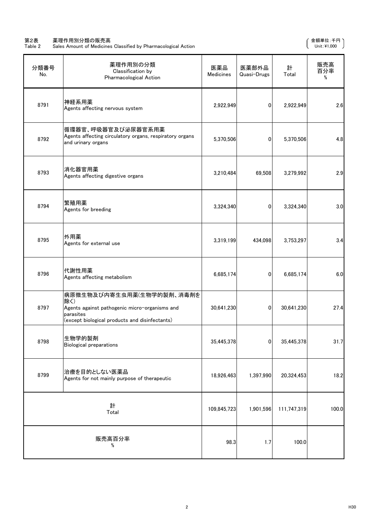#### 第2表 薬理作用別分類の販売高 さんじょう しょうしょう かんしょう かんしゅう かんしゅう かんしゅう かんきょう すいのい てんきゅう すいのえん

Table 2 Sales Amount of Medicines Classified by Pharmacological Action Unit:¥1,000

| 分類番号<br>No. | 薬理作用別の分類<br>Classification by<br>Pharmacological Action                                                                                          | 医薬品<br><b>Medicines</b> | 医薬部外品<br>Quasi-Drugs | 計<br>Total  | 販売高<br>百分率<br>% |
|-------------|--------------------------------------------------------------------------------------------------------------------------------------------------|-------------------------|----------------------|-------------|-----------------|
| 8791        | 神経系用薬<br>Agents affecting nervous system                                                                                                         | 2,922,949               | 0                    | 2,922,949   | 2.6             |
| 8792        | 循環器官、呼吸器官及び泌尿器官系用薬<br>Agents affecting circulatory organs, respiratory organs<br>and urinary organs                                              | 5,370,506               | $\mathbf{0}$         | 5,370,506   | 4.8             |
| 8793        | 消化器官用薬<br>Agents affecting digestive organs                                                                                                      | 3,210,484               | 69,508               | 3,279,992   | 2.9             |
| 8794        | 繁殖用薬<br>Agents for breeding                                                                                                                      | 3,324,340               | 0                    | 3,324,340   | 3.0             |
| 8795        | 外用薬<br>Agents for external use                                                                                                                   | 3,319,199               | 434,098              | 3,753,297   | 3.4             |
| 8796        | 代謝性用薬<br>Agents affecting metabolism                                                                                                             | 6,685,174               | $\mathbf{0}$         | 6,685,174   | 6.0             |
| 8797        | 病原微生物及び内寄生虫用薬(生物学的製剤、消毒剤を<br>除く)<br>Agents against pathogenic micro-organisms and<br>parasites<br>(except biological products and disinfectants) | 30,641,230              | $\mathbf{0}$         | 30,641,230  | 27.4            |
| 8798        | 生物学的製剤<br><b>Biological preparations</b>                                                                                                         | 35,445,378              | 0                    | 35,445,378  | 31.7            |
| 8799        | 治療を目的としない医薬品<br>Agents for not mainly purpose of therapeutic                                                                                     | 18,926,463              | 1,397,990            | 20,324,453  | 18.2            |
|             | 計<br>Total                                                                                                                                       | 109,845,723             | 1,901,596            | 111,747,319 | 100.0           |
|             | 販売高百分率<br>%                                                                                                                                      | 98.3                    | 1.7                  | 100.0       |                 |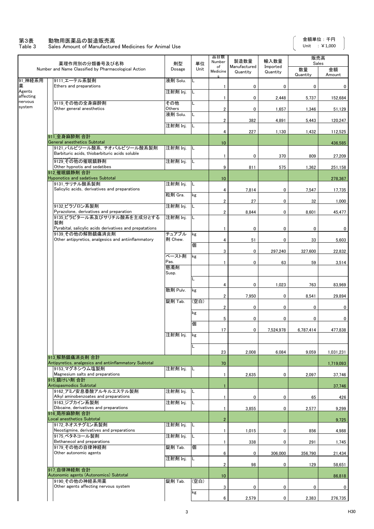#### 第3表 動物用医薬品の製造販売高

Table 3 Sales Amount of Manufactured Medicines for Animal Use

 $\overline{\phantom{a}}$ 

|                     | 薬理作用別の分類番号及び名称                                                                | 剤型               | 単位   | 品目数<br>Number           | 製造数量                     | 輸入数量                 | 販売高<br>Sales   |              |
|---------------------|-------------------------------------------------------------------------------|------------------|------|-------------------------|--------------------------|----------------------|----------------|--------------|
|                     | Number and Name Classified by Pharmacological Action                          | Dosage           | Unit | of<br>Medicine          | Manufactured<br>Quantity | Imported<br>Quantity | 数量<br>Quantity | 金額<br>Amount |
| 91_神経系用<br>薬        | 9111 エーテル系製剤<br>Ethers and preparations                                       | 液剤 Solu.         | L    | $\mathbf{1}$            | 0                        | 0                    | 0              | 0            |
| Agents<br>affecting |                                                                               | 注射剤 Inj.         | L    | 1                       | 0                        | 2,448                | 5,737          | 152,684      |
| nervous<br>system   | 9119 その他の全身麻酔剤<br>Other general anesthetics                                   | その他<br>Others    | L    | $\overline{\mathbf{c}}$ | 0                        | 1,657                | 1,346          | 51,129       |
|                     |                                                                               | 液剤 Solu.         | L    | $\overline{\mathbf{c}}$ | 382                      | 4,891                | 5,443          | 120,247      |
|                     |                                                                               | 注射剤 Inj.         | L    | 4                       | 227                      | 1,130                | 1,432          | 112,525      |
|                     | 911 全身麻酔剤 合計<br><b>General anesthetics Subtotal</b>                           |                  |      | 10                      |                          |                      |                | 436,585      |
|                     | 9121 バルビツール酸系. チオバルビツール酸系製剤<br>Barbituric acids, thiobarbituric acids soluble | 注射剤 Inj.         | L    | 1                       | 0                        | 370                  | 809            | 27,209       |
|                     | 9129 その他の催眠鎮静剤<br>Other hypnotis and sedatibes                                | 注射剤 Inj.         | L    | 9                       | 811                      | 575                  | 1,362          | 251,158      |
|                     | 912 催眠鎮静剤 合計<br><b>Hyponotics and sadatives Subtotal</b>                      |                  |      |                         |                          |                      |                |              |
|                     | 9131 サリチル酸系製剤                                                                 | 注射剤 Inj.         | L    | 10                      |                          |                      |                | 278,367      |
|                     | Salicylic acids, derivatives and preparations                                 | 粒剤 Gra.          | kg   | 4                       | 7,814                    | 0                    | 7,547          | 17,735       |
|                     |                                                                               |                  |      | 2                       | 27                       | 0                    | 32             | 1,000        |
|                     | 9132 ビラゾロン系製剤<br>Pyrazolone, derivatives and preparation                      | 注射剤 Inj.         | L    | $\overline{\mathbf{2}}$ | 8,844                    | $\mathbf 0$          | 8,601          | 45.477       |
|                     | 9135 ビラビタール系及びサリチル酸系を主成分とする<br>製剤                                             | 注射剤 Inj.         |      |                         |                          |                      |                |              |
|                     | Pyrabital, salicylic acids derivatives and prepatations                       |                  |      | $\mathbf{1}$            | 0                        | 0                    | 0              | 0            |
|                     | 9139 その他の解熱鎮痛消炎剤<br>Other antipyretics, analgesics and antiinflammatory       | チュアブル<br>剤 Chew. | kg   | 4                       | 51                       | 0                    | 33             | 5,603        |
|                     |                                                                               |                  | 個    | 3                       | 0                        | 297,240              | 327,600        | 22,832       |
|                     |                                                                               | ペースト剤<br>Pas.    | kg   |                         |                          |                      |                |              |
|                     |                                                                               | 懸濁剤              |      | 1                       | 0                        | 63                   | 59             | 3,514        |
|                     |                                                                               | Susp.            | L    |                         |                          |                      |                |              |
|                     |                                                                               | 散剤 Pulv.         | kg   | 4                       | 0                        | 1,023                | 763            | 83,969       |
|                     |                                                                               | 錠剤 Tab.          | (空白) | $\overline{\mathbf{c}}$ | 7,950                    | 0                    | 8,541          | 29,894       |
|                     |                                                                               |                  |      | $\overline{\mathbf{c}}$ | 0                        | 0                    | 0              | 0            |
|                     |                                                                               |                  | kg   | 5                       | 0                        | 0                    | 0              | 0            |
|                     |                                                                               |                  | 個    | 17                      | 0                        | 7,524,978            | 6,787,414      | 477,838      |
|                     |                                                                               | 注射剤 Inj.         | kg   |                         |                          |                      |                |              |
|                     |                                                                               |                  | L    |                         |                          |                      |                |              |
|                     | 913 解熱鎮痛消炎剤 合計                                                                |                  |      | 23                      | 2,008                    | 6,084                | 9,059          | 1,031,231    |
|                     | Antipyretics, analgesics and antiinflammatory Subtotal<br> 9153 マグネシウム塩製剤     | 注射剤 Inj.         | IL   | 70                      |                          |                      |                | 1,719,093    |
|                     | Magnesium salts and preparations<br> 915 鎮けい剤 合計                              |                  |      | $\mathbf{1}$            | 2,635                    | 0                    | 2,097          | 37,746       |
|                     | Antispasmodics Subtotal                                                       |                  |      | 1                       |                          |                      |                | 37,746       |
|                     | 9162 アミノ安息香酸アルキルエステル製剤<br>Alkyl aminobenzoates and preparations               | 注射剤 Inj.         | IL   | 1                       | 0                        | 0                    | 65             | 426          |
|                     | 9163 ジブカイン系製剤<br>Dibcaine, derivatives and preparations                       | 注射剤 Inj.         | L    |                         |                          |                      |                |              |
|                     | 916 局所麻酔剤 合計                                                                  |                  |      | 1                       | 3,855                    | 0                    | 2,577          | 9,299        |
|                     | Local anesthetics Subtotal<br>9172 ネオスチグミン系製剤                                 | 注射剤 Inj.         | L    | $\overline{2}$          |                          |                      |                | 9,725        |
|                     | Neostigmine, derivatives and preparations                                     |                  |      | 1                       | 1,015                    | 0                    | 856            | 4,988        |
|                     | 9175 ベタネコール製剤<br>Bethanecol and preparations                                  | 注射剤 Inj.         | L    | $\mathbf{1}$            | 338                      | 0                    | 291            | 1,745        |
|                     | 9179 その他の自律神経剤<br>Other autonomic agents                                      | 錠剤 Tab.          | 個    | 6                       | 0                        | 306,000              | 356,790        | 21,434       |
|                     |                                                                               | 注射剤 Inj.         | L    | 2                       | 98                       | 0                    | 129            | 58,651       |
|                     | 917 自律神経剤 合計                                                                  |                  |      |                         |                          |                      |                |              |
|                     | Autonomic agents (Autonomics) Subtotal<br>9190 その他の神経系用薬                      | 錠剤 Tab.          | 空白)  | 10                      |                          |                      |                | 86,818       |
|                     | Other agents affecting nervous system                                         |                  | kg   | 3                       | 0                        | 0                    | 0              | 0            |
|                     |                                                                               |                  |      | 6                       | 2,579                    | 0                    | 2,383          | 276,735      |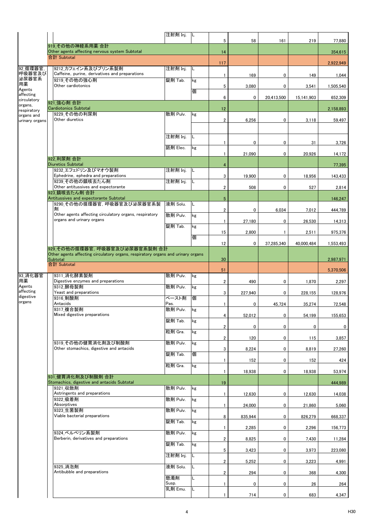|                           |                                                                                              | 注射剤 Inj.         | IL. |                         |              |                |            |           |
|---------------------------|----------------------------------------------------------------------------------------------|------------------|-----|-------------------------|--------------|----------------|------------|-----------|
|                           | 919 その他の神経系用薬 合計                                                                             |                  |     | 5                       | 58           | 161            | 219        | 77,880    |
|                           | Other agents affecting nervous system Subtotal                                               |                  |     | 14                      |              |                |            | 354,615   |
|                           | 合計 Subtotal                                                                                  |                  |     | 117                     |              |                |            | 2,922,949 |
| 92 循環器官<br>呼吸器官及び         | 9212 カフェイン系及びプリン系製剤<br>Caffeine, purine, derivatives and preparations                        | 注射剤 Inj.         | IL  |                         |              |                |            |           |
| 泌尿器官系                     | 9219 その他の強心剤                                                                                 | 錠剤 Tab.          | kg  | 1                       | 169          | 0              | 149        | 1,044     |
| 用薬<br>Agents              | Other cardiotonics                                                                           |                  | 個   | 5                       | 3,080        | 0              | 3,541      | 1,505,540 |
| affecting<br>circulatory  |                                                                                              |                  |     | 6                       | 0            | 20,413,500     | 15,141,903 | 652,309   |
| organs,                   | 921 強心剤 合計<br><b>Cardiotonics Subtotal</b>                                                   |                  |     |                         |              |                |            |           |
| respiratory<br>organs and | 9229 その他の利尿剤                                                                                 | 散剤 Pulv.         | kg  | 12                      |              |                |            | 2,158,893 |
| urinary organs            | Other diuretics                                                                              |                  |     | $\overline{\mathbf{2}}$ | 6,256        | 0              | 3,118      | 59.497    |
|                           |                                                                                              |                  |     |                         |              |                |            |           |
|                           |                                                                                              | 注射剤 Inj.         |     | $\mathbf{1}$            | $\mathbf{0}$ | 0              | 31         | 3,726     |
|                           |                                                                                              | 舐剤 Elec.         | kg  |                         |              |                |            |           |
|                           | 922 利尿剤 合計                                                                                   |                  |     | 1                       | 21,090       | 0              | 20,926     | 14,172    |
|                           | <b>Diuretics Subtotal</b>                                                                    |                  |     | 4                       |              |                |            | 77,395    |
|                           | 9232 エフェドリン及びマオウ製剤<br>Ephedrine, ephedra and preparations                                    | 注射剤 Inj.         | IL  | 3                       | 19,900       | 0              | 18,956     | 143,433   |
|                           | 9239 その他の鎮咳去たん剤                                                                              | 注射剤 Inj.         | L   |                         |              |                |            |           |
|                           | Other antitussives and expectorante<br>923 鎮咳去たん剤 合計                                         |                  |     | $\overline{\mathbf{2}}$ | 508          | 0              | 527        | 2,814     |
|                           | Antitussives and expectorante Subtotal                                                       |                  |     | $\sqrt{5}$              |              |                |            | 146,247   |
|                           | 9290 その他の循環器官, 呼吸器官及び泌尿器官系製<br>剤                                                             | 液剤 Solu.         | L   | $\boldsymbol{2}$        | 0            | 6,034          | 7,012      | 444,789   |
|                           | Other agents affecting circulatory organs, respiratory                                       | 散剤 Pulv.         | kg  |                         |              |                |            |           |
|                           | organs and urinary organs                                                                    | 錠剤 Tab.          | kg  | $\mathbf{1}$            | 27,180       | 0              | 26,530     | 14,313    |
|                           |                                                                                              |                  |     | 15                      | 2,800        | 1              | 2,511      | 975,376   |
|                           |                                                                                              |                  | 個   | 12                      | 0            | 37,285,340     | 40,000,484 | 1,553,493 |
|                           | 929 その他の循環器官. 呼吸器官及び泌尿器官系製剤 合計                                                               |                  |     |                         |              |                |            |           |
|                           | Other agents affecting circulatory organs, respiratory organs and urinary organs<br>Subtotal |                  |     | 30                      |              |                |            | 2,987,971 |
|                           | 合計 Subtotal                                                                                  |                  |     |                         |              |                |            |           |
| 93 消化器官                   | 9311 消化酵素製剤                                                                                  | 散剤 Pulv.         | kg  | 51                      |              |                |            | 5,370,506 |
| 用薬<br>Agents              | Digestive enzymes and preparations                                                           | 散剤 Pulv.         |     | $\overline{\mathbf{2}}$ | 490          | 0              | 1,870      | 2,297     |
| affecting                 | 9312 酵母製剤<br>Yeast and preparations                                                          |                  | kg  | 3                       | 227,940      | 0              | 228,155    | 128,976   |
| digestive                 |                                                                                              |                  |     |                         |              |                |            |           |
|                           | 9316 制酸剤                                                                                     | ペースト剤            | 個   |                         |              |                |            |           |
| organs                    | Antacids<br>9317 複合製剤                                                                        | Pas.<br>散剤 Pulv. | kg  | $\mathbf{1}$            | 0            | 45,724         | 35,274     | 72,548    |
|                           | Mixed digestive preparations                                                                 |                  |     | 4                       | 52,012       | $\overline{0}$ | 54,199     | 155,653   |
|                           |                                                                                              | 錠剤 Tab.          | kg  | 2                       | 0            | 0              | 0          | 0         |
|                           |                                                                                              | 粒剤 Gra.          | kg  |                         |              |                |            |           |
|                           | 9319 その他の健胃消化剤及び制酸剤                                                                          | 散剤 Pulv.         | kg  | 2                       | 120          | 0              | 115        | 3,857     |
|                           | Other stomachics, digestive and antacids                                                     |                  |     | 3                       | 8,224        | 0              | 8,819      | 27,260    |
|                           |                                                                                              | 錠剤 Tab.          | 個   | $\mathbf{1}$            | 152          | 0              | 152        | 424       |
|                           |                                                                                              | 粒剤 Gra.          | kg  |                         |              |                |            |           |
|                           | 931 健胃消化剤及び制酸剤 合計                                                                            |                  |     | 1                       | 18,938       | 0              | 18,938     | 53,974    |
|                           | Stomachics, digestive and antacids Subtotal<br>9321 収斂剤                                      |                  |     | 19                      |              |                |            | 444,989   |
|                           | Astringents and preparations                                                                 | 散剤 Pulv.         | kg  | 1                       | 12,630       | 0              | 12,630     | 14,038    |
|                           | 9322 吸着剤<br>Absorptives                                                                      | 散剤 Pulv.         | kg  |                         |              |                |            |           |
|                           | 9323 生菌製剤                                                                                    | 散剤 Pulv.         | kg  | $\mathbf{1}$            | 24,000       | 0              | 21,860     | 5,060     |
|                           | Viable bacterial preparations                                                                | 錠剤 Tab.          |     | 8                       | 835,944      | 0              | 826,279    | 668,337   |
|                           |                                                                                              |                  | kg  | 1                       | 2,285        | 0              | 2.296      | 156,773   |
|                           | 9324 ベルベリン系製剤<br>Berberin, derivatives and preparations                                      | 散剤 Pulv.         | kg  |                         |              |                |            |           |
|                           |                                                                                              | 錠剤 Tab.          | kg  | 2                       | 8,825        | 0              | 7,430      | 11,284    |
|                           |                                                                                              | 注射剤 Inj.         | L   | 5                       | 3,423        | 0              | 3,973      | 223,080   |
|                           |                                                                                              |                  |     | $\overline{2}$          | 5,252        | 0              | 3,223      | 4,991     |
|                           | 9325_消泡剤<br>Antibubble and preparations                                                      | 液剤 Solu.         | L   | 2                       | 294          | 0              | 368        | 4,300     |
|                           |                                                                                              | 懸濁剤              | L   |                         |              |                |            |           |
|                           |                                                                                              | Susp.<br>乳剤 Emu. | L   | 1                       | 0            | 0              | 26         | 264       |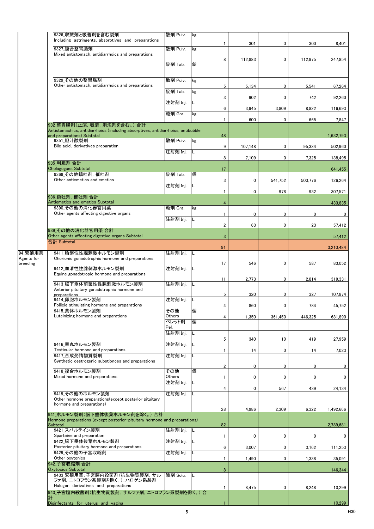|            | 9326_収斂剤と吸着剤を含む製剤<br>Including astringents, absorptives and preparations                                        | 散剤 Pulv.         | kg  | 1              | 301     | 0       | 300     | 8,401     |
|------------|-----------------------------------------------------------------------------------------------------------------|------------------|-----|----------------|---------|---------|---------|-----------|
|            | 9327 複合整胃腸剤<br>Mixed antistomach, antidiarrhoics and preparations                                               | 散剤 Pulv.         | kg  |                |         |         |         |           |
|            |                                                                                                                 | 錠剤 Tab.          | 錠   | 8              | 112,883 | 0       | 112,975 | 247,854   |
|            |                                                                                                                 |                  |     |                |         |         |         |           |
|            | 9329 その他の整胃腸剤<br>Other antistomach, antidiarrhoics and preparations                                             | 散剤 Pulv.         | kg  | 5              | 5,134   | 0       | 5,541   | 67,264    |
|            |                                                                                                                 | 錠剤 Tab.          | kg  |                |         |         |         |           |
|            |                                                                                                                 | 注射剤 Inj.         | L   | 3              | 902     | 0       | 742     | 92.260    |
|            |                                                                                                                 | 粒剤 Gra.          | kg  | 6              | 3,945   | 3,809   | 8,822   | 116,693   |
|            | 932 整胃腸剤(止瀉, 吸着, 消泡剤を含む。) 合計                                                                                    |                  |     | 1              | 600     | 0       | 665     | 7,847     |
|            | Antistomachics, antidiarrhoics (including absorptives, antidiarrhoics, antibubble<br>and preparations) Subtotal |                  |     | 48             |         |         |         | 1,632,793 |
|            | 9351 胆汁酸製剤<br>Bile acid, derivatives preparation                                                                | 散剤 Pulv.         | kg  | 9              | 107,148 | 0       | 95,334  | 502,960   |
|            |                                                                                                                 | 注射剤 Inj.         | L   | 8              | 7,109   | 0       | 7,325   | 138,495   |
|            | 935 利胆剤 合計<br><b>Cholagogues Subtotal</b>                                                                       |                  |     | 17             |         |         |         | 641,455   |
|            | 9369 その他鎮吐剤, 催吐剤<br>Other antiemetics and emetics                                                               | 錠剤 Tab.          | 個   | 3              | 0       | 541,752 | 500,776 | 126,264   |
|            |                                                                                                                 | 注射剤 Inj.         | L   | 1              | 0       | 978     | 932     | 307,571   |
|            | 936 鎮吐剤. 催吐剤 合計<br>Antiemetics and emetics Subtotal                                                             |                  |     |                |         |         |         |           |
|            | 9390 その他の消化器官用薬                                                                                                 | 粒剤 Gra.          | kg  | $\overline{4}$ |         |         |         | 433,835   |
|            | Other agents affecting digestive organs                                                                         | 注射剤 Inj.         | L   | $\mathbf{1}$   | 0       | 0       | 0       | 0         |
|            | 939 その他の消化器官用薬 合計                                                                                               |                  |     | 2              | 63      | 0       | 23      | 57,412    |
|            | Other agents affecting digestive organs Subtotal<br>合計 Subtotal                                                 |                  |     | $\mathbf{3}$   |         |         |         | 57,412    |
| 94 繁殖用薬    | 9411 胎盤性性腺刺激ホルモン製剤                                                                                              | 注射剤 Inj.         |     | 91             |         |         |         | 3,210,484 |
| Agents for | Chorionic gonadotrophic hormone and preparations                                                                |                  | -lL | 17             | 546     | 0       | 587     |           |
| breeding   | 9412 血清性性腺刺激ホルモン製剤<br>Equine gonadotropic hormone and preparations                                              | 注射剤 Inj.         | L   |                |         |         |         | 83,052    |
|            | 9413 脳下垂体前葉性性腺刺激ホルモン製剤                                                                                          | 注射剤 Inj.         | L   | 11             | 2,773   | 0       | 2,814   | 319,331   |
|            | Anterior pituitary gonadotrophic hormone and<br>preparations                                                    |                  |     | 5              | 320     | 0       | 327     | 107,874   |
|            | 9414 卵胞ホルモン製剤<br>Follicle stimulating hormone and preparations                                                  | 注射剤 Inj.         | L   | 4              | 860     | 0       | 784     |           |
|            | 9415_黄体ホルモン製剤<br>Luteinizing hormone and preparations                                                           | その他<br>Others    | 個   |                |         |         |         | 45,752    |
|            |                                                                                                                 | ペレット剤            | 個   | 4              | 1,350   | 361,450 | 446,325 | 681,890   |
|            |                                                                                                                 | Pel.<br>注射剤 Inj. | L   |                |         |         |         |           |
|            | 9416 睾丸ホルモン製剤                                                                                                   | 注射剤 Inj.         | L   | 5              | 340     | 10      | 419     | 27,959    |
|            | Testicular hormone and preparations<br>9417 合成発情物質製剤                                                            | 注射剤 Inj.         | L   | $\mathbf{1}$   | 14      | 0       | 14      | 7,023     |
|            | Synthetic oestrogenic substionces and preparations                                                              |                  |     | 2              | 0       | 0       | 0       | 0         |
|            | 9418 複合ホルモン製剤<br>Mixed hormone and preparations                                                                 | その他<br>Others    | 個   | 1              | 0       | 0       | 0       | 0         |
|            |                                                                                                                 | 注射剤 Inj.         | L   | 4              | 0       | 567     | 439     | 24,134    |
|            | 9419 その他のホルモン製剤<br>Other hormone preparations (except posterior pituitary                                       | 注射剤 Inj.         | L   |                |         |         |         |           |
|            | hormone and preparations)                                                                                       |                  |     | 28             | 4,986   | 2,309   | 6,322   | 1,492,666 |
|            | 941 ホルモン製剤(脳下垂体後葉ホルモン剤を除く。) 合計<br>Hormone preparations (except posterior-pituitary hormone and preparations)    |                  |     |                |         |         |         |           |
|            | Subtotal<br>9421 スパルテイン製剤                                                                                       | 注射剤 Inj.         | IL. | 82             |         |         |         | 2,789,681 |
|            | Sparteine and preparation<br>9422 脳下垂体後葉ホルモン製剤                                                                  | 注射剤 Inj.         | IL. | $\mathbf{1}$   | 0       | 0       | 0       | 0         |
|            | Posterior pituitary hormone and preparations<br>9429 その他の子宮収縮剤                                                  |                  | IL. | 6              | 3,007   | 0       | 3,162   | 111,253   |
|            | Other oxytonics                                                                                                 | 注射剤 Inj.         |     | $\mathbf{1}$   | 1,490   | 0       | 1,338   | 35,091    |
|            | 942 子宮収縮剤 合計<br><b>Oxytocics Subtotal</b>                                                                       |                  |     | 8              |         |         |         | 146.344   |
|            | 9433 繁殖用薬:子宮膣内殺菌剤(抗生物質製剤. サル<br>ファ剤, ニトロフラン系製剤を除く。):ハロゲン系製剤                                                     | 液剤 Solu.         | IL. |                |         |         |         |           |
|            | Halogen derivatives and preparations<br>943 子宮膣内殺菌剤(抗生物質製剤, サルファ剤, ニトロフラン系製剤を除く。)合                              |                  |     | $\mathbf{1}$   | 8,475   | 0       | 8,248   | 10,299    |
|            | 計<br>Disinfectants for uterus and vagina                                                                        |                  |     |                |         |         |         | 10,299    |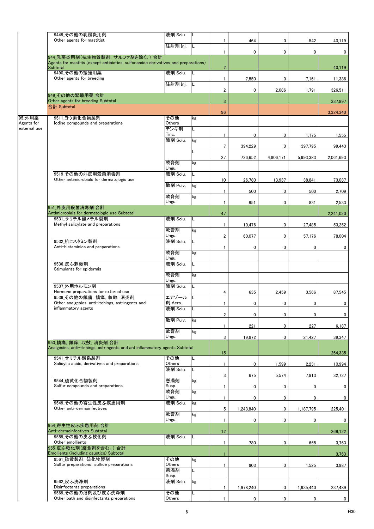|                      | 9449 その他の乳房炎用剤<br>Other agents for mastitist                                                                         | 液剤 Solu.           | L   |                 |           |           |             |                |
|----------------------|----------------------------------------------------------------------------------------------------------------------|--------------------|-----|-----------------|-----------|-----------|-------------|----------------|
|                      |                                                                                                                      | 注射剤 Inj.           | L   | 1               | 464       | 0         | 542         | 40,119         |
|                      | 944_乳房炎用剤(抗生物質製剤, サルファ剤を除く。)合計<br>Agents for mastitis (except antibiotics, sulfonamide derivatives and preparations) |                    |     | $\mathbf{1}$    | 0         | 0         | 0           | $\mathbf{0}$   |
|                      | Subtotal<br>9490 その他の繁殖用薬                                                                                            | 液剤 Solu.           | L   | $\overline{2}$  |           |           |             | 40,119         |
|                      | Other agents for breeding                                                                                            | 注射剤 Inj.           | IL. | $\mathbf{1}$    | 7,550     | 0         | 7,161       | 11,386         |
|                      | 949 その他の繁殖用薬 合計                                                                                                      |                    |     | $\overline{2}$  | 0         | 2,086     | 1,791       | 326,511        |
|                      | Other agents for breeding Subtotal                                                                                   |                    |     | $\mathbf{3}$    |           |           |             | 337,897        |
|                      | 合計 Subtotal                                                                                                          |                    |     | 96              |           |           |             | 3,324,340      |
| 95_外用薬<br>Agents for | 9511 ヨウ素化合物製剤<br>Iodine compounds and preparations                                                                   | その他<br>Others      | kg  |                 |           |           |             |                |
| external use         |                                                                                                                      | チンキ剤               | L   |                 |           |           |             |                |
|                      |                                                                                                                      | Tinc.<br>液剤 Solu.  | kg  | 1               | 0         | 0         | 1,175       | 1,555          |
|                      |                                                                                                                      |                    | Г   | $7\overline{ }$ | 394,229   | 0         | 397,795     | 99,443         |
|                      |                                                                                                                      | 軟膏剤                |     | 27              | 726,652   | 4,806,171 | 5,993,383   | 2.061.693      |
|                      |                                                                                                                      | Ungu.              | kg  |                 |           |           |             |                |
|                      | 9519 その他の外皮用殺菌消毒剤<br>Other antimicrobials for dermatologic use                                                       | 液剤 Solu.           | L   | 10              | 26,780    | 13,937    | 38,841      | 73,087         |
|                      |                                                                                                                      | 散剤 Pulv.           | kg  |                 |           |           |             |                |
|                      |                                                                                                                      | 軟膏剤                | kg  | $\mathbf{1}$    | 500       | 0         | 500         | 2,709          |
|                      | 951 外皮用殺菌消毒剤 合計                                                                                                      | Ungu.              |     | $\mathbf{1}$    | 951       | 0         | 831         | 2,533          |
|                      | Antimicrobials for dermatologic use Subtotal<br>9531 サリチル酸メチル製剤                                                      |                    |     | 47              |           |           |             | 2,241,020      |
|                      | Methyl salicylate and preparations                                                                                   | 液剤 Solu.           | L   | $\mathbf{1}$    | 10,476    | 0         | 27,485      | 53,252         |
|                      |                                                                                                                      | 軟膏剤<br>Ungu.       | kg  | $\overline{2}$  | 60,077    | 0         | 57,176      | 78,004         |
|                      | 9532 抗ヒスタミン製剤<br>Anti-histaminics and preparations                                                                   | 液剤 Solu.           | L.  |                 |           |           |             |                |
|                      |                                                                                                                      | 軟膏剤                | kg  | $\mathbf{1}$    | 0         | 0         | 0           | 0              |
|                      | 9536 皮ふ刺激剤                                                                                                           | Ungu.<br>液剤 Solu.  | Г   |                 |           |           |             |                |
|                      | Stimulants for epidermis                                                                                             | 軟膏剤                |     |                 |           |           |             |                |
|                      |                                                                                                                      | Ungu.              | kg  |                 |           |           |             |                |
|                      | 9537 外用ホルモン剤<br>Hormone preparations for external use                                                                | 液剤 Solu.           | L   | 4               | 635       | 2,459     | 3,566       | 87,545         |
|                      | 9539 その他の鎮痛、鎮痒、収斂、消炎剤<br>Other analgesics, anti-itchings, astringents and                                            | エアゾール<br>剤 Aero.   | L   | $\mathbf{1}$    | 0         | 0         | 0           | 0              |
|                      | inflammatory agents                                                                                                  | 液剤 Solu.           | L   |                 |           |           |             |                |
|                      |                                                                                                                      | 散剤 Pulv.           | kg  | 2               | 0         | 0         | 0           | $\mathbf{0}$   |
|                      |                                                                                                                      | 軟膏剤                | kg  | 1               | 221       | 0         | 227         | 6,187          |
|                      |                                                                                                                      | Ungu.              |     | 3               | 19,872    | 0         | 21,427      | 39,347         |
|                      | 953 鎮痛, 鎮痒, 収斂, 消炎剤 合計<br>Analgesics, anti-itchings, astringents and antiinflammatory agents Subtotal                |                    |     |                 |           |           |             |                |
|                      | 9541 サリチル酸系製剤                                                                                                        | その他                |     | 15              |           |           |             | 264,335        |
|                      | Salicylic acids, derivatives and preparations                                                                        | Others<br>液剤 Solu. | L   | $\mathbf{1}$    | 0         | 1,599     | 2,231       | 10,994         |
|                      |                                                                                                                      |                    |     | 3               | 675       | 5,574     | 7,913       | 32,727         |
|                      | 9544 硫黄化合物製剤<br>Sulfur compounds and preparations                                                                    | 懸濁剤<br>Susp.       | kg  | $\mathbf{1}$    | 0         | 0         | 0           | 0              |
|                      |                                                                                                                      | 軟膏剤<br>Ungu.       | kg  | $\mathbf{1}$    | 0         | 0         | 0           | 0              |
|                      | 9549 その他の寄生性皮ふ疾患用剤                                                                                                   | 液剤 Solu.           | kg  |                 |           |           |             |                |
|                      | Other anti-dermoinfectives                                                                                           | 軟膏剤                | kg  | 5               | 1,243,840 | 0         | 1,187,795   | 225,401        |
|                      | 954 寄生性皮ふ疾患用剤 合計                                                                                                     | Ungu.              |     | $\mathbf{1}$    | 0         | 0         | 0           | 0              |
|                      | Anti-dermoinfectives Subtotal                                                                                        |                    |     | 12              |           |           |             | 269,122        |
|                      | 9559 その他の皮ふ軟化剤 <br>Other emollients                                                                                  | 液剤 Solu.           | L   | $\mathbf{1}$    | 780       | 0         | 665         | 3,763          |
|                      | 955 皮ふ軟化剤(腐食剤を含む。)合計<br>Emollients (including caustics) Subtotal                                                     |                    |     | 1               |           |           |             | 3,763          |
|                      | 9561 硫黄製剤, 硫化物製剤<br>Sulfur preparations, sulfide preparations                                                        | その他<br>Others      | kg  |                 | 903       | 0         |             |                |
|                      |                                                                                                                      | 懸濁剤                | L.  | 1               |           |           | 1,525       | 3,987          |
|                      | 9562 皮ふ洗浄剤                                                                                                           | Susp.<br>液剤 Solu.  | kg  |                 |           |           |             |                |
|                      | Disinfectants preparations<br>9569 その他の浴剤及び皮ふ洗浄剤                                                                     | その他                | L.  | $\mathbf{1}$    | 1,978,240 | 0         | 1,935,440   | 237,489        |
|                      | Other bath and disinfectants preparations                                                                            | Others             |     |                 | 0         | 0         | $\mathbf 0$ | $\overline{0}$ |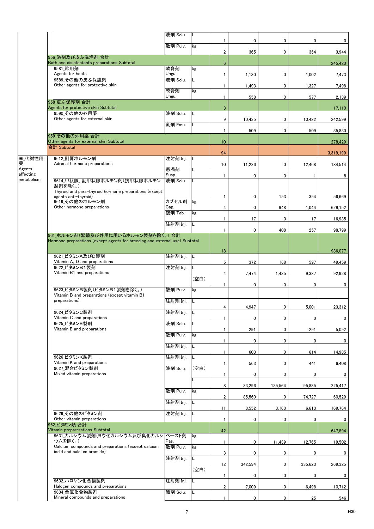|                         |                                                                                                                  | 液剤 Solu.          | L    |                         |         |         |         |             |
|-------------------------|------------------------------------------------------------------------------------------------------------------|-------------------|------|-------------------------|---------|---------|---------|-------------|
|                         |                                                                                                                  | 散剤 Pulv.          | kg   | $\mathbf{1}$            | 0       | 0       | 0       | 0           |
|                         | 956 浴剤及び皮ふ洗浄剤 合計                                                                                                 |                   |      | $\overline{\mathbf{2}}$ | 365     | 0       | 364     | 3,944       |
|                         | Bath and disinfectants preparations Subtotal<br>9581 蹄用剤                                                         | 軟膏剤               | kg   | $\boldsymbol{6}$        |         |         |         | 245,420     |
|                         | Agents for hoots<br>9589 その他の皮ふ保護剤                                                                               | Ungu.<br>液剤 Solu. | L    | $\mathbf{1}$            | 1,130   | 0       | 1,002   | 7,473       |
|                         | Other agents for protective skin                                                                                 |                   |      | $\mathbf{1}$            | 1,493   | 0       | 1,327   | 7,498       |
|                         |                                                                                                                  | 軟膏剤<br>Ungu.      | kg   | $\mathbf{1}$            | 558     | 0       | 577     | 2,139       |
|                         | 958 皮ふ保護剤 合計<br>Agents for protective skin Subtotal                                                              |                   |      | 3                       |         |         |         | 17,110      |
|                         | 9590 その他の外用薬<br>Other agents for external skin                                                                   | 液剤 Solu.          | L    | 9                       | 10,435  | 0       | 10,422  | 242,599     |
|                         |                                                                                                                  | 乳剤 Emu.           | L    | $\mathbf{1}$            | 509     | 0       | 509     | 35,830      |
|                         | 959 その他の外用薬合計<br>Other agents for external skin Subtotal                                                         |                   |      | 10                      |         |         |         | 278,429     |
|                         | 合計 Subtotal                                                                                                      |                   |      | 94                      |         |         |         | 3,319,199   |
| 96_代謝性用                 | 9612 副腎ホルモン剤                                                                                                     | 注射剤 Inj.          | L    |                         |         |         |         |             |
| 薬<br>Agents             | Adrenal hormone preparations                                                                                     | 懸濁剤               |      | 10                      | 11,226  | 0       | 12,468  | 184,514     |
| affecting<br>metabolism | 9614 甲状腺, 副甲状腺ホルモン剤(抗甲状腺ホルモン                                                                                     | Susp.<br>液剤 Solu. | L    | $\mathbf{1}$            | 0       | 0       |         | 8           |
|                         | 製剤を除く。)<br>Thyroid and para-thyroid hormone preparations (except                                                 |                   |      |                         |         |         |         |             |
|                         | agents anti-thyroid)<br>9619 その他のホルモン剤                                                                           | カプセル剤             | kg   | $\mathbf{1}$            | 0       | 153     | 354     | 56,669      |
|                         | Other hormone preparations                                                                                       | Cap.              |      | 4                       | 0       | 948     | 1,044   | 629,152     |
|                         |                                                                                                                  | 錠剤 Tab.           | kg   | $\mathbf{1}$            | 17      | 0       | 17      | 16,935      |
|                         |                                                                                                                  | 注射剤 Inj.          |      | $\mathbf{1}$            | 0       | 408     | 257     | 98,799      |
|                         | 961 ホルモン剤(繁殖及び外用に用いるホルモン製剤を除く。)合計<br>Hormone preparations (except agents for breeding and external use) Subtotal |                   |      |                         |         |         |         |             |
|                         |                                                                                                                  |                   | 18   |                         |         |         | 986,077 |             |
|                         | 9621 ビタミンA及びD製剤<br>Vitamin A, D and preparations                                                                 | 注射剤 Inj.          | L    | 5                       | 372     | 168     | 597     | 49,459      |
|                         | 9622 ビタミンB1製剤                                                                                                    | 注射剤 Inj.          | L    |                         |         |         |         |             |
|                         | Vitamin B1 and preparations                                                                                      |                   | (空白) | $\overline{4}$          | 7,474   | 1,435   | 9,387   | 92,928      |
|                         | 9623 ビタミンB製剤(ビタミンB1製剤を除く。)                                                                                       | 散剤 Pulv.          | kg   | -1                      | 0       | 0       | 0       | 0           |
|                         | Vitamin B and preparations (except vitamin B1<br>preparations)                                                   | 注射剤 Inj.          | L    |                         |         |         |         |             |
|                         |                                                                                                                  |                   |      | 4                       | 4,947   | 0       | 5,001   | 23,312      |
|                         | 9624_ビタミンC製剤<br>Vitamin C and preparations                                                                       | 注射剤 Inj.          |      | $\mathbf{1}$            | 0       | 0       | 0       | $\mathbf 0$ |
|                         | 9625 ビタミンE製剤<br>Vitamin E and preparations                                                                       | 液剤 Solu.          | L    | 1                       | 291     | 0       | 291     | 5,092       |
|                         |                                                                                                                  | 散剤 Pulv.          | kg   | 1                       | 0       | 0       | 0       | $\mathbf 0$ |
|                         |                                                                                                                  | 注射剤 Inj.          | L.   |                         |         |         |         |             |
|                         | 9626 ビタミンK製剤                                                                                                     | 注射剤 Inj.          | L.   | $\mathbf{1}$            | 603     | 0       | 614     | 14,985      |
|                         | Vitamin K and preparations<br>9627 混合ビタミン製剤                                                                      | 液剤 Solu.          | (空白) | $\mathbf{1}$            | 563     | 0       | 441     | 6,408       |
|                         | Mixed vitamin preparations                                                                                       |                   | L    | $\mathbf{1}$            | 0       | 0       | 0       | 0           |
|                         |                                                                                                                  | 散剤 Pulv.          | kg   | 8                       | 33,296  | 135,564 | 95,885  | 225,417     |
|                         |                                                                                                                  |                   |      | $\overline{2}$          | 85,560  | 0       | 74,727  | 60,529      |
|                         |                                                                                                                  | 注射剤 Inj.          | L    | 11                      | 3,552   | 3,160   | 6,613   | 169,764     |
|                         | 9629 その他のビタミン剤<br>Other vitamin preparations                                                                     | 注射剤 Inj.          | L    | $\mathbf{1}$            | 0       | 0       | 0       | $\mathbf 0$ |
|                         | 962 ビタミン類 合計<br>Vitamin preparerations Subtotal                                                                  |                   |      | 42                      |         |         |         | 647,894     |
|                         | 9631_カルシウム製剤(ヨウ化カルシウム及び臭化カルシ<br>ウムを除く。)                                                                          | ペースト剤<br>Pas.     | kg   | $\mathbf{1}$            |         |         | 12,765  |             |
|                         | Calcium compounds and preparations (except calcium<br>iodid and calcium bromide)                                 | 散剤 Pulv.          | kg   |                         | 0       | 11,439  |         | 19,502      |
|                         |                                                                                                                  | 注射剤 Inj.          | L.   | 3                       | 0       | 0       | 0       | 0           |
|                         |                                                                                                                  |                   | (空白) | 12                      | 342,594 | 0       | 335,623 | 269,325     |
|                         | 9632 ハロゲン化合物製剤                                                                                                   | 注射剤 Inj.          |      | $\mathbf{1}$            | 0       | 0       | 0       | $\mathbf 0$ |
|                         | Halogen compounds and preparations                                                                               |                   |      | $\overline{2}$          | 7,009   | 0       | 6,498   | 10,712      |
|                         | 9634 金属化合物製剤<br>Mineral compounds and preparations                                                               | 液剤 Solu.          | L.   | $\mathbf{1}$            | 0       | 0       | 25      | 546         |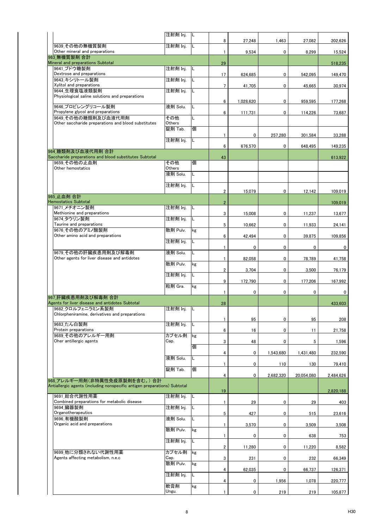|                                                                           | 注射剤 Inj. | IL  |                         |           |           |            |           |
|---------------------------------------------------------------------------|----------|-----|-------------------------|-----------|-----------|------------|-----------|
| 9639 その他の無機質製剤                                                            | 注射剤 Inj. | IL. | 8                       | 27,248    | 1,463     | 27,082     | 202,626   |
| Other mineral and preparations                                            |          |     | $\mathbf{1}$            | 9,534     | 0         | 8,299      | 15,524    |
| 963 無機質製剤 合計                                                              |          |     |                         |           |           |            |           |
| Mineral and preparations Subtotal<br>9641 ブドウ糖製剤                          | 注射剤 Inj. | IL  | 29                      |           |           |            | 518,235   |
| Dextrose and preparations                                                 |          |     | 17                      | 624,685   | 0         | 542,095    | 149.470   |
| 9643 キシリトール製剤                                                             | 注射剤 Inj. | L   |                         |           |           |            |           |
| Xylitol and preparations                                                  |          |     | $\overline{7}$          | 41,705    | 0         | 45,665     | 30,974    |
| 9644 生理食塩液類製剤<br>Physiological saline solutions and preparations          | 注射剤 Inj. | L   |                         |           |           |            |           |
|                                                                           |          |     | 6                       | 1,028,620 | 0         | 959.595    | 177,268   |
| 9646 プロピレングリコール製剤<br>Propylene glycol and preparations                    | 液剤 Solu. | L   |                         |           |           |            |           |
| 9649 その他の糖類剤及び血液代用剤                                                       | その他      | L   | 6                       | 111,731   | 0         | 114,226    | 73,687    |
| Other saccharide preparations and blood substitutes                       | Others   |     |                         |           |           |            |           |
|                                                                           | 錠剤 Tab.  | 個   |                         |           |           |            |           |
|                                                                           | 注射剤 Inj. | L   | $\mathbf{1}$            | 0         | 257,280   | 301,584    | 33,288    |
|                                                                           |          |     | 6                       | 676,570   | 0         | 648,495    | 149,235   |
| 964 糖類剤及び血液代用剤 合計                                                         |          |     |                         |           |           |            |           |
| Saccharide preparations and blood substitutes Subtotal<br>9659 その他の止血剤    | その他      | 個   | 43                      |           |           |            | 613,922   |
| Other hemostatics                                                         | Others   |     |                         |           |           |            |           |
|                                                                           | 液剤 Solu. | L   |                         |           |           |            |           |
|                                                                           | 注射剤 Inj. | L   |                         |           |           |            |           |
|                                                                           |          |     | $\overline{2}$          | 15,079    | 0         | 12,142     | 109,019   |
| 965 止血剤 合計                                                                |          |     |                         |           |           |            |           |
| <b>Hemostatics Subtotal</b>                                               |          |     | $\overline{2}$          |           |           |            | 109,019   |
| 9671 メチオニン製剤<br>Methionine and preparations                               | 注射剤 Inj. | L   | 3                       | 15.008    | 0         | 11,237     | 13,677    |
| 9674 タウリン製剤                                                               | 注射剤 Inj. | L   |                         |           |           |            |           |
| Taurine and preparations                                                  |          |     | 5                       | 10,662    | 0         | 11,933     | 24,141    |
| 9676 その他のアミノ酸製剤<br>Other amino acid and preparations                      | 散剤 Pulv. | kg  | 6                       | 42,494    | 0         |            |           |
|                                                                           | 注射剤 Inj. | L   |                         |           |           | 39,875     | 109,856   |
|                                                                           |          |     | 1                       | 0         | 0         | 0          | 0         |
| 9679 その他の肝臓疾患用剤及び解毒剤<br>Other agents for liver disease and antidotes      | 液剤 Solu. | L   |                         |           |           |            |           |
|                                                                           | 散剤 Pulv. | kg  | $\mathbf{1}$            | 82,058    | 0         | 78,789     | 41,758    |
|                                                                           |          |     | $\overline{\mathbf{2}}$ | 3,704     | 0         | 3,500      | 76,179    |
|                                                                           | 注射剤 Inj. | L   |                         |           |           |            |           |
|                                                                           | 粒剤 Gra.  | kg  | 9                       | 172,790   | 0         | 177.206    | 167,992   |
|                                                                           |          |     | $\mathbf{1}$            | 0         | 0         | 0          | 0         |
| 967 肝臓疾患用剤及び解毒剤 合計                                                        |          |     |                         |           |           |            |           |
| Agents for liver disease and antidotes Subtotal<br>9682_クロルフェニラミン系製剤      | 注射剤 Inj. | IL  | 28                      |           |           |            | 433,603   |
| Chlorpheniramine, derivatives and preparations                            |          |     |                         |           |           |            |           |
|                                                                           |          |     | $\mathbf{1}$            | 95        | 0         | 95         | 208       |
| 9683 たん白製剤<br>Protein preparations                                        | 注射剤 Inj. |     | 6                       | 16        | 0         | 11         | 21,758    |
| 9689 その他のアレルギー用剤                                                          | カプセル剤    | kg  |                         |           |           |            |           |
| Oher antillergic agents                                                   | Cap.     |     | 3                       | 48        | 0         | 5          | 1,596     |
|                                                                           |          | 個   |                         |           |           |            |           |
|                                                                           | 液剤 Solu. | L   | 4                       | 0         | 1,543,680 | 1,431,480  | 232,590   |
|                                                                           |          |     | $\mathbf{1}$            | 0         | 110       | 130        | 79,410    |
|                                                                           | 錠剤 Tab.  | 個   |                         |           |           |            |           |
| 968 アレルギー用剤(非特異性免疫原製剤を含む。) 合計                                             |          |     | 4                       | 0         | 2,682,320 | 20,054,080 | 2,484,626 |
| Antiallergic agents (including nonspecific antigen preparations) Subtotal |          |     |                         |           |           |            |           |
| 9691 総合代謝性用薬                                                              | 注射剤 Inj. |     | 19                      |           |           |            | 2,820,188 |
| Combined preparations for metabolic disease                               |          |     | 1                       | 29        | 0         | 29         | 403       |
| 9694 臓器製剤                                                                 | 注射剤 Inj. |     |                         |           |           |            |           |
| Organotherapeutics<br>9696 有機酸製剤                                          |          |     | 5                       | 427       | 0         | 515        | 23,616    |
| Organic acid and preparations                                             | 液剤 Solu. |     | $\mathbf{1}$            | 3,570     | 0         | 3,509      | 3,508     |
|                                                                           | 散剤 Pulv. | kg  |                         |           |           |            |           |
|                                                                           |          |     | 1                       | 0         | 0         | 638        | 753       |
|                                                                           | 注射剤 Inj. | L   | 2                       |           | 0         |            |           |
| 9699 他に分類されない代謝性用薬                                                        | カプセル剤    | kg  |                         | 11,280    |           | 11,220     | 8,582     |
| Agents affecting metabolism, n.e.c                                        | Cap.     |     | 3                       | 231       | 0         | 232        | 66,349    |
|                                                                           | 散剤 Pulv. | kg  |                         |           |           |            |           |
|                                                                           | 注射剤 Inj. | L   | 4                       | 62,035    | 0         | 66,737     | 126,371   |
|                                                                           |          |     | 4                       | 0         | 1,956     | 1,078      | 220,777   |
|                                                                           | 軟膏剤      | kg  |                         |           |           |            |           |
|                                                                           | Ungu.    |     | $\mathbf{1}$            | 0         | 219       | 219        | 105,877   |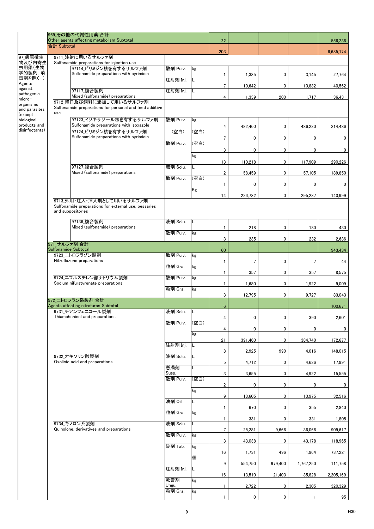|                                              |                                                                                                        | 969 その他の代謝性用薬 合計<br>Other agents affecting metabolism Subtotal      |                   |      |                |                |         |                 | 556.236     |
|----------------------------------------------|--------------------------------------------------------------------------------------------------------|---------------------------------------------------------------------|-------------------|------|----------------|----------------|---------|-----------------|-------------|
|                                              | 合計 Subtotal                                                                                            |                                                                     |                   |      | 22<br>203      |                |         |                 | 6,685,174   |
| 97 病原微生                                      |                                                                                                        | 9711 注射に用いるサルファ剤                                                    |                   |      |                |                |         |                 |             |
| 物及び内寄生<br>虫用薬(生物                             |                                                                                                        | Sulfonamide preparations for injection use<br>97114 ピリミジン核を有するサルファ剤 | 散剤 Pulv.          | kg   |                |                |         |                 |             |
| 学的製剤, 消<br>毒剤を除く。)                           |                                                                                                        | Sulfonamide preparations with pyrimidin                             | 注射剤 Inj.          |      | 1              | 1,385          | 0       | 3,145           | 27.764      |
| Agents<br>against                            |                                                                                                        | 97117 複合製剤                                                          | 注射剤 Inj.          | L    | 7              | 10,642         | 0       | 10,832          | 40,562      |
| pathogenic<br>micro-                         |                                                                                                        | Mixed (sulfonamide) preparations                                    |                   |      | 4              | 1,339          | 200     | 1,717           | 36,431      |
| organisms<br>and parasites<br>(except        | 9712 経口及び飼料に添加して用いるサルファ剤<br>Sulfonamide preparations for personal and feed additive<br>use             |                                                                     |                   |      |                |                |         |                 |             |
| biological<br>products and<br>disinfectants) |                                                                                                        | 97123 イソキサゾール核を有するサルファ剤<br>Sulfonamide preparations with isoxazole  | 散剤 Pulv.          | kg   | 4              | 482,460        | 0       | 486,230         | 214,486     |
|                                              |                                                                                                        | 97124 ピリミジン核を有するサルファ剤<br>Sulfonamide preparations with pyrimidin    | (空白)              | (空白) | 7              | 0              | 0       | 0               | 0           |
|                                              |                                                                                                        |                                                                     | 散剤 Pulv.          | (空白) | 3              | 0              | 0       | 0               | 0           |
|                                              |                                                                                                        |                                                                     |                   | kg   |                |                |         |                 |             |
|                                              |                                                                                                        | 97127 複合製剤                                                          | 液剤 Solu.          | L.   | 13             | 110,218        | 0       | 117,909         | 290,226     |
|                                              |                                                                                                        | Mixed (sulfonamide) preparations                                    | 散剤 Pulv.          | (空白) | $\overline{2}$ | 58,459         | 0       | 57,105          | 189,850     |
|                                              |                                                                                                        |                                                                     |                   |      | 1              | 0              | 0       | 0               | 0           |
|                                              |                                                                                                        |                                                                     |                   | Kg   | 14             | 226,782        | 0       | 295,237         | 140,999     |
|                                              | 9713 外用・注入・挿入剤として用いるサルファ剤<br>Sulfonamide preparations for external use, pessaries<br>and suppositories |                                                                     |                   |      |                |                |         |                 |             |
|                                              |                                                                                                        | 97136 複合製剤                                                          | 液剤 Solu.          | L    |                |                |         |                 |             |
|                                              |                                                                                                        | Mixed (sulfonamide) preparations                                    | 散剤 Pulv.          | kg   | 1              | 218            | 0       | 180             | 430         |
|                                              | 971 サルファ剤 合計                                                                                           |                                                                     |                   |      | 3              | 235            | 0       | 232             | 2,686       |
|                                              | Sulfonamide Subtotal                                                                                   |                                                                     |                   |      | 60             |                |         |                 | 943,434     |
|                                              |                                                                                                        | 9723 ニトロフラゾン製剤<br>Nitroflazone preparations                         | 散剤 Pulv.          | kg   | 1              | $\overline{7}$ | 0       | $7\phantom{.0}$ | 44          |
|                                              |                                                                                                        |                                                                     | 粒剤 Gra.           | kg   | 1              | 357            | 0       | 357             | 8,575       |
|                                              |                                                                                                        | 9724 ニフルスチレン酸ナトリウム製剤<br>Sodium nifurstyrenate preparations          | 散剤 Pulv.          | kg   | 1              |                |         |                 |             |
|                                              |                                                                                                        |                                                                     | 粒剤 Gra.           | kg   |                | 1,680          | 0       | 1,922           | 9,009       |
|                                              |                                                                                                        | 972 ニトロフラン系製剤 合計                                                    |                   |      | 3              | 12,795         | 0       | 9,727           | 83,043      |
|                                              |                                                                                                        | Agents affecting nitrofuran Subtotal<br>9731 チアンフェニコール製剤            | 液剤 Solu.  L       |      | 6              |                |         |                 | 100,671     |
|                                              |                                                                                                        | Thiamphenicol and preparations                                      |                   |      | 4              | 0              | 0       | 390             | 2,601       |
|                                              |                                                                                                        |                                                                     | 散剤 Pulv.          | (空白) | 4              | 0              | 0       | 0               | $\mathbf 0$ |
|                                              |                                                                                                        |                                                                     |                   | kg   | 21             | 391,460        | 0       | 384,740         | 172,677     |
|                                              |                                                                                                        |                                                                     | 注射剤 Inj.          | L    |                |                |         |                 |             |
|                                              |                                                                                                        | 9732 オキソリン酸製剤                                                       | 液剤 Solu.          | L.   | 8              | 2,925          | 990     | 4,016           | 148,015     |
|                                              |                                                                                                        | Oxolinic acid and preparations                                      | 懸濁剤               | L.   | 5              | 4,712          | 0       | 4,636           | 17,991      |
|                                              |                                                                                                        |                                                                     | Susp.<br>散剤 Pulv. | (空白) | 3              | 3,655          | 0       | 4,922           | 15,555      |
|                                              |                                                                                                        |                                                                     |                   |      | 2              | 0              | 0       | 0               | 0           |
|                                              |                                                                                                        |                                                                     |                   | kg   | 9              | 13,605         | 0       | 10,975          | 32,516      |
|                                              |                                                                                                        |                                                                     | 油剤 Oil            | L.   |                | 670            | 0       | 355             | 2,840       |
|                                              |                                                                                                        |                                                                     | 粒剤 Gra.           | kg   |                |                | 0       |                 |             |
|                                              |                                                                                                        | 9734 キノロン系製剤                                                        | 液剤 Solu.          | L.   |                | 331            |         | 331             | 1,805       |
|                                              |                                                                                                        | Quinolone, derivatives and preparations                             | 散剤 Pulv.          | kg   | 7              | 25,281         | 9,666   | 36,066          | 909,617     |
|                                              |                                                                                                        |                                                                     | 錠剤 Tab.           | kg   | 3              | 43,038         | 0       | 43,178          | 118,965     |
|                                              |                                                                                                        |                                                                     |                   |      | 16             | 1,731          | 496     | 1,964           | 737,221     |
|                                              |                                                                                                        |                                                                     |                   | 個    | 9              | 554,750        | 979,400 | 1,767,250       | 111,758     |
|                                              |                                                                                                        |                                                                     | 注射剤 Inj.          | L    | 16             | 13,510         | 21,403  | 35,828          | 2,205,169   |
|                                              |                                                                                                        |                                                                     | 軟膏剤<br>Ungu.      | kg   | 1              | 2,722          | 0       | 2,305           | 320,329     |
|                                              |                                                                                                        |                                                                     | 粒剤 Gra.           | kg   |                |                |         |                 |             |
|                                              |                                                                                                        |                                                                     |                   |      | 1              | 0              | 0       |                 | 95          |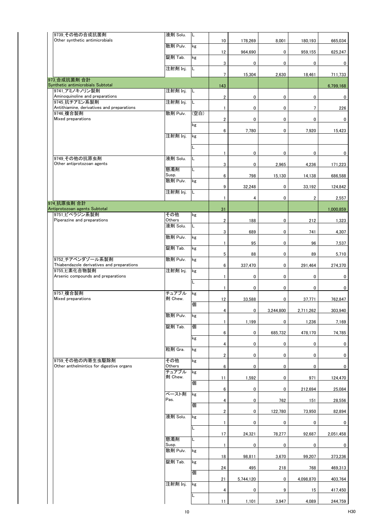| 9739 その他の合成抗菌剤<br>Other synthetic antimicrobials               | 液剤 Solu.          | L    | 10                      | 178,269   | 8,001     | 180,193        | 665,034      |
|----------------------------------------------------------------|-------------------|------|-------------------------|-----------|-----------|----------------|--------------|
|                                                                | 散剤 Pulv.          | kg   |                         |           |           |                |              |
|                                                                | 錠剤 Tab.           | kg   | 12                      | 964,690   | 0         | 959,155        | 625,247      |
|                                                                | 注射剤 Inj.          | L    | 3                       | 0         | 0         | 0              | 0            |
| 973 合成抗菌剤 合計                                                   |                   |      | $7\overline{ }$         | 15,304    | 2,630     | 18,461         | 711,733      |
| Synthetic antimicrobials Subtotal<br>9741 アミノキノリン製剤            | 注射剤 Inj.          | L    | 143                     |           |           |                | 6,799,168    |
| Aminoquinoline and preparations                                |                   |      | $\overline{\mathbf{c}}$ | 0         | 0         | 0              | 0            |
| 9745 抗チアミン系製剤<br>Antithiamine, derivatives and preparations    | 注射剤 Inj.          | L    | $\mathbf{1}$            | 0         | 0         | $\overline{7}$ | 226          |
| 9746 複合製剤<br>Mixed preparations                                | 散剤 Pulv.          | (空白) | $\overline{\mathbf{c}}$ | 0         | 0         | 0              | 0            |
|                                                                |                   | kg   | 6                       | 7,780     | 0         | 7,920          | 15,423       |
|                                                                | 注射剤 Inj.          | kg   |                         |           |           |                |              |
|                                                                |                   | L    | $\mathbf{1}$            |           | 0         | 0              |              |
| 9749 その他の抗原虫剤                                                  | 液剤 Solu.          | L    |                         | 0         |           |                | 0            |
| Other antiprotozoan agents                                     | 懸濁剤               | L    | 3                       | 0         | 2,965     | 4,236          | 171,223      |
|                                                                | Susp.<br>散剤 Pulv. | kg   | 6                       | 798       | 15,130    | 14,138         | 686,588      |
|                                                                | 注射剤 Inj.          | L    | 9                       | 32,248    | 0         | 33,192         | 124,842      |
| 974 抗原虫剤 合計                                                    |                   |      | $\mathbf{1}$            | 4         | 0         | $\overline{2}$ | 2,557        |
| Antiprotozoan agents Subtotal                                  |                   |      | 31                      |           |           |                | 1,000,859    |
| 9751 ピペラジン系製剤<br>Piperazine and preparations                   | その他<br>Others     | kg   | $\mathbf{2}$            | 188       | 0         | 212            | 1,323        |
|                                                                | 液剤 Solu.          | L    | 3                       | 689       | 0         | 741            | 4,307        |
|                                                                | 散剤 Pulv.          | kg   | $\mathbf{1}$            | 95        | 0         | 96             | 7,537        |
|                                                                | 錠剤 Tab.           | kg   | 5                       | 88        | 0         | 89             | 5,710        |
| 9752 チアベンダゾール系製剤<br>Thiabendazole derivatives and preparations | 散剤 Pulv.          | kg   |                         |           |           |                |              |
| 9755 ヒ素化合物製剤                                                   | 注射剤 Inj.          | kg   | 6                       | 337,470   | 0         | 291,464        | 274,370      |
| Arsenic compounds and preparations                             |                   | L    | $\mathbf{1}$            | 0         | 0         | 0              | $\mathbf{0}$ |
| 9757 複合製剤                                                      | チュアブル             | kg   | $\mathbf{1}$            | 0         | 0         | 0              | $\mathbf{0}$ |
| Mixed preparations                                             | 剤 Chew.           | 個    | 12                      | 33,588    | 0         | 37,771         | 762,847      |
|                                                                | 散剤 Pulv.          | kg   | $\overline{4}$          | 0         | 3,244,800 | 2,711,262      | 303,940      |
|                                                                | 錠剤 Tab.           | 個    | 1                       | 1,199     | 0         | 1,236          | 7,169        |
|                                                                |                   |      | 6                       | 0         | 685,732   | 478,170        | 74,785       |
|                                                                |                   | kg   | 4                       | 0         | 0         | 0              | $\mathbf{0}$ |
|                                                                | 粒剤 Gra.           | kg   | $\overline{\mathbf{2}}$ | 0         | 0         | 0              | $\mathbf{0}$ |
| 9759 その他の内寄生虫駆除剤<br>Other anthelmintics for digestive organs   | その他<br>Others     | kg   | 6                       | 0         | 0         | 0              | $\mathbf 0$  |
|                                                                | チュアブル<br>剤 Chew.  | kg   | 11                      | 1,592     | 0         | 971            | 124,470      |
|                                                                |                   | 個    | 6                       | 0         | 0         | 212,694        | 25,084       |
|                                                                | ペースト剤<br>Pas.     | kg   | 4                       | 0         |           |                |              |
|                                                                |                   | 個    |                         |           | 762       | 151            | 28,556       |
|                                                                | 液剤 Solu.          | kg   | $\overline{\mathbf{c}}$ | 0         | 122,780   | 73,950         | 82,894       |
|                                                                |                   | L    | $\mathbf{1}$            | 0         | 0         | 0              | 0            |
|                                                                | 懸濁剤               | L    | 17                      | 24,321    | 78,277    | 92,687         | 2,051,458    |
|                                                                | Susp.<br>散剤 Pulv. | kg   | $\mathbf{1}$            | 0         | 0         | $\pmb{0}$      | 0            |
|                                                                | 錠剤 Tab.           | kg   | 18                      | 98,811    | 3,670     | 99,207         | 373,236      |
|                                                                |                   | 個    | 24                      | 495       | 218       | 768            | 469,313      |
|                                                                |                   |      | 21                      | 5,744,120 | 0         | 4,098,870      | 403,764      |
|                                                                | 注射剤 Inj.          | kg   | 4                       | 0         | 9         | 15             | 417,450      |
|                                                                |                   | L    | 11                      | 1,101     | 3,947     | 4,089          | 244,759      |
|                                                                |                   |      |                         |           |           |                |              |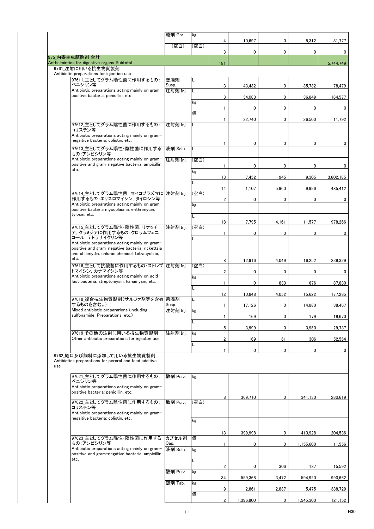| 4<br>10,697<br>5,312<br>0<br>(空白)<br>(空白)<br>3<br>0<br>0<br>0<br>975 内寄生虫駆除剤 合計                                        | 81,777<br>0 |
|------------------------------------------------------------------------------------------------------------------------|-------------|
|                                                                                                                        |             |
|                                                                                                                        |             |
| Anthelmintics for digestive organs Subtotal<br>181<br>9761 注射に用いる抗生物質製剤                                                | 5,744,749   |
| Antibiotic preparations for injection use                                                                              |             |
| 97611 主としてグラム陽性菌に作用するもの:<br>懸濁剤<br>L<br>ペニシリン等<br>Susp.<br>3<br>0<br>43,432<br>35,732                                  | 78,479      |
| Antibiotic preparations acting mainly on gram-<br>注射剤 Inj.<br>L<br>positive bacteria; penicillin, etc.<br>3<br>0       |             |
| 34,083<br>36,849<br>kg                                                                                                 | 164,577     |
| $\mathbf{0}$<br>$\mathbf{1}$<br>0<br>0<br>個                                                                            | 0           |
| 32,740<br>0<br>$\mathbf{1}$<br>26,500<br>97612 主としてグラム陰性菌に作用するもの:<br>注射剤 Inj.<br>L                                     | 11,792      |
| コリスチン等<br>Antibiotic preparations acting mainly on gram-                                                               |             |
| negaitive bacteria; colistin, etc.<br>0<br>0<br>0<br>1                                                                 | 0           |
| 97613_主としてグラム陽性·陰性菌に作用する<br>液剤 Solu.<br>L<br>もの:アンピシリン等                                                                |             |
| Antibiotic preparations acting mainly on gram-<br>注射剤 Ini.<br>(空白)<br>positive and gram-negative bacteria; ampicillin, |             |
| 1<br>0<br>0<br>0<br>etc.<br>kg                                                                                         | 0           |
| 13<br>7,452<br>945<br>9,305<br>L                                                                                       | 3,602,185   |
| 1,107<br>9,996<br>14<br>5,960<br>97614 主としてグラム陽性菌. マイコプラズマに 注射剤 Ini.<br>(空白)                                           | 485,412     |
| 作用するもの:エリスロマイシン, タイロシン等<br>$\overline{2}$<br>$\mathbf 0$<br>0<br>0<br>Antibiotic preparations acting mainly on gram-   | 0           |
| kg<br>positive bacteria mycoplasma; erithrimycin,                                                                      |             |
| tylosin, etc.<br>L<br>7,795<br>11,577<br>18<br>4,161                                                                   | 978.266     |
| 97615_主としてグラム陽性・陰性菌, リケッチ<br>注射剤 Inj.<br>(空白)<br>ア, クラミジアに作用するもの :クロラムフェニ                                              |             |
| 0<br>0<br>$\mathbf{1}$<br>0<br>コール, テトラサイクリン等<br>L                                                                     | 0           |
| Antibiotic preparations acting mainly on gram-<br>positive and gram-negative bacteria, rickettsia                      |             |
| and chlamydia; chloramphenicol, tetracycline,<br>etc.<br>8<br>12,916<br>4,049<br>16,252                                | 239,329     |
| 97616_主として抗酸菌に作用するもの:ストレプ  注射剤 Inj.<br>(空白)                                                                            |             |
| トマイシン. カナマイシン等<br>$\overline{2}$<br>0<br>0<br>0<br>Antibiotic preparations acting mainly on acid-<br>kg                | 0           |
| fast bacteria: streptomysin, kanamysin, etc.<br>833<br>$\mathbf{1}$<br>0<br>676<br>L                                   | 87,880      |
| 10,848<br>12<br>4,052<br>15,622<br>97618 複合抗生物質製剤(サルファ剤等を含有 懸濁剤<br>L                                                   | 177,285     |
| するものを含む。)<br>Susp.<br>$\mathbf{1}$<br>17,126<br>0<br>14,880                                                            | 38,467      |
| Mixed antibiotic prepararions (including<br>注射剤 Inj.<br>kg<br>sulfonamide. Preparations, etc.)<br>1<br>169<br>0<br>179 | 19,670      |
| L<br>3,999<br>5<br>0<br>3,950                                                                                          | 29,737      |
| 97619 その他の注射に用いる抗生物質製剤<br>注射剤 Inj.<br>kg                                                                               |             |
| Other antibiotic preparations for injecton use<br>2<br>169<br>61<br>306<br>L                                           | 52,564      |
| $\mathbf 0$<br>0<br>0<br>$\mathbf{1}$<br>9762 経口及び飼料に添加して用いる抗生物質製剤                                                     | 0           |
| Antibiotics preparations for peroral and feed additive<br>use                                                          |             |
| 97621 主としてグラム陽性菌に作用するもの:<br>散剤 Pulv.                                                                                   |             |
| kg<br>ペニシリン等                                                                                                           |             |
| Antibiotic preparations acting mainly on gram-<br>positive bacteria; penicillin, etc.                                  |             |
| 369,710<br>8<br>0<br>341,130<br>97622 主としてグラム陰性菌に作用するもの:<br>(空白)<br>散剤 Pulv.                                           | 280,619     |
| コリスチン等<br>Antibiotic preparations acting mainly on gram-                                                               |             |
| negaitive bacteria; colistin, etc.<br>kg                                                                               |             |
| 399,998<br>13<br>0<br>410,928                                                                                          | 204,536     |
| 97623_主としてグラム陽性・陰性菌に作用する<br>カプセル剤<br>個<br>もの:アンピシリン等                                                                   |             |
| Cap.<br>0<br>0<br>1<br>1,155,600<br>Antibiotic preparations acting mainly on gram-<br>液剤 Solu.<br>kg                   | 11,556      |
| positive and gram-negative bacteria; ampicillin,<br>etc.<br>L                                                          |             |
| 2<br>0<br>306<br>187<br>散剤 Pulv.<br>kg                                                                                 | 15,592      |
| 34<br>559,368<br>3,472<br>594,920                                                                                      | 990,662     |
| 錠剤 Tab.<br>kg<br>9<br>2,861<br>2,837<br>5,475                                                                          | 388,729     |
| 個<br>$\overline{2}$<br>1,396,800<br>0<br>1,545,300                                                                     | 121,152     |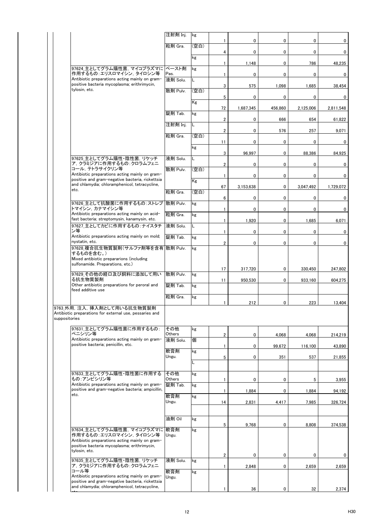|                                                                                                                          | 注射剤 Inj.          | kg   | 1                       | 0            | 0       | 0           | 0              |
|--------------------------------------------------------------------------------------------------------------------------|-------------------|------|-------------------------|--------------|---------|-------------|----------------|
|                                                                                                                          | 粒剤 Gra.           | (空白) | 4                       | $\mathbf{0}$ | 0       | 0           | $\overline{0}$ |
|                                                                                                                          |                   | kg   |                         |              |         |             |                |
| 97624 主としてグラム陽性菌. マイコプラズマに ペースト剤                                                                                         |                   | kg   | 1                       | 1,148        | 0       | 786         | 48,235         |
| 作用するもの:エリスロマイシン、タイロシン等<br>Antibiotic preparations acting mainly on gram-                                                 | Pas.<br>液剤 Solu.  | L    | 1                       | 0            | 0       | 0           | $\mathbf{0}$   |
| positive bacteria mycoplasma; erithrimycin,<br>tylosin, etc.                                                             | 散剤 Pulv.          | (空白) | 3                       | 575          | 1,098   | 1,685       | 38,454         |
|                                                                                                                          |                   | Kg   | 5                       | 0            | 0       | 0           | $\mathbf 0$    |
|                                                                                                                          | 錠剤 Tab.           | kg   | 72                      | 1.687.345    | 456,860 | 2,125,006   | 2,811,548      |
|                                                                                                                          | 注射剤 Inj.          | L    | $\overline{2}$          | 0            | 666     | 654         | 61,822         |
|                                                                                                                          |                   | (空白) | $\overline{\mathbf{2}}$ | 0            | 576     | 257         | 9,071          |
|                                                                                                                          | 粒剤 Gra.           |      | 11                      | 0            | 0       | 0           | $\mathbf 0$    |
|                                                                                                                          |                   | kg   | 3                       | 96,997       | 0       | 88,386      | 84,925         |
| 97625 主としてグラム陽性・陰性菌. リケッチ<br>ア. クラミジアに作用するもの:クロラムフェニ                                                                     | 液剤 Solu.          | L    | 2                       | 0            | 0       | 0           | 0              |
| コール. テトラサイクリン等<br>Antibiotic preparations acting mainly on gram-                                                         | 散剤 Pulv.          | (空白) | $\mathbf{1}$            | 0            | 0       | 0           | 0              |
| positive and gram-negative bacteria, rickettsia<br>and chlamydia; chloramphenicol, tetracycline,                         |                   | Kg   | 67                      | 3,153,638    | 0       | 3,047,492   | 1,729,072      |
| etc.                                                                                                                     | 粒剤 Gra.           | (空白) |                         | 0            | 0       | 0           |                |
| 97626 主として抗酸菌に作用するもの: ストレプ                                                                                               | 散剤 Pulv.          | kg   | 6                       |              |         |             | 0              |
| トマイシン,カナマイシン等<br>Antibiotic preparations acting mainly on acid-                                                          | 粒剤 Gra.           | kg   | 1                       | $\mathbf 0$  | 0       | 0           | $\mathbf 0$    |
| fast bacteria; streptomysin, kanamysin, etc.<br>97627 主としてカビに作用するもの:ナイスタチ                                                | 液剤 Solu.          | Г    | 1                       | 1,920        | 0       | 1,685       | 6,071          |
| ン等<br>Antibiotic preparations acting mainly on mold;                                                                     | 錠剤 Tab.           | kg   | 1                       | 0            | 0       | $\mathbf 0$ | 0              |
| nystatin, etc.<br>97628 複合抗生物質製剤(サルファ剤等を含有 散剤 Pulv.                                                                      |                   | kg   | $\overline{2}$          | $\mathbf{0}$ | 0       | 0           | 0              |
| するものを含む。)<br>Mixed antibiotic prepararions (including                                                                    |                   |      |                         |              |         |             |                |
| sulfonamide. Preparations, etc.)                                                                                         |                   |      | 17                      | 317,720      | 0       | 330,450     | 247,802        |
| 97629 その他の経口及び飼料に添加して用い<br>る抗生物質製剤                                                                                       | 散剤 Pulv.          | kg   | 11                      | 950,530      | 0       | 933,160     | 604,275        |
| Other antibiotic preparations for peroral and<br>feed additive use                                                       | 錠剤 Tab.           | kg   |                         |              |         |             |                |
|                                                                                                                          | 粒剤 Gra.           | kg   |                         | 212          | 0       | 223         | 13,404         |
| 9763_外用, 注入, 挿入剤として用いる抗生物質製剤<br>Antibiotic preparations for external use, pessaries and<br>suppositories                 |                   |      |                         |              |         |             |                |
| 97631_主としてグラム陽性菌に作用するもの:<br>ペニシリン等                                                                                       | その他<br>Others     | kg   | 2                       | 0            | 4,068   | 4,068       | 214,219        |
| Antibiotic preparations acting mainly on gram-<br>positive bacteria; penicillin, etc.                                    | 液剤 Solu.          | 個    | 1                       | 0            | 99,672  | 116,100     | 43,890         |
|                                                                                                                          | 軟膏剤<br>Ungu.      | kg   | 5                       | 0            | 351     | 537         | 21,855         |
|                                                                                                                          |                   | L    |                         |              |         |             |                |
| 97633_主としてグラム陽性・陰性菌に作用する<br>もの:アンピシリン等                                                                                   | その他               | kg   |                         |              |         |             |                |
| Antibiotic preparations acting mainly on gram-                                                                           | Others<br>錠剤 Tab. | kg   | 1                       | 0            | 0       | 5           | 3,955          |
| positive and gram-negative bacteria; ampicillin,<br>etc.                                                                 | 軟膏剤               | kg   | 1                       | 1,884        | 0       | 1,884       | 94,192         |
|                                                                                                                          | Ungu.             |      | 14                      | 2,831        | 4,417   | 7,985       | 326,724        |
|                                                                                                                          | 油剤 Oil            | kg   |                         |              |         |             |                |
| 97634_主としてグラム陽性菌, マイコプラズマに                                                                                               | 軟膏剤               | kg   | 5                       | 9,768        | 0       | 8,808       | 374,538        |
| 作用するもの:エリスロマイシン, タイロシン等<br>Antibiotic preparations acting mainly on gram-<br>positive bacteria mycoplasma; erithrimycin, | Ungu.             |      |                         |              |         |             |                |
| tylosin, etc.                                                                                                            |                   |      | 2                       | 0            | 0       | 0           | $\mathbf{0}$   |
| 97635_主としてグラム陽性・陰性菌, リケッチ<br>ア, クラミジアに作用するもの : クロラムフェニ                                                                   | 液剤 Solu.          | kg   | 1                       | 2,848        | 0       | 2,659       | 2,659          |
| コール等<br>Antibiotic preparations acting mainly on gram-<br>positive and gram-negative bacteria, rickettsia                | 軟膏剤<br>Ungu.      | kg   |                         |              |         |             |                |
| and chlamydia; chloramphenicol, tetracycline,                                                                            |                   |      | 1                       | 36           | 0       | 32          | 2,374          |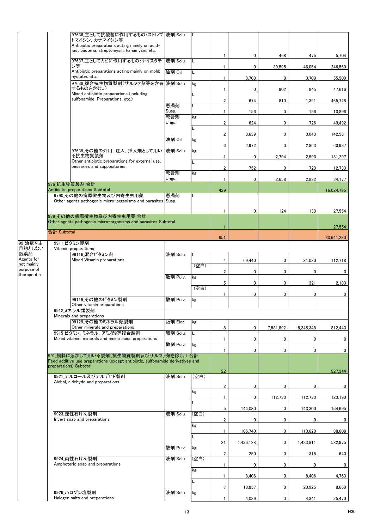|                          |             | 97636_主として抗酸菌に作用するもの: ストレプ  液剤 Solu.<br>トマイシン. カナマイシン等                                                                  |              |      |                         |           |           |           |            |
|--------------------------|-------------|-------------------------------------------------------------------------------------------------------------------------|--------------|------|-------------------------|-----------|-----------|-----------|------------|
|                          |             | Antibiotic preparations acting mainly on acid-                                                                          |              |      |                         |           |           |           |            |
|                          |             | fast bacteria; streptomysin, kanamysin, etc.                                                                            |              |      | $\mathbf{1}$            | 0         | 468       | 475       | 5,704      |
|                          |             | 97637 主としてカビに作用するもの:ナイスタチ<br>ン等                                                                                         | 液剤 Solu.     | L    | $\mathbf{1}$            | 0         | 39,595    | 46,054    | 246,560    |
|                          |             | Antibiotic preparations acting mainly on mold;                                                                          | 油剤 Oil       | L    |                         |           |           |           |            |
|                          |             | nystatin, etc.<br>97638_複合抗生物質製剤(サルファ剤等を含有  液剤 Solu.                                                                    |              | kg   | $\mathbf{1}$            | 3,703     | 0         | 3,700     | 55,500     |
|                          |             | するものを含む。)                                                                                                               |              |      | 1                       | 0         | 902       | 845       | 47,616     |
|                          |             | Mixed antibiotic prepararions (including<br>sulfonamide. Preparations, etc.)                                            |              | L    | 2                       | 674       | 810       | 1,391     | 465,728    |
|                          |             |                                                                                                                         | 懸濁剤          | L    |                         |           |           |           |            |
|                          |             |                                                                                                                         | Susp.<br>軟膏剤 | kg   | 1                       | 156       | 0         | 156       | 10,896     |
|                          |             |                                                                                                                         | Ungu.        |      | $\overline{\mathbf{2}}$ | 624       | 0         | 726       | 43,492     |
|                          |             |                                                                                                                         |              | L    | 2                       | 3,639     | 0         | 3,043     | 142,581    |
|                          |             |                                                                                                                         | 油剤 Oil       | kg   |                         |           |           |           |            |
|                          |             | 97639_その他の外用, 注入, 挿入剤として用い                                                                                              | 液剤 Solu.     | kg   | 6                       | 2,972     | 0         | 2,863     | 60,937     |
|                          |             | る抗生物質製剤<br>Other antibiotic preparations for external use,                                                              |              |      | 1                       | 0         | 2,794     | 2,593     | 181,297    |
|                          |             | pessaries and suppositories                                                                                             |              |      | $\overline{\mathbf{2}}$ | 752       | 0         | 723       | 12,733     |
|                          |             |                                                                                                                         | 軟膏剤<br>Ungu. | kg   | 1                       | 0         | 2,658     | 2,832     | 34,177     |
|                          |             | 976 抗生物質製剤 合計                                                                                                           |              |      |                         |           |           |           |            |
|                          |             | Antibiotic preparations Subtotal<br>9790 その他の病原微生物及び内寄生虫用薬                                                              | 懸濁剤          |      | 429                     |           |           |           | 16,024,795 |
|                          |             | Other agents pathogenic micro-organisms and parasites Susp.                                                             |              |      |                         |           |           |           |            |
|                          |             |                                                                                                                         |              |      | $\mathbf{1}$            | 0         | 124       | 133       | 27,554     |
|                          |             | 979 その他の病原微生物及び内寄生虫用薬 合計<br>Other agents pathogenic micro-organisms and parasites Subtotal                              |              |      |                         |           |           |           |            |
|                          |             |                                                                                                                         |              |      |                         |           |           |           | 27,554     |
|                          | 合計 Subtotal |                                                                                                                         |              |      | 851                     |           |           |           | 30,641,230 |
| 99_治療を主<br>目的としない        |             | 9911_ビタミン製剤<br>Vitamin preparations                                                                                     |              |      |                         |           |           |           |            |
| 医薬品                      |             | 99116 混合ビタミン剤                                                                                                           | 液剤 Solu.     | L    |                         |           |           |           |            |
| Agents for<br>not mainly |             | Mixed Vitamin preparations                                                                                              |              |      | 4                       | 69,440    | 0         | 81,020    | 112,718    |
| purpose of               |             |                                                                                                                         |              | (空白) | $\overline{\mathbf{2}}$ | 0         | 0         | 0         | 0          |
| therapeutic              |             |                                                                                                                         | 散剤 Pulv.     | kg   | 5                       | 0         | 0         |           |            |
|                          |             |                                                                                                                         |              | (空白) |                         |           |           | 321       | 2,183      |
|                          |             | 99119 その他のビタミン製剤                                                                                                        | 散剤 Pulv.     | kg   | 1                       | 0         | 0         | 0         | 0          |
|                          |             | Other vitamin preparations                                                                                              |              |      |                         |           |           |           |            |
|                          |             | 9912 ミネラル類製剤<br>Minerals and preparations                                                                               |              |      |                         |           |           |           |            |
|                          |             | 99129 その他のミネラル類製剤                                                                                                       | 舐剤 Elec.     | kg   |                         |           |           |           |            |
|                          |             | Other minerals and preparations<br>9915 ビタミン, ミネラル, アミノ酸等複合製剤                                                           | 液剤 Solu.     | L    | 8                       | 0         | 7,581,892 | 8,245,348 | 812,443    |
|                          |             | Mixed vitamin, minerals and amino acids preparations                                                                    | 散剤 Pulv.     |      | 1                       | 0         | 0         | 0         | 0          |
|                          |             |                                                                                                                         |              | kg   | $\mathbf{1}$            | 0         | 0         | 0         | 0          |
|                          |             | 991 飼料に添加して用いる製剤(抗生物質製剤及びサルファ剤を除く。)合計<br>Feed additive use preparations (except antibiotic, sulfonamide derivatives and |              |      |                         |           |           |           |            |
|                          |             | preparations) Subtotal                                                                                                  |              |      |                         |           |           |           |            |
|                          |             | 9921_アルコール及びアルデヒド製剤                                                                                                     | 液剤 Solu.     | (空白) | 22                      |           |           |           | 927,344    |
|                          |             | Alchol, aldehyde and preparations                                                                                       |              |      | 2                       | 0         | 0         | 0         | 0          |
|                          |             |                                                                                                                         |              | kg   |                         |           |           |           |            |
|                          |             |                                                                                                                         |              | L    | $\mathbf{1}$            | 0         | 112,733   | 112,733   | 123,190    |
|                          |             | 9923 逆性石けん製剤                                                                                                            |              | (空白) | 5                       | 144,080   | 0         | 143,300   | 164,695    |
|                          |             | Invert soap and preparations                                                                                            | 液剤 Solu.     |      | 2                       | 0         | 0         | 0         | 0          |
|                          |             |                                                                                                                         |              | kg   | 1                       | 106,740   | 0         | 110,620   | 88,608     |
|                          |             |                                                                                                                         |              | L    |                         |           |           |           |            |
|                          |             |                                                                                                                         | 散剤 Pulv.     | kg   | 21                      | 1,436,128 | 0         | 1,433,811 | 582,975    |
|                          |             |                                                                                                                         |              |      | 2                       | 250       | 0         | 315       | 643        |
|                          |             | 9924 両性石けん製剤<br>Amphoteric soap and preparations                                                                        | 液剤 Solu.     | (空白) | 1                       | 0         | 0         | 0         | 0          |
|                          |             |                                                                                                                         |              | kg   |                         |           |           |           |            |
|                          |             |                                                                                                                         |              | L    | 1                       | 8,406     | 0         | 8,406     | 4,763      |
|                          |             | 9926 ハロゲン塩製剤                                                                                                            | 液剤 Solu.     | kg   | 7                       | 18,857    | 0         | 20,925    | 8,660      |
|                          |             | Halogen salts and preparations                                                                                          |              |      | 1                       | 4,029     | 0         | 4,341     | 25,470     |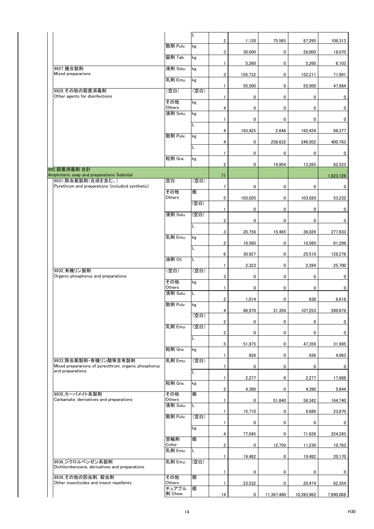|                                                                               |                    | L    |                         |             |             |             |           |
|-------------------------------------------------------------------------------|--------------------|------|-------------------------|-------------|-------------|-------------|-----------|
|                                                                               | 散剤 Pulv.           | kg   | $\overline{\mathbf{2}}$ | 1,120       | 75,565      | 87,295      | 108,313   |
|                                                                               | 錠剤 Tab.            | kg   | 3                       | 30,000      | 0           | 28,000      | 18,070    |
| 9927 複合製剤                                                                     | 液剤 Solu.           | kg   | $\mathbf{1}$            | 5,260       | 0           | 5,260       | 6,103     |
| Mixed prepararions                                                            | 乳剤 Emu.            | kg   | 3                       | 155,732     | 0           | 152,211     | 71,991    |
| 9929 その他の殺菌消毒剤                                                                | (空白)               | (空白) | 1                       | 55,500      | 0           | 55,500      | 47,984    |
| Other agents for disinfections                                                | その他                | kg   | 1                       | 0           | 0           | 0           | 0         |
|                                                                               | Others<br>液剤 Solu. | kg   | 4                       | 0           | 0           | $\pmb{0}$   | 0         |
|                                                                               |                    | L    | 1                       | 0           | 0           | 0           | 0         |
|                                                                               | 散剤 Pulv.           | kg   | 4                       | 193,425     | 2,646       | 192,434     | 88,377    |
|                                                                               |                    | L    | 4                       | 0           | 258,632     | 246,502     | 400,763   |
|                                                                               |                    |      | 1                       | 0           | 0           | 0           | 0         |
|                                                                               | 粒剤 Gra.            | kg   | $\overline{\mathbf{2}}$ | 0           | 14.904      | 13,265      | 82,523    |
| 992 殺菌消毒剤 合計<br>Amphoteric soap and preparations Subtotal                     |                    |      | 71                      |             |             |             | 1,823,128 |
| 9931 除虫菊製剤(合成を含む。)<br>Pyrethrum and preparations (includind synthetic)        | 空白                 | (空白) | 7                       | 0           | 0           | 0           | 0         |
|                                                                               | その他<br>Others      | 個    | 5                       | 103,020     | 0           | 103,020     | 53,232    |
|                                                                               |                    | (空白) | 1                       | 0           | 0           | 0           | 0         |
|                                                                               | 液剤 Solu.           | (空白) | $\overline{\mathbf{c}}$ | 0           | 0           | 0           | 0         |
|                                                                               |                    | L    |                         |             |             |             |           |
|                                                                               | 乳剤 Emu.            | kg   | 3                       | 20,756      | 15,465      | 36,029      | 277,933   |
|                                                                               |                    | Г    | $\overline{\mathbf{c}}$ | 10,560      | 0           | 10,560      | 61,299    |
|                                                                               | 油剤 Oil             | Г    | 6                       | 30,927      | 0           | 25,510      | 128,276   |
| 9932 有機リン製剤                                                                   | (空白)               | (空白) | $\mathbf{1}$            | 2,323       | $\mathbf 0$ | 2,284       | 25,700    |
| Organic phosphorus and preparations                                           | その他                | kg   | 3                       | 0           | $\mathbf 0$ | $\mathbf 0$ | 0         |
|                                                                               | Others<br>液剤 Solu. | L    | 1                       | 0           | 0           | 0           | 0         |
|                                                                               | 散剤 Pulv.           |      | $\overline{\mathbf{c}}$ | 1,014       | 0           | 838         | 6,616     |
|                                                                               |                    | kg   | 4                       | 86,970      | 31,350      | 107,253     | 280,879   |
|                                                                               |                    | (空白) | $\overline{2}$          | 0           | 0           | 0           | 0         |
|                                                                               | 乳剤 Emu.            | (空白) | $\overline{2}$          | 0           | 0           | 0           | 0         |
|                                                                               |                    | L    | 5                       | 51,875      | 0           | 47,359      | 31,995    |
|                                                                               | 粒剤 Gra.            | kg   | $\mathbf{1}$            | 926         | 0           | 926         | 4,063     |
| 9933 除虫菊製剤・有機リン酸等含有製剤<br>Mixed prepararions of pyrecthrum, organic phosphorus | 乳剤 Emu.            | (空白) | $7\overline{ }$         | 0           | 0           | 0           | 0         |
| and preparations                                                              |                    | L    | $\mathbf{1}$            | 2,277       | 0           | 2,277       | 17,988    |
|                                                                               | 粒剤 Gra.            | kg   |                         |             |             |             |           |
| 9935 カーバメイト系製剤                                                                | その他                | 個    | $\overline{2}$          | 4,390       | 0           | 4,390       | 5,644     |
| Carbamate, derivatives and preparations                                       | Others<br>液剤 Solu. | L    | $\mathbf{1}$            | 0           | 51,840      | 58,342      | 164,740   |
|                                                                               | 散剤 Pulv.           | (空白) | $\mathbf{1}$            | 15,710      | 0           | 8,680       | 23,870    |
|                                                                               |                    | kg   | $\mathbf{1}$            | 0           | 0           | 0           | 0         |
|                                                                               | 首輪剤                | 個    | 4                       | 77,045      | 0           | 71,626      | 224,283   |
|                                                                               | Collor<br>乳剤 Emu.  | L.   | $\mathbf{2}$            | 0           | 12,750      | 11,230      | 10,763    |
| 9936 ジクロルベンゼン系製剤                                                              | 乳剤 Emu.            | (空白) | $\mathbf{1}$            | 19,482      | 0           | 19,482      | 20,170    |
| Dichilorobenzene, derivatives and preparations                                |                    |      | $\mathbf{1}$            | 0           | 0           | 0           | 0         |
| 9939 その他の防虫剤, 殺虫剤<br>Other insecticides and insect repellents                 | その他                | 個    |                         |             |             |             |           |
|                                                                               | Others<br>チュアブル    | 個    | 1                       | 23,532      | 0           | 20,474      | 62,354    |
|                                                                               | 剤 Chew.            |      | 14                      | $\mathbf 0$ | 11,367,480  | 10,393,962  | 7,890,068 |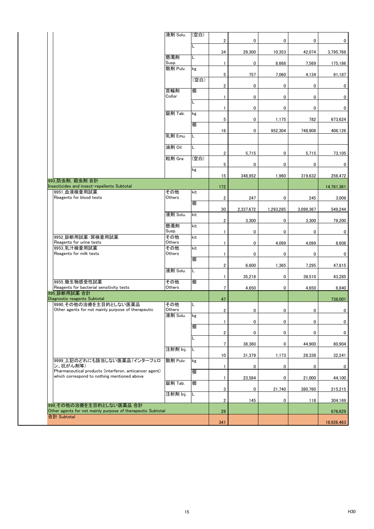|                                                                                                       | 液剤 Solu.      | (空白) |                         |                  |           |             |            |
|-------------------------------------------------------------------------------------------------------|---------------|------|-------------------------|------------------|-----------|-------------|------------|
|                                                                                                       |               | L    | $\boldsymbol{2}$        | 0                | 0         | $\mathbf 0$ | 0          |
|                                                                                                       | 懸濁剤           | L.   | 34                      | 29,300           | 10,353    | 42.074      | 3,795,788  |
|                                                                                                       | Susp.         |      | $\mathbf{1}$            | 0                | 8,668     | 7,569       | 175,186    |
|                                                                                                       | 散剤 Pulv.      | kg   | 5                       | 757              | 7,060     | 4,134       | 91,187     |
|                                                                                                       |               | (空白) | $\overline{\mathbf{c}}$ | 0                | 0         | 0           | 0          |
|                                                                                                       | 首輪剤<br>Collor | 個    | $\mathbf{1}$            | 0                | 0         | 0           | 0          |
|                                                                                                       |               | L    | $\mathbf{1}$            | 0                | 0         | 0           | 0          |
|                                                                                                       | 錠剤 Tab.       | kg   | 5                       | 0                | 1,175     | 782         | 673,624    |
|                                                                                                       |               | 個    | 16                      | 0                | 952,304   | 748,908     | 406,126    |
|                                                                                                       | 乳剤 Emu.       | L    |                         |                  |           |             |            |
|                                                                                                       | 油剤 Oil        | Г    | $\overline{\mathbf{2}}$ | 5,715            | 0         | 5,715       | 73,105     |
|                                                                                                       | 粒剤 Gra.       | (空白) | 5                       | 0                | 0         | 0           | 0          |
|                                                                                                       |               | kg   | 15                      | 348,952          | 1,960     | 319,632     | 256,472    |
| 993 防虫剤, 殺虫剤 合計<br>Insecticides and insect-repellents Subtotal                                        |               |      | 172                     |                  |           |             | 14,761,361 |
| 9951 血液検査用試薬<br>Reagents for blood tests                                                              | その他<br>Others | kit  | $\overline{\mathbf{2}}$ |                  |           |             | 3.009      |
|                                                                                                       |               | 個    | 30                      | 247<br>2,337,672 | 0         | 245         |            |
|                                                                                                       | 液剤 Solu.      | kit  |                         |                  | 1,293,285 | 3,099,367   | 549,244    |
|                                                                                                       | 懸濁剤           | kit  | $\overline{2}$          | 3,300            | 0         | 3,300       | 79,200     |
| 9952 診断用試薬: 尿検査用試薬                                                                                    | Susp.<br>その他  | kit  | $\mathbf{1}$            | 0                | 0         | 0           | 0          |
| Reagents for urine tests<br>9953 乳汁検査用試薬                                                              | Others<br>その他 | kit  | 1                       | 0                | 4,099     | 4,099       | 8,608      |
| Reagents for milk tests                                                                               | Others        | 個    | $\mathbf{1}$            | 0                | 0         | 0           | 0          |
|                                                                                                       | 液剤 Solu.      | L.   | $\overline{\mathbf{2}}$ | 6,600            | 1,365     | 7,295       | 47,815     |
| 9955 微生物感受性試薬                                                                                         | その他           | 個    | $\mathbf{1}$            | 35,218           | 0         | 38,510      | 43,285     |
| Reagents for bacterial sensitivity tests<br>995 診断用試薬 合計                                              | Others        |      | $\overline{7}$          | 4,650            | 0         | 4,650       | 6,840      |
| Diagnostic reagents Subtotal                                                                          |               |      | 47                      |                  |           |             | 738,001    |
| 9990 その他の治療を主目的としない医薬品<br>Other agents for not mainly purpose of therapeutic                          | その他<br>Others | L.   | $\boldsymbol{2}$        | 0                | 0         | 0           | $\pmb{0}$  |
|                                                                                                       | 液剤 Solu.      | kg   | $\mathbf{1}$            | 0                | 0         | 0           | 0          |
|                                                                                                       |               | 個    | $\overline{\mathbf{2}}$ | 0                | 0         | 0           | 0          |
|                                                                                                       |               | L    | 7                       | 38,360           | 0         | 44,900      | 80,904     |
|                                                                                                       | 注射剤 Inj.      | L    | 10                      | 31,379           | 1,173     | 28,338      | 32,241     |
| 9999_上記のどれにも該当しない医薬品(インターフェロ<br>ン、抗がん剤等)                                                              | 散剤 Pulv.      | kg   | $\mathbf{1}$            | 0                | 0         | 0           | 0          |
| Pharmaceutical products (interferon, anticancer agent)<br>which correspond to nothing mentioned above |               | 個    | 1                       | 23,584           | 0         | 21,000      | 44,100     |
|                                                                                                       | 錠剤 Tab.       | 個    | 3                       | 0                | 21,740    | 380,760     | 215,215    |
|                                                                                                       | 注射剤 Inj.      | L    | $\overline{2}$          | 145              | 0         | 118         | 304,169    |
| 999 その他の治療を主目的としない医薬品 合計<br>Other agents for not mainly purpose of therapeutic Subtotal               |               |      | 29                      |                  |           |             | 676,629    |
| 合計 Subtotal                                                                                           |               |      | 341                     |                  |           |             | 18,926,463 |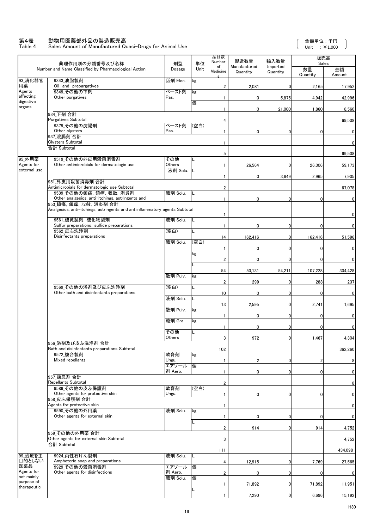#### 第4表 動物用医薬部外品の製造販売高

Table 4 Sales Amount of Manufactured Quasi-Drugs for Animal Use

 $\begin{array}{c} \end{array}$ 

|                          | 薬理作用別の分類番号及び名称                                                                                                                                            | 剤型               | 単位   | 品目数<br>Number           | 製造数量                     | 輸入数量                 | 販売高<br>Sales   |              |
|--------------------------|-----------------------------------------------------------------------------------------------------------------------------------------------------------|------------------|------|-------------------------|--------------------------|----------------------|----------------|--------------|
|                          | Number and Name Classified by Pharmacological Action                                                                                                      | Dosage           | Unit | of<br>Medicine          | Manufactured<br>Quantity | Imported<br>Quantity | 数量<br>Quantity | 金額<br>Amount |
| 93_消化器官<br>用薬            | 9343 油脂製剤<br>Oil and prepargatives                                                                                                                        | 舐剤 Elec.         | kg   | $\overline{2}$          | 2,081                    | $\mathbf 0$          | 2,165          | 17,952       |
| Agents<br>affecting      | 9349 その他の下剤<br>Other purgatives                                                                                                                           | ペースト剤<br>Pas.    | kg   | $\mathbf{1}$            | 0                        | 5,875                | 4,942          | 42,996       |
| digestive<br>organs      |                                                                                                                                                           |                  | 個    | 1                       | 0                        | 21,000               | 1,860          | 8,560        |
|                          | 934 下剤 合計<br>Purgatives Subtotal                                                                                                                          |                  |      | 4                       |                          |                      |                | 69,508       |
|                          | 9379 その他の浣腸剤<br>Other clysters                                                                                                                            | ペースト剤<br>Pas.    | (空白) |                         |                          |                      |                |              |
|                          | 937 浣腸剤 合計                                                                                                                                                |                  |      | $\mathbf{1}$            | 0                        | 0                    | 0              | 0            |
|                          | <b>Clysters Subtotal</b><br>合計 Subtotal                                                                                                                   |                  |      | $\mathbf{1}$            |                          |                      |                |              |
| 95_外用薬                   | 9519 その他の外皮用殺菌消毒剤                                                                                                                                         | その他              | L    | 5                       |                          |                      |                | 69,508       |
| Agents for               | Other antimicrobials for dermatologic use                                                                                                                 | Others           |      | $\mathbf{1}$            | 26,564                   | 0                    | 26,306         | 59,173       |
| external use             |                                                                                                                                                           | 液剤 Solu.         |      | $\mathbf{1}$            | 0                        | 3,649                | 2,965          | 7,905        |
|                          | 951 外皮用殺菌消毒剤 合計<br>Antimicrobials for dermatologic use Subtotal                                                                                           |                  |      | $\overline{\mathbf{2}}$ |                          |                      |                | 67,078       |
|                          | 9539 その他の鎮痛、鎮痒、収斂、消炎剤                                                                                                                                     | 液剤 Solu.         | L    |                         |                          |                      |                |              |
|                          | Other analgesics, anti-itchings, astringents and<br>953 鎮痛. 鎮痒. 収斂. 消炎剤 合計<br>Analgesics, anti-itchings, astringents and antiinflammatory agents Subtotal |                  |      | $\mathbf{1}$            | 0                        | 0                    | 0              | 0            |
|                          | 9561_硫黄製剤, 硫化物製剤                                                                                                                                          | 液剤 Solu.         | L    | $\mathbf{1}$            |                          |                      |                |              |
|                          | Sulfur preparations, sulfide preparations                                                                                                                 |                  |      | $\mathbf{1}$            | 0                        | 0                    | 0              |              |
|                          | 9562 皮ふ洗浄剤<br>Disinfectants preparations                                                                                                                  | (空白)             |      | 14                      | 162,416                  | 0                    | 162,416        | 51,596       |
|                          |                                                                                                                                                           | 液剤 Solu.         | (空白) | $\overline{1}$          | 0                        | 0                    | 0              |              |
|                          |                                                                                                                                                           |                  | kg   |                         |                          |                      | 0              |              |
|                          |                                                                                                                                                           |                  |      | $\overline{\mathbf{2}}$ | 0                        | 0                    |                | 0            |
|                          |                                                                                                                                                           | 散剤 Pulv.         | kg   | 54                      | 50,131                   | 54,211               | 107,228        | 304,428      |
|                          | 9569 その他の浴剤及び皮ふ洗浄剤                                                                                                                                        | (空白)             |      | $\overline{\mathbf{2}}$ | 299                      | 0                    | 288            | 237          |
|                          | Other bath and disinfectants preparations                                                                                                                 |                  |      | 10                      | 0                        | 0                    | O              | 0            |
|                          |                                                                                                                                                           | 液剤 Solu.         | L    | 13                      | 2,595                    | $\overline{0}$       | 2,741          | 1,695        |
|                          |                                                                                                                                                           | 散剤 Pulv.         | kg   | $\overline{1}$          | 0                        | 0                    | 0              | 0            |
|                          |                                                                                                                                                           | 粒剤 Gra.          | kg   | $\mathbf{1}$            | 0                        | 0                    | 0              | n            |
|                          |                                                                                                                                                           | その他              | L    |                         |                          |                      |                |              |
|                          | 956 浴剤及び皮ふ洗浄剤 合計                                                                                                                                          | Others           |      | 3                       | 972                      | $\overline{0}$       | 1,467          | 4,304        |
|                          | Bath and disinfectants preparations Subtotal<br>9572 複合製剤                                                                                                 | 軟膏剤              | kg   | 102                     |                          |                      |                | 362,260      |
|                          | Mixed repellants                                                                                                                                          | Ungu.<br>エアゾール   | 個    | $\mathbf{1}$            | 2                        | 0                    | 2              |              |
|                          |                                                                                                                                                           | 剤 Aero.          |      | $\mathbf{1}$            | 0                        | $\overline{0}$       | 0              | 0            |
|                          | 957 嫌忌剤 合計<br>Repellants Subtotal                                                                                                                         |                  |      | 2                       |                          |                      |                |              |
|                          | 9589 その他の皮ふ保護剤<br>Other agents for protective skin                                                                                                        | 軟膏剤<br>Ungu.     | (空白) | 1                       | 0                        | 0                    | 0              | 0            |
|                          | 958 皮ふ保護剤 合計                                                                                                                                              |                  |      |                         |                          |                      |                |              |
|                          | Agents for protective skin<br>9590 その他の外用薬                                                                                                                | 液剤 Solu.         | kg   | 1                       |                          |                      |                | 0            |
|                          | Other agents for external skin                                                                                                                            |                  |      | 1                       | 0                        | 0                    | 0              | 0            |
|                          | 959 その他の外用薬 合計                                                                                                                                            |                  |      | 2                       | 914                      | 0                    | 914            | 4,752        |
|                          | Other agents for external skin Subtotal                                                                                                                   |                  |      | 3                       |                          |                      |                | 4,752        |
|                          | 合計 Subtotal                                                                                                                                               |                  |      | 111                     |                          |                      |                | 434,098      |
| 99 治療を主<br>目的としない        | 9924 両性石けん製剤<br>Amphoteric soap and preparations                                                                                                          | 液剤 Solu.         |      | 4                       | 12,915                   | 0                    | 7,769          | 27,565       |
| 医薬品<br>Agents for        | 9929 その他の殺菌消毒剤<br>Other agents for disinfections                                                                                                          | エアゾール<br>剤 Aero. | 個    | 2                       | 0                        | 0                    | 0              | 0            |
| not mainly<br>purpose of |                                                                                                                                                           | 液剤 Solu.         | 個    |                         |                          |                      |                |              |
| therapeutic              |                                                                                                                                                           |                  | L    | 1                       | 71,892                   | 0                    | 71,892         | 11,951       |
|                          |                                                                                                                                                           |                  |      | $\mathbf{1}$            | 7,290                    | 0                    | 6,696          | 15,192       |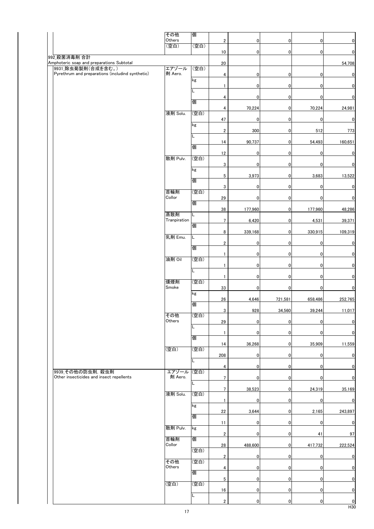|                                                                 | その他            | 個    |                         |                |                |             |                         |
|-----------------------------------------------------------------|----------------|------|-------------------------|----------------|----------------|-------------|-------------------------|
|                                                                 | Others<br>(空白) | (空白) | $\overline{\mathbf{2}}$ | $\overline{0}$ | $\mathbf{0}$   | 0           | $\mathbf 0$             |
|                                                                 |                |      | 10                      | $\overline{0}$ | $\overline{0}$ | 0           | $\overline{0}$          |
| 992 殺菌消毒剤 合計                                                    |                |      |                         |                |                |             |                         |
| Amphoteric soap and preparations Subtotal<br>9931 除虫菊製剤(合成を含む。) | エアゾール          | (空白) | 20                      |                |                |             | 54,708                  |
| Pyrethrum and preparations (includind synthetic)                | 剤 Aero.        |      | 4                       | $\overline{0}$ | $\pmb{0}$      | 0           | $\pmb{\mathsf{0}}$      |
|                                                                 |                | kg   |                         | $\mathbf 0$    | $\mathbf 0$    |             | $\mathbf{0}$            |
|                                                                 |                | L    | 1                       |                |                | 0           |                         |
|                                                                 |                |      | 4                       | $\overline{0}$ | $\mathbf 0$    | $\mathbf 0$ | $\mathbf 0$             |
|                                                                 |                | 個    | 4                       | 70,224         | $\overline{0}$ | 70,224      | 24,981                  |
|                                                                 | 液剤 Solu.       | (空白) |                         |                |                |             |                         |
|                                                                 |                |      | 47                      | $\mathbf 0$    | 0              | $\mathbf 0$ | $\mathbf{0}$            |
|                                                                 |                | kg   | $\overline{\mathbf{c}}$ | 300            | $\pmb{0}$      | 512         | 773                     |
|                                                                 |                | L.   |                         |                |                |             |                         |
|                                                                 |                | 個    | 14                      | 90,737         | 0              | 54,493      | 160,651                 |
|                                                                 |                |      | 12                      | $\mathbf 0$    | $\mathbf 0$    | 0           | $\overline{\mathbf{0}}$ |
|                                                                 | 散剤 Pulv.       | (空白) |                         |                |                |             |                         |
|                                                                 |                | kg   | 3                       | $\overline{0}$ | $\mathbf 0$    | 0           | $\pmb{0}$               |
|                                                                 |                |      | 5                       | 3,973          | $\pmb{0}$      | 3,683       | 13,522                  |
|                                                                 |                | 個    | 3                       | $\overline{0}$ | $\mathbf 0$    | 0           | $\mathbf{0}$            |
|                                                                 | 首輪剤            | (空白) |                         |                |                |             |                         |
|                                                                 | Collor         | 個    | 29                      | $\mathbf 0$    | 0              | 0           | $\mathbf{0}$            |
|                                                                 |                |      | 38                      | 177,960        | $\overline{0}$ | 177,960     | 48,286                  |
|                                                                 | 蒸散剤            |      |                         |                |                |             |                         |
|                                                                 | Tranpiration   | 個    | $\overline{7}$          | 6,420          | $\mathbf 0$    | 4,531       | 39,371                  |
|                                                                 |                |      | 8                       | 339,168        | $\overline{0}$ | 330,915     | 109,319                 |
|                                                                 | 乳剤 Emu.        | L.   |                         |                |                |             |                         |
|                                                                 |                | 個    | $\overline{\mathbf{2}}$ | $\overline{0}$ | $\pmb{0}$      | 0           | $\pmb{\mathsf{0}}$      |
|                                                                 |                |      | $\mathbf{1}$            | $\overline{0}$ | $\mathbf 0$    | 0           | $\pmb{\mathsf{0}}$      |
|                                                                 | 油剤 Oil         | (空白) | $\mathbf{1}$            | $\overline{0}$ | $\mathbf 0$    | 0           | $\mathbf 0$             |
|                                                                 |                | L.   |                         |                |                |             |                         |
|                                                                 | 燻煙剤            | (空白) | $\mathbf{1}$            | $\overline{0}$ | $\mathbf 0$    | $\mathbf 0$ | $\pmb{\mathsf{0}}$      |
|                                                                 | Smoke          |      | 33                      | $\overline{0}$ | $\mathbf 0$    | 0           | $\mathbf 0$             |
|                                                                 |                | kg   |                         |                |                |             |                         |
|                                                                 |                | 個    | 26                      | 4,646          | 721,581        | 658,486     | 252,765                 |
|                                                                 |                |      | 3                       | 928            | 34,560         | 39,244      | 11,017                  |
|                                                                 | その他<br>Others  | (空白) | 29                      |                | $\mathbf{0}$   |             | $\mathbf 0$             |
|                                                                 |                | L.   |                         | $\overline{0}$ |                | $\mathbf 0$ |                         |
|                                                                 |                |      | 1                       | $\overline{0}$ | $\mathbf{0}$   | 0           | $\mathbf 0$             |
|                                                                 |                | 個    | 14                      | 36,268         | $\mathbf{0}$   | 35,909      | 11,559                  |
|                                                                 | (空白)           | (空白) |                         |                |                |             |                         |
|                                                                 |                | L    | 208                     | $\mathbf 0$    | $\overline{0}$ | $\pmb{0}$   | $\mathbf 0$             |
|                                                                 |                |      | 4                       | $\overline{0}$ | $\mathbf 0$    | 0           | $\mathbf 0$             |
| 9939 その他の防虫剤, 殺虫剤                                               | エアゾール          | (空白) |                         |                |                |             |                         |
| Other insecticides and insect repellents                        | 剤 Aero.        | L    | $7\phantom{.0}$         | $\mathbf 0$    | $\mathbf{0}$   | 0           | $\mathbf 0$             |
|                                                                 |                |      | $7\phantom{.0}$         | 38,523         | $\overline{0}$ | 24,319      | 35,169                  |
|                                                                 | 液剤 Solu.       | (空白) |                         | $\mathbf 0$    | $\overline{0}$ | 0           | $\pmb{\mathsf{0}}$      |
|                                                                 |                | kg   | 1                       |                |                |             |                         |
|                                                                 |                |      | 22                      | 3,644          | $\overline{0}$ | 2,165       | 243,897                 |
|                                                                 |                | 個    | 11                      | $\overline{0}$ | $\overline{0}$ | 0           | $\pmb{0}$               |
|                                                                 | 散剤 Pulv.       | kg   |                         |                |                |             |                         |
|                                                                 | 首輪剤            | 個    | $\overline{2}$          | $\overline{0}$ | $\pmb{0}$      | 41          | 97                      |
|                                                                 | Collor         |      | 28                      | 488,600        | $\overline{0}$ | 417,732     | 222,524                 |
|                                                                 |                | (空白) |                         |                |                |             |                         |
|                                                                 | その他            | (空白) | $\overline{2}$          | $\overline{0}$ | $\overline{0}$ | $\mathbf 0$ | $\mathbf 0$             |
|                                                                 | Others         |      | 4                       | $\overline{0}$ | $\overline{0}$ | 0           | $\pmb{\mathsf{0}}$      |
|                                                                 |                | 個    |                         |                |                |             | $\mathbf 0$             |
|                                                                 | (空白)           | (空白) | 5                       | $\overline{0}$ | $\overline{0}$ | $\mathbf 0$ |                         |
|                                                                 |                |      | 16                      | $\overline{0}$ | $\mathbf{0}$   | 0           | $\mathbf{0}$            |
|                                                                 |                | L.   | $\overline{2}$          | $\mathbf 0$    | $\mathbf{0}$   | 0           | $\mathbf{0}$            |
|                                                                 |                |      |                         |                |                |             |                         |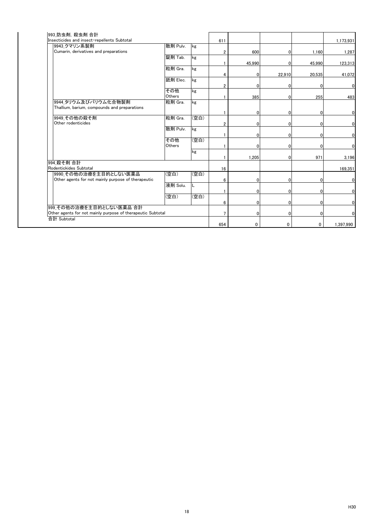|                                                                            |                                                                      |                            |                       |          |                                                                                                                                   | 1,173,931                   |
|----------------------------------------------------------------------------|----------------------------------------------------------------------|----------------------------|-----------------------|----------|-----------------------------------------------------------------------------------------------------------------------------------|-----------------------------|
|                                                                            | kg                                                                   |                            |                       |          |                                                                                                                                   |                             |
|                                                                            |                                                                      | $\overline{2}$             |                       | $\Omega$ |                                                                                                                                   | 1,287                       |
| 錠剤 Tab.                                                                    | kg                                                                   |                            |                       |          |                                                                                                                                   |                             |
|                                                                            |                                                                      |                            |                       | $\Omega$ | 45.990                                                                                                                            | 123,313                     |
| 粒剤 Gra.                                                                    | kg                                                                   |                            |                       |          |                                                                                                                                   |                             |
|                                                                            |                                                                      | 4                          |                       |          | 20,535                                                                                                                            | 41,072                      |
| 舐剤 Elec.                                                                   | kg                                                                   |                            |                       |          |                                                                                                                                   |                             |
|                                                                            |                                                                      | $\overline{2}$             |                       | $\Omega$ | 0                                                                                                                                 | $\overline{0}$              |
| その他                                                                        | kg                                                                   |                            |                       |          |                                                                                                                                   |                             |
| Others                                                                     |                                                                      |                            |                       | $\Omega$ | 255                                                                                                                               | 483                         |
| 粒剤 Gra.                                                                    | kg                                                                   |                            |                       |          |                                                                                                                                   |                             |
|                                                                            |                                                                      |                            |                       |          |                                                                                                                                   |                             |
|                                                                            |                                                                      |                            |                       | $\Omega$ | $\Omega$                                                                                                                          | $\overline{0}$              |
|                                                                            |                                                                      |                            |                       |          |                                                                                                                                   |                             |
|                                                                            |                                                                      | $\overline{2}$             |                       | $\Omega$ | $\Omega$                                                                                                                          | $\overline{0}$              |
|                                                                            |                                                                      |                            |                       |          |                                                                                                                                   |                             |
|                                                                            |                                                                      |                            |                       | 0        | $\Omega$                                                                                                                          | $\overline{0}$              |
|                                                                            |                                                                      |                            |                       |          |                                                                                                                                   |                             |
|                                                                            |                                                                      |                            | n                     | $\Omega$ | $\Omega$                                                                                                                          | $\overline{0}$              |
|                                                                            | kg                                                                   |                            |                       |          |                                                                                                                                   |                             |
|                                                                            |                                                                      |                            |                       | $\Omega$ | 971                                                                                                                               | 3,196                       |
|                                                                            |                                                                      |                            |                       |          |                                                                                                                                   |                             |
|                                                                            |                                                                      | 16                         |                       |          |                                                                                                                                   | 169,351                     |
|                                                                            |                                                                      |                            |                       |          |                                                                                                                                   |                             |
|                                                                            |                                                                      | 6                          |                       | 0        | 0                                                                                                                                 | $\mathbf 0$                 |
|                                                                            | L                                                                    |                            |                       |          |                                                                                                                                   |                             |
|                                                                            |                                                                      |                            |                       | $\Omega$ | $\overline{0}$                                                                                                                    | $\overline{0}$              |
| (空白)                                                                       | (空白)                                                                 |                            |                       |          |                                                                                                                                   |                             |
|                                                                            |                                                                      | 6                          |                       |          | $\overline{0}$                                                                                                                    | $\overline{0}$              |
| 999 その他の治療を主目的としない医薬品 合計                                                   |                                                                      |                            |                       |          |                                                                                                                                   |                             |
| Other agents for not mainly purpose of therapeutic Subtotal<br>合計 Subtotal |                                                                      |                            |                       | $\Omega$ | $\Omega$                                                                                                                          | $\mathbf{0}$                |
|                                                                            |                                                                      |                            |                       |          |                                                                                                                                   |                             |
|                                                                            |                                                                      | 654                        | 0                     | 0        | 0                                                                                                                                 | 1,397,990                   |
|                                                                            | 散剤 Pulv.<br>粒剤 Gra.<br>散剤 Pulv.<br>その他<br>Others<br>(空白)<br>液剤 Solu. | (空白)<br>kg<br>(空白)<br>(空白) | 611<br>$\overline{7}$ |          | 600<br>45,990<br>0<br>$\Omega$<br>385<br>$\Omega$<br>0<br>$\Omega$<br>1,205<br>$\Omega$<br>$\Omega$<br>$\overline{0}$<br>$\Omega$ | 1.160<br>22,910<br>$\Omega$ |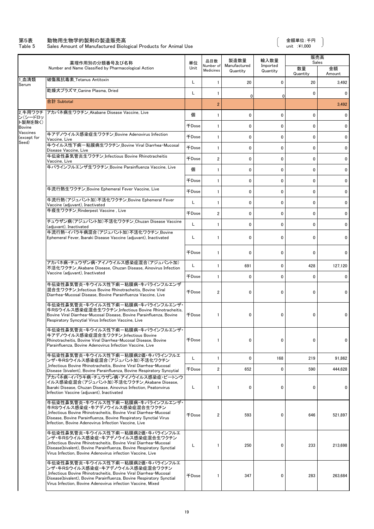#### 第5表 動物用生物学的製剤の製造販売高 金額単位:千円

Table 5 Sales Amount of Manufactured Biological Products for Animal Use unit :¥1,000

 $\begin{array}{c} \end{array}$ 

|                          | 薬理作用別の分類番号及び名称                                                                                                                                                                                                                                                                 |              | 品目数                    | 製造数量                     | 輸入数量                 | 販売高            | Sales        |
|--------------------------|--------------------------------------------------------------------------------------------------------------------------------------------------------------------------------------------------------------------------------------------------------------------------------|--------------|------------------------|--------------------------|----------------------|----------------|--------------|
|                          | Number and Name Classified by Pharmacological Action                                                                                                                                                                                                                           | 単位<br>Unit   | Number of<br>Medicines | Manufactured<br>Quantity | Imported<br>Quantity | 数量<br>Quantity | 金額<br>Amount |
| 1 血清類<br>Serum           | 破傷風抗毒素 Tetanus Antitoxin                                                                                                                                                                                                                                                       | L            | $\mathbf{1}$           | 20                       | $\mathbf 0$          | 20             | 3,492        |
|                          | 乾燥犬プラズマ Canine Plasma, Dried                                                                                                                                                                                                                                                   | L            | 1                      | 0                        | 0                    | 0              | 0            |
|                          | 合計 Subtotal                                                                                                                                                                                                                                                                    |              | $\overline{2}$         |                          |                      |                | 3,492        |
| 2 牛用ワクチ<br>ン(シードロッ       | アカバネ病生ワクチン Akabane Disease Vaccine, Live                                                                                                                                                                                                                                       | 個            | $\mathbf{1}$           | $\mathbf{0}$             | $\mathbf 0$          | 0              | 0            |
| ト製剤を除く)<br><b>Bovine</b> |                                                                                                                                                                                                                                                                                | 千Dose        | $\mathbf{1}$           | $\mathbf{0}$             | $\mathbf 0$          | $\mathbf 0$    | $\mathbf{0}$ |
| Vaccines<br>except for)  | 牛アデノウイルス感染症生ワクチン Bovine Adenovirus Infection<br>Vaccine, Live                                                                                                                                                                                                                  | 千Dose        | $\mathbf{1}$           | 0                        | 0                    | 0              | 0            |
| Seed)                    | 牛ウイルス性下痢-粘膜病生ワクチン_Bovine Viral Diarrhea-Mucosal<br>Disease Vaccine, Live                                                                                                                                                                                                       | <b>千Dose</b> | $\mathbf{1}$           | 0                        | $\mathbf{0}$         | $\mathbf{0}$   | 0            |
|                          | 牛伝染性鼻気管炎生ワクチン Infectious Bovine Rhinotracheitis<br>Vaccine, Live                                                                                                                                                                                                               | <b>千Dose</b> | $\overline{2}$         | 0                        | 0                    | 0              | 0            |
|                          | 牛パラインフルエンザ生ワクチン Bovine Parainfluenza Vaccine, Live                                                                                                                                                                                                                             | 個            | $\mathbf{1}$           | 0                        | $\mathbf 0$          | 0              | $\mathbf 0$  |
|                          |                                                                                                                                                                                                                                                                                | <b>千Dose</b> | $\mathbf{1}$           | 0                        | $\mathbf{0}$         | $\mathbf{0}$   | $\mathbf 0$  |
|                          | 牛流行熱生ワクチン Bovine Ephemeral Fever Vaccine. Live                                                                                                                                                                                                                                 | 千Dose        | $\mathbf{1}$           | 0                        | $\mathbf 0$          | 0              | 0            |
|                          | 牛流行熱(アジュバント加)不活化ワクチン_Bovine Ephemeral Fever<br>Vaccine (adjuvant), Inactivated                                                                                                                                                                                                 | L            | $\mathbf{1}$           | $\mathbf{0}$             | $\mathbf 0$          | $\mathbf{0}$   | $\mathbf{0}$ |
|                          | 牛疫生ワクチン Rinderpest Vaccine, Live                                                                                                                                                                                                                                               | <b>千Dose</b> | $\overline{2}$         | 0                        | 0                    | $\mathbf{0}$   | 0            |
|                          | チュウザン病(アジュバント加)不活化ワクチン Chuzan Disease Vaccine<br>(adiuvant). Inactivated                                                                                                                                                                                                       | L            | $\mathbf{1}$           | $\mathbf{0}$             | $\mathbf 0$          | 0              | $\mathbf{0}$ |
|                          | 牛流行熱・イバラキ病混合(アジュバント加)不活化ワクチン Bovine                                                                                                                                                                                                                                            |              |                        |                          |                      |                |              |
|                          | Ephemeral Fever, Ibaraki Disease Vaccine (adjuvant), Inactivated                                                                                                                                                                                                               | L            | $\mathbf{1}$           | $\mathbf{0}$             | 0                    | 0              | 0            |
|                          |                                                                                                                                                                                                                                                                                | <b>千Dose</b> | $\mathbf{1}$           | $\mathbf{0}$             | 0                    | 0              | $\mathbf{0}$ |
|                          | アカバネ病・チュウザン病・アイノウイルス感染症混合(アジュバント加)<br>不活化ワクチン Akabane Disease, Chuzan Disease, Ainovirus Infection                                                                                                                                                                             | L            | $\mathbf{1}$           | 691                      | $\mathbf 0$          | 428            | 127,120      |
|                          | Vaccine (adjuvant), Inactivated                                                                                                                                                                                                                                                | <b>千Dose</b> | $\mathbf{1}$           | 0                        | 0                    | $\mathbf 0$    | 0            |
|                          | 牛伝染性鼻気管炎・牛ウイルス性下痢-粘膜病・牛パラインフルエンザ<br>混合生ワクチン Infectious Bovine Rhinotracheitis, Bovine Viral<br>Diarrhea-Mucosal Disease, Bovine Parainfluenza Vaccine, Live                                                                                                                    | 千Dose        | $\overline{2}$         | 0                        | 0                    | 0              | 0            |
|                          | 牛伝染性鼻気管炎・牛ウイルス性下痢-粘膜病・牛パラインフルエンザ・<br>牛RSウイルス感染症混合生ワクチン Infectious Bovine Rhinotracheitis,<br>Bovine Viral Diarrhea-Mucosal Disease, Bovine Parainfluenza, Bovine<br>Respiratory Syncytial Virus Infection Vaccine, Live                                                        | <b>千Dose</b> | $\mathbf{1}$           | 0                        | 0                    | 0              | 0            |
|                          | 牛伝染性鼻気管炎・牛ウイルス性下痢-粘膜病・牛パラインフルエンザ・<br>牛アデノウイルス感染症混合生ワクチン_Infectious Bovine<br>Rhinotracheitis, Bovine Viral Diarrhea-Mucosal Disease, Bovine<br>Parainfluenza, Bovine Adenovirus Infection Vaccine, Live                                                                        | $\mp$ Dose   | $\mathbf{1}$           | 0                        | 0                    | 0              | 0            |
|                          | 牛伝染性鼻気管炎・牛ウイルス性下痢-粘膜病2価・牛パラインフルエ<br>ンザ・牛RSウイルス感染症混合(アジュバント加)不活化ワクチン                                                                                                                                                                                                            | L            | $\mathbf{1}$           | 0                        | 168                  | 219            | 91,862       |
|                          | Infectious Bovine Rhinotracheitis, Bovine Viral Diarrhea-Mucosal<br>Disease (bivalent), Bovine Parainfluenza, Bovine Respiratory Syncytial                                                                                                                                     | 千Dose        | 2                      | 652                      | 0                    | 590            | 444,628      |
|                          | アカバネ病・イバラキ病・チュウザン病・アイノウイルス感染症・ピートンウ<br>イルス感染症混合(アジュバント加)不活化ワクチン Akabane Disease.<br>Ibaraki Disease, Chuzan Disease, Ainovirus Infection, Peatonvirus<br>Infection Vaccine (adjuvant), Inactivated                                                                             | L            | $\mathbf{1}$           | 0                        | 0                    | 0              | 0            |
|                          | 牛伝染性鼻気管炎・牛ウイルス性下痢-粘膜病・牛パラインフルエンザ・<br>牛RSウイルス感染症・牛アデノウイルス感染症混合生ワクチン<br>Infectious Bovine Rhinotracheitis, Bovine Viral Diarrhea-Mucosal<br>Disease, Bovine Parainfluenza, Bovine Respiratory Synctial Virus<br>Infection, Bovine Adenovirus Infection Vaccine, Live             | 千Dose        | 2                      | 593                      | 0                    | 646            | 521,897      |
|                          | 牛伝染性鼻気管炎・牛ウイルス性下痢-粘膜病2価・牛パラインフルエ<br>ンザ・牛RSウイルス感染症・牛アデノウイルス感染症混合生ワクチン<br>Infectious Bovine Rhinotracheitis, Bovine Viral Diarrhea-Mucosal<br>Disease(bivalent), Bovine Parainfluenza, Bovine Respiratory Synctial<br>Virus Infection, Bovine Adenovirus infection Vaccine, Live | L            | 1                      | 250                      | 0                    | 233            | 213,698      |
|                          | 牛伝染性鼻気管炎・牛ウイルス性下痢-粘膜病2価・牛パラインフルエ<br>ンザ・牛RSウイルス感染症・牛アデノウイルス感染症混合ワクチン<br>Infectious Bovine Rhinotracheitis, Bovine Viral Diarrhea-Mucosal<br>Disease(bivalent), Bovine Parainfluenza, Bovine Respiratory Synctial<br>Virus Infection, Bovine Adenovirus infection Vaccine, Mixed | 千Dose        | $\mathbf{1}$           | 347                      | 0                    | 283            | 263,684      |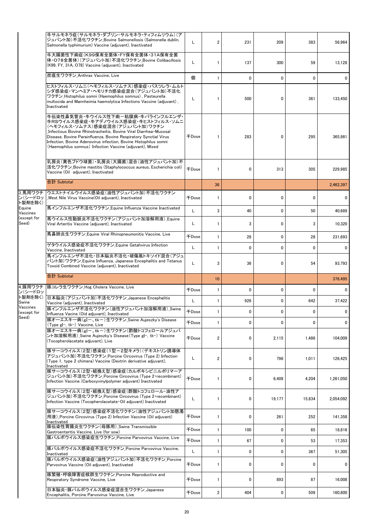|                               | 牛サルモネラ症(サルモネラ・ダブリン・サルモネラ・ティフィムリウム)(ア<br>ジュバント加)不活化ワクチン Bovine Salmonellosis (Salmonella dublin,<br>Salmonella typhimurium) Vaccine (adjuvant), Inactivated                                                                                                                                                                                                                                                                 | L            | $\overline{2}$ | 231          | 209          | 383         | 56,964       |
|-------------------------------|----------------------------------------------------------------------------------------------------------------------------------------------------------------------------------------------------------------------------------------------------------------------------------------------------------------------------------------------------------------------------------------------------------------------------|--------------|----------------|--------------|--------------|-------------|--------------|
|                               | 牛大腸菌性下痢症(K99保有全菌体·FY保有全菌体·31A保有全菌<br>体・O78全菌体)(アジュバント加)不活化ワクチン_Bovine Colibacillosis<br>(K99, FY, 31A, O78) Vaccine (adiuvant), Inactivated                                                                                                                                                                                                                                                                                | L            | 1              | 137          | 300          | 59          | 13.128       |
|                               | 炭疽生ワクチン Anthrax Vaccine, Live                                                                                                                                                                                                                                                                                                                                                                                              | 個            | $\mathbf{1}$   | $\mathbf{0}$ | $\mathbf{0}$ | $\mathbf 0$ | 0            |
|                               | ヒストフィルス・ソムニ(ヘモフィルス・ソムナス)感染症・パスツレラ・ムルト<br>シダ感染症・マンヘミア・ヘモリチカ感染症混合(アジュバント加)不活化<br>ワクチン Histophilus somni (Haemophilus somnus), Pasteurella<br>multocida and Mannheimia haemolytica Infections Vaccine (adjuvant),<br>Inactivated                                                                                                                                                                                              | L            | 1              | 500          | 0            | 361         | 133,450      |
|                               | 牛伝染性鼻気管炎・牛ウイルス性下痢-粘膜病・牛パラインフルエンザ・<br>牛RSウイルス感染症・牛アデノウイルス感染症・牛ヒストフィルス・ソムニ<br>(ヘモフィルス・ソムナス)感染症混合(アジュバント加)ワクチン<br>Infectious Bovine Rhinotracheitis, Bovine Viral Diarrhea-Mucosal<br>Disease, Bovine Parainfluenza, Bovine Respiratory Synctial Virus<br>Infection, Bovine Adenovirus infection, Bovine Histophilus somni<br>(Haemophilus somnus) Infection Vaccine (adjuvant), Mixed<br>乳房炎(黄色ブドウ球菌)・乳房炎(大腸菌)混合(油性アジュバント加)不 | 千Dose        | 1              | 283          | 0            | 295         | 365,981      |
|                               | 活化ワクチン_Bovine mastitis (Staphylococcus aureus, Escherichia coli)<br>Vaccine (Oil adjuvant), Inactivated                                                                                                                                                                                                                                                                                                                    | <b>+Dose</b> | $\mathbf{1}$   | $\mathbf{0}$ | 313          | 305         | 229,985      |
|                               | 合計 Subtotal                                                                                                                                                                                                                                                                                                                                                                                                                |              | 36             |              |              |             | 2,462,397    |
| 3 馬用ワクチ<br>ン(シードロッ<br>ト製剤を除く) | ウエストナイルウイルス感染症(油性アジュバント加)不活化ワクチン<br>West Nile Virus Vaccine(Oil adjuvant), Inactivated                                                                                                                                                                                                                                                                                                                                     | 千Dose        | 1              | 0            | 0            | 0           | 0            |
| Equine<br>Vaccines            | 馬インフルエンザ不活化ワクチン_Equine Influenza Vaccine Inactivated                                                                                                                                                                                                                                                                                                                                                                       | L            | 3              | 40           | $\mathbf{0}$ | 50          | 40,689       |
| (except for<br>Seed)          | 馬ウイルス性動脈炎不活化ワクチン(アジュバント加溶解用液) Equine<br>Viral Arteritis Vaccine (adjuvant), Inactivated                                                                                                                                                                                                                                                                                                                                    | L            | 1              | 3            | $\mathbf{0}$ | 3           | 10,320       |
|                               | 馬鼻肺炎生ワクチン Equine Viral Rhinopneumonitis Vaccine, Live                                                                                                                                                                                                                                                                                                                                                                      | 千Dose        | $\mathbf{1}$   | 28           | 0            | 28          | 231,693      |
|                               | ゲタウイルス感染症不活化ワクチン_Equine Getahvirus Infection<br>Vaccine, Inactivated                                                                                                                                                                                                                                                                                                                                                       | L            | $\mathbf{1}$   | 0            | 0            | 0           | 0            |
|                               | 馬インフルエンザ不活化・日本脳炎不活化・破傷風トキソイド混合(アジュ<br>バント加)ワクチン_Equine Influenza, Japanese Encephalitis and Tetanus<br>Toxoid Combined Vaccine (adjuvant), Inactivated                                                                                                                                                                                                                                                                     | L            | 3              | 36           | 0            | 54          | 93,793       |
|                               | 合計 Subtotal                                                                                                                                                                                                                                                                                                                                                                                                                |              | 10             |              |              |             | 376.495      |
| ン(シードロッ                       | 4_豚用ワクチ  豚コレラ生ワクチン_Hog Cholera Vaccine, Live                                                                                                                                                                                                                                                                                                                                                                               | 千Dose        | $\mathbf{1}$   | $\mathbf{0}$ | $\mathbf{0}$ | 0           | 0            |
| ト製剤を除く)<br>Swine              | 日本脳炎(アジュバント加)不活化ワクチン Japanese Encephalitis<br>Vaccine (adjuvant), Inactivated                                                                                                                                                                                                                                                                                                                                              | L            | $\mathbf{1}$   | 926          | 0            | 642         | 37,422       |
| Vaccines<br>(except for       | 豚インフルエンザ不活化ワクチン(油性アジュバント加溶解用液)_Swine<br>Influenza Vacine (Oid adjuvant), Inactivated                                                                                                                                                                                                                                                                                                                                       | <b>千Dose</b> |                | 0            | 0            | 0           | <sup>n</sup> |
| Seed)                         | 豚オーエスキー病(gI-、tk-)生ワクチン Swine Aujeszky's Disease<br>(Type gI−, tk−) Vaccine, Live                                                                                                                                                                                                                                                                                                                                           | 千Dose        | 1              | 0            | 0            | 0           | 0            |
|                               | 豚オーエスキー病(gI-、tk-)生ワクチン(酢酸トコフェロールアジュバ<br>ント加溶解用液)_Swine Aujeszky's Disease (Type gI-, tk-) Vaccine<br>(Tocopherolacetate adjuvant), Live                                                                                                                                                                                                                                                                                    | <b>千Dose</b> | 2              | 0            | 2,115        | 1,486       | 104,009      |
|                               | 豚サーコウイルス(2型)感染症(1型-2型キメラ)(デキストリン誘導体<br>アジュバント加)不活化ワクチン Porcine Circovirus (Type 2) Infection<br>(Type 1, type 2 chimera) Vaccine (Dextrin derivative adjuvant),<br>Inactivated                                                                                                                                                                                                                                             | L            | $\overline{2}$ | 0            | 798          | 1,011       | 126.425      |
|                               | 豚サーコウイルス(2型・組換え型)感染症(カルボキシビニルポリマーア<br>ジュバント加)不活化ワクチン_Porcine Circovirus (Type 2•recombinant)<br>Infection Vaccine (Carboxyvinylpolymer adjuvant) Inactivated                                                                                                                                                                                                                                                               | <b>千Dose</b> | 1              | 0            | 6,409        | 4,204       | 1,261,050    |
|                               | 豚サーコウイルス(2型・組換え型)感染症(酢酸トコフェロール・油性ア<br>ジュバント加)不活化ワクチン_Porcine Circovirus (Type 2 recombinant)<br>Infection Vaccine (Tocopherolacetate Oil adjuvant) Inactivated                                                                                                                                                                                                                                                             | Г            | 1              | 0            | 19,177       | 15,834      | 2,054,092    |
|                               | 豚サーコウイルス(2型)感染症不活化ワクチン(油性アジュバント加懸濁<br>用液) Porcine Circovirus (Type 2) Infection Vaccine (Oil adjuvant)<br>Inactivated                                                                                                                                                                                                                                                                                                      | <b>千Dose</b> | $\mathbf{1}$   | 0            | 261          | 252         | 141,358      |
|                               | 豚伝染性胃腸炎生ワクチン(母豚用) Swine Transmissible<br>Gastroenteritis Vaccine, Live (for sow)                                                                                                                                                                                                                                                                                                                                           | 千Dose        | $\mathbf{1}$   | 100          | $\mathbf 0$  | 65          | 18,816       |
|                               | 豚パルボウイルス感染症生ワクチン Porcine Parvovirus Vaccine, Live                                                                                                                                                                                                                                                                                                                                                                          | <b>千Dose</b> | $\mathbf{1}$   | 67           | 0            | 53          | 17,353       |
|                               | 豚パルボウイルス感染症不活化ワクチン_Porcine Parvovirus Vaccine,<br>Inactivated                                                                                                                                                                                                                                                                                                                                                              | L            | $\mathbf{1}$   | 0            | 0            | 367         | 51,305       |
|                               | 豚パルボウイルス感染症(油性アジュバント加)不活化ワクチン_Porcine<br>Parvovirus Vaccine (Oil adjuvant), Inactivated                                                                                                                                                                                                                                                                                                                                    | 千Dose        | $\mathbf{1}$   | 0            | 0            | 0           | 0            |
|                               | 豚繁殖・呼吸障害症候群生ワクチン_Porcine Reproductive and<br>Respiratory Syndrome Vaccine, Live                                                                                                                                                                                                                                                                                                                                            | 千Dose        | $\mathbf{1}$   | 0            | 893          | 87          | 16,008       |
|                               | 日本脳炎・豚パルボウイルス感染症混合生ワクチン Japanese                                                                                                                                                                                                                                                                                                                                                                                           |              |                |              |              |             |              |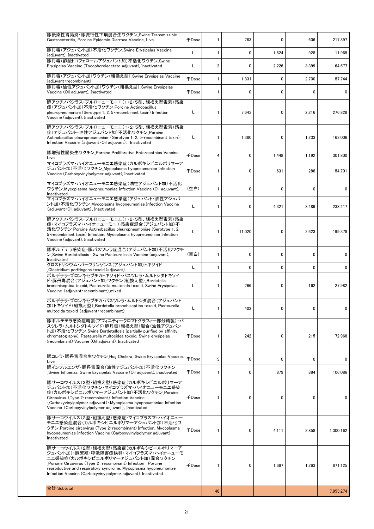| 豚伝染性胃腸炎・豚流行性下痢混合生ワクチン Swine Transmissible<br>Gastroenteritis, Porcine Epidemic Diarrhea Vaccine, Live                                                                                                                                                                                                           | 千Dose        | 1              | 763    | 0     | 606   | 217,897   |
|-----------------------------------------------------------------------------------------------------------------------------------------------------------------------------------------------------------------------------------------------------------------------------------------------------------------|--------------|----------------|--------|-------|-------|-----------|
| 豚丹毒(アジュバント加)不活化ワクチン_Swine Erysipelas Vaccine<br>(adjuvant), Inactivated                                                                                                                                                                                                                                         | Г            | $\mathbf{1}$   | 0      | 1,624 | 928   | 11.965    |
| 豚丹毒(酢酸トコフェロールアジュバント加)不活化ワクチン Swine<br>Erysipelas Vaccine (Tocopherolacetate adjuvant), Inactivated                                                                                                                                                                                                              | Г            | $\overline{2}$ | 0      | 2,226 | 3,399 | 64,577    |
| 豚丹毒(アジュバント加)ワクチン(組換え型)_Swine Erysipelas Vaccine<br>(adjuvant recombinant)                                                                                                                                                                                                                                       | <b>千Dose</b> | $\mathbf{1}$   | 1,831  | 0     | 2,700 | 57,744    |
| 豚丹毒(油性アジュバント加)ワクチン(組換え型)_Swine Erysipelas<br>Vaccine (Oil adjuvant), Inactivated                                                                                                                                                                                                                                | 千Dose        | $\mathbf{1}$   | 0      | 0     | 0     | 0         |
| 豚アクチノバシラス・プルロニューモニエ(1・2・5型、組換え型毒素)感染<br> 症(アジュバント加)不活化ワクチン Porcine Actinobacillus<br>pleuropneumoniae (Serotype 1, 2, 5 recombinant toxin) Infection<br>Vaccine (adjuvant), Inactivated                                                                                                                         | L            | 1              | 7,643  | 0     | 2,216 | 276,828   |
| 豚アクチノバシラス・プルロニューモニエ(1・2・5型、組換え型毒素)感染<br>症(アジュバント・油性アジュバント加)不活化ワクチン Porcine<br>Actinobacillus pleuropneumoniae (Serotype 1, 2, 5 recombinant toxin)<br>Infection Vaccine (adjuvant Oil adjuvant), Inactivated                                                                                                    | L            | 1              | 1,380  | 0     | 1,233 | 163,006   |
| 豚増殖性腸炎生ワクチン_Porcine Proliferative Enteropathies Vaccine,<br>Live                                                                                                                                                                                                                                                | 千Dose        | 4              | 0      | 1,448 | 1,192 | 301,800   |
| マイコプラズマ・ハイオニューモニエ感染症(カルボキシビニルポリマーア<br>ジュバント加) 不活化ワクチン_Mycoplasma hyopneumoniae Infection<br>Vaccine (Carboxyvinylpolymer adjuvant), Inactivated                                                                                                                                                                 | <b>千Dose</b> | 1              | 0      | 631   | 288   | 54,701    |
| マイコプラズマ・ハイオニューモニエ感染症(油性アジュバント加)不活化<br>ワクチン_Mycoplasma hyopneumoniae Infection Vaccine (Oil adjuvant),<br>Inactivated                                                                                                                                                                                            | (空白)         | $\mathbf{1}$   | 0      | 0     | 0     | 0         |
| マイコプラズマ・ハイオニューモニエ感染症(アジュバント・油性アジュバ<br>ント加)不活化ワクチン_Mycoplasma hyopneumoniae Infection Vaccine<br>(adjuvant Oil adjuvant), Inactivated                                                                                                                                                                            | Г            | 1              | 0      | 4,321 | 3,489 | 238,417   |
| 豚アクチノバシラス・プルロニューモニエ(1・2・5型、組換え型毒素)感染<br>症・マイコプラズマ・ハイオニューモニエ感染症混合(アジュバント加)不<br>活化ワクチン_Porcine Actinobacillus pleuropneumoniae (Serotype 1, 2,<br>5 recombinant toxin) Infection, Mycoplasma hyopneumoniae Infection<br>Vaccine (adjuvant), Inactivated                                                           | L            | 1              | 11,020 | 0     | 2,623 | 199,378   |
| 豚ボルデテラ感染症・豚パスツレラ症混合(アジュバント加)不活化ワクチ<br>$\mathcal{L}% _{k}(G)$ Swine Bordetellosis , Swine Pasteurellosis Vaccine (adjuvant),<br>Inactivated                                                                                                                                                                      | (空白)         | $\mathbf{1}$   | 0      | 0     | 0     | 0         |
| クロストリジウム・パーフリンゲンス(アジュバント加)トキソイド<br>Clostridium perfringens toxoid (adjuvant)                                                                                                                                                                                                                                    | L            | $\mathbf{1}$   | 0      | 0     | 0     | 0         |
| ボルデテラ・ブロンキセプチカトキソイド・パスツレラ・ムルトシダトキソイ<br>ド・豚丹毒混合(アジュバント加)ワクチン(組換え型) Bordetella<br>bronchiseptica toxoid, Pasteurella multocida toxoid, Swine Erysipelas<br>Vaccine (adjuvant recombinant), mixed                                                                                                                  | L            | 1              | 266    | 0     | 162   | 27,982    |
| ボルデテラ・ブロンキセプチカ・パスツレラ・ムルトシダ混合(アジュバント<br>加)トキソイド(組換え型) Bordetella bronchiseptica toxoid. Pasteurella<br>multocida toxoid (adjuvant recombinant)                                                                                                                                                                   | Г            | 1              | 403    | 0     | 0     | 0         |
| 豚ボルデテラ感染症精製(アフィニティークロマトグラフィー部分精製)・パ<br>スツレラ・ムルトシダトキソイド・豚丹毒(組換え型)混合(油性アジュバン<br>ト加) 不活化ワクチン Swine Bordetellosis (partially purified by affinity<br>chromatography), Pasteurella multocidea toxoid, Swine erysipelas<br>(recombinant) Vaccine (Oil adjuvant), Inactivated                                          | <b>千Dose</b> | 1              | 242    | 0     | 215   | 72,968    |
| 豚コレラ・豚丹毒混合生ワクチン_Hog Cholera, Swine Erysipelas Vaccine,<br>Live                                                                                                                                                                                                                                                  | <b>千Dose</b> | 5              | 0      | 0     | 0     | $\Omega$  |
| 豚インフルエンザ・豚丹毒混合(油性アジュバント加)不活化ワクチン<br>Swine Influenza, Swine Erysipelas Vaccine (Oil adjuvant), Inactivated                                                                                                                                                                                                       | 千Dose        | $\mathbf{1}$   | 0      | 879   | 884   | 106,086   |
| 豚サーコウイルス(2型・組換え型)感染症(カルボキシビニルポリマーア<br>ジュバント加)不活化ワクチン・マイコブラズマ・ハイオニューモニエ感染<br>症(カルボキシビニルポリマーアジュバント加)不活化ワクチン Porcine<br>Circovirus (Type 2 · recombinant) Infection Vaccine<br>(Carboxyvinylpolymer adjuvant) • Mycoplasma hyopneumoniae Infection<br>Vaccine (Carboxyvinylpolymer adjuvant), Inactivated          | 千Dose        | 1              | 0      | 0     | 0     | 0         |
| 豚サーコウイルス(2型・組換え型)感染症・マイコプラズマ・ハイオニュー<br>モニエ感染症混合(カルボキシビニルポリマーアジュバント加)不活化ワ<br>クチン Porcine circovirus (Type 2 recombinant) Infection, Mycoplasma<br>hyopneumoniae Infection Vaccine (Carboxyvinylpolymer adjuvant)<br>Inactivated                                                                                  | $\mp$ Dose   | 1              | 0      | 4,111 | 2,858 | 1,300,162 |
| 豚サーコウイルス(2型・組換え型)感染症(カルボキシビニルポリマーア<br>ジュバント加)・豚繁殖・呼吸障害症候群・マイコプラズマ・ハイオニューモ<br>ニエ感染症(カルボキシビニルポリマーアジュバント加)混合ワクチン<br>Porcine Circovirus (Type 2 recombinant) Infection, Porcine<br>reproductive and respiratory syndrome, Mycoplasma hyopneumoniae<br>Infection Vaccine (Carboxyvinylpolymer adjuvant), Inactivated | $\mp$ Dose   | 1              | 0      | 1,697 | 1,263 | 871,125   |
| 合計 Subtotal                                                                                                                                                                                                                                                                                                     |              | 48             |        |       |       | 7,953,274 |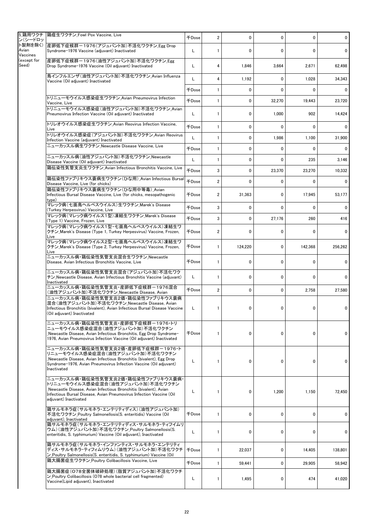|                                  | 5_鶏用ワクチ 鶏痘生ワクチン_Fowl Pox Vaccine, Live                                                                                                                                                                                                      | <b>千Dose</b>        | $\overline{2}$ | 0            | 0            | 0            | 0           |
|----------------------------------|---------------------------------------------------------------------------------------------------------------------------------------------------------------------------------------------------------------------------------------------|---------------------|----------------|--------------|--------------|--------------|-------------|
| ン(シードロッ<br>Avian                 | ト製剤を除く) 産卵低下症候群-1976(アジュバント加)不活化ワクチン Egg Drop<br>Syndrome-1976 Vaccine (adjuvant) Inactivated                                                                                                                                               | L                   | 1              | 0            | 0            | $\mathbf{0}$ | 0           |
| Vaccines<br>(except for<br>Seed) | 産卵低下症候群-1976(油性アジュバント加)不活化ワクチン Egg<br>Drop Syndrome-1976 Vaccine (Oil adjuvant) Inactivated                                                                                                                                                 | L                   | 4              | 1,846        | 3,664        | 2,671        | 62,498      |
|                                  | 鳥インフルエンザ(油性アジュバント加)不活化ワクチン_Avian Influenza                                                                                                                                                                                                  | L                   | 4              | 1,192        | 0            | 1,028        | 34,343      |
|                                  | Vaccine (Oil adjuvant) Inactivated                                                                                                                                                                                                          | <b>千Dose</b>        | $\mathbf{1}$   | 0            | 0            | 0            | $\mathbf 0$ |
|                                  | トリニューモウイルス感染症生ワクチン Avian Pneumovirus Infection                                                                                                                                                                                              | 千Dose               | $\mathbf{1}$   | 0            | 32,270       | 19,443       | 23,720      |
|                                  | Vaccine. Live<br>トリニューモウイルス感染症(油性アジュバント加)不活化ワクチン Avian                                                                                                                                                                                      |                     |                |              |              |              |             |
|                                  | Pneumovirus Infection Vaccine (Oil adjuvant) Inactivated                                                                                                                                                                                    | L                   | 1              | 0            | 1,000        | 902          | 14,424      |
|                                  | トリレオウイルス感染症生ワクチン_Avian Reovirus Infection Vaccine,<br>Live                                                                                                                                                                                  | <b>FDose</b>        | $\mathbf{1}$   | 0            | $\mathbf 0$  | $\Omega$     | 0           |
|                                  | トリレオウイルス感染症(アジュバント加)不活化ワクチン_Avian Reovirus<br>Infection Vaccine (adjuvant) Inactivated                                                                                                                                                      | L                   | 1              | 0            | 1,986        | 1,100        | 31,900      |
|                                  | ニューカッスル病生ワクチン Newcastle Disease Vaccine, Live                                                                                                                                                                                               | <b>千Dose</b>        | 1              | 0            | 0            | $\Omega$     | 0           |
|                                  | ニューカッスル病(油性アジュバント加)不活化ワクチン Newcastle<br>Disease Vaccine (Oil adjuvant) Inactivated                                                                                                                                                          | L                   | 1              | 0            | 0            | 235          | 3,146       |
|                                  | 鶏伝染性気管支炎生ワクチン_Avian Infectious Bronchitis Vaccine, Live                                                                                                                                                                                     | <b><i>FDose</i></b> | 3              | 0            | 23,370       | 23,270       | 10,332      |
|                                  | 鶏伝染性ファブリキウス嚢病生ワクチン(ひな用)_Avian Infectious Bursal<br>Disease Vaccine, Live (for chicks)                                                                                                                                                       | <b>千Dose</b>        | $\overline{2}$ | $\mathbf{0}$ | 0            | 0            | $\mathbf 0$ |
|                                  | 鶏伝染性ファブリキウス嚢病生ワクチン(ひな用中等毒) Avian<br>Infectious Bursal Disease Vaccine, Live (for chicks, mesopathogenic<br>type)                                                                                                                            | 千Dose               | 2              | 31,363       | $\mathbf 0$  | 17,945       | 53,177      |
|                                  | マレック病 (七面鳥ヘルペスウイルス)生ワクチン Marek's Disease<br>(Turkey Herpesvirus) Vaccine, Live                                                                                                                                                              | <b>千Dose</b>        | 3              | 0            | 0            | $\Omega$     | 0           |
|                                  | マレック病 (マレック病ウイルス1型) 凍結生ワクチン Marek's Disease<br>(Type 1) Vaccine, Frozen, Live                                                                                                                                                               | <b>千Dose</b>        | 3              | $\mathbf{0}$ | 27,176       | 260          | 416         |
|                                  | マレック病(マレック病ウイルス1型・七面鳥ヘルペスウイルス)凍結生ワ<br>クチン Marek's Disease (Type 1, Turkey Herpesvirus) Vaccine, Frozen,<br>Live                                                                                                                             | <b>千Dose</b>        | $\overline{2}$ | 0            | 0            | 0            | 0           |
|                                  | マレック病(マレック病ウイルス2型・七面鳥ヘルペスウイルス)凍結生ワ<br>クチン Marek's Disease (Type 2, Turkey Herpesvirus) Vaccine, Frozen,<br>Live                                                                                                                             | <b>千Dose</b>        | 1              | 124,220      | 0            | 142,368      | 256,262     |
|                                  | ニューカッスル病・鶏伝染性気管支炎混合生ワクチン Newcastle<br>Disease, Avian Infectious Bronchitis Vaccine, Live                                                                                                                                                    | <b>千Dose</b>        | 1              | 0            | 0            | 0            | 0           |
|                                  | ニューカッスル病・鶏伝染性気管支炎混合(アジュバント加)不活化ワク<br>チン Newcastle Disease, Avian Infectious Bronchitis Vaccine (adjuvant)<br>Inactivated                                                                                                                    | L                   | 1              | 0            | 0            | $\Omega$     | 0           |
|                                  | ニューカッスル病・鶏伝染性気管支炎・産卵低下症候群-1976混合<br>(油性アジュバント加)不活化ワクチン_Newcastle Disease, Avian                                                                                                                                                             | <b>千Dose</b>        | $\overline{2}$ | 0            | $\mathbf{0}$ | 2,758        | 27,580      |
|                                  | ニューカッスル病・鶏伝染性気管支炎2価・鶏伝染性ファブリキウス嚢病<br>混合(油性アジュバント加)不活化ワクチン_Newcastle Disease, Avian<br>Infectious Bronchitis (bivalent), Avian Infectious Bursal Disease Vaccine<br>(Oil adjuvant) Inactivated                                               | L                   | 1              | 0            | 0            | 0            | 0           |
|                                  | ニューカッスル病・鶏伝染性気管支炎・産卵低下症候群-1976・トリ<br>ニューモウイルス感染症混合(油性アジュバント加)不活化ワクチン<br>Newcastle Disease, Avian Infectious Bronchitis, Egg Drop Syndrome-<br>1976, Avian Pneumovirus Infection Vaccine (Oil adjuvant) Inactivated                          | <b>千Dose</b>        | 1              | 0            | 0            | 0            | 0           |
|                                  | ニューカッスル病・鶏伝染性気管支炎2価・産卵低下症候群-1976・ト<br>リニューモウイルス感染症混合(油性アジュバント加)不活化ワクチン<br>Newcastle Disease, Avian Infectious Bronchitis (bivalent), Egg Drop_<br>Syndrome-1976, Avian Pneumovirus Infection Vaccine (Oil adjuvant)<br>Inactivated          | L                   | $\mathbf{1}$   | 0            | 0            | 0            | 0           |
|                                  | ニューカッスル病・鶏伝染性気管支炎2価・鶏伝染性ファブリキウス嚢病・<br>トリニューモウイルス感染症混合(油性アジュバント加)不活化ワクチン<br>Newcastle Disease, Avian Infectious Bronchitis (bivalent), Avian<br>Infectious Bursal Disease. Avian Pneumovirus Infection Vaccine (Oil<br>adjuvant) Inactivated | L                   | $\mathbf{1}$   | 0            | 1,200        | 1,150        | 72,450      |
|                                  | 鶏サルモネラ症(サルモネラ・エンテリティディス)(油性アジュバント加)<br>不活化ワクチン Poultry Salmonellosis(S. enteritidis) Vaccine (Oil<br>adjuvant), Inactivated                                                                                                                 | <b>千Dose</b>        | $\mathbf{1}$   | 0            | 0            | $\mathbf{0}$ | 0           |
|                                  | 鶏サルモネラ症(サルモネラ・エンテリティディス・サルモネラ・ティフイムリ<br>ウム)(油性アジュバント加)不活化ワクチン_Poultry Salmonellosis(S.<br>enteritidis, S. typhimurium) Vaccine (Oil adjuvant), Inactivated                                                                                  | L                   | 1              | 0            | 0            | 0            | 0           |
|                                  | 鶏サルモネラ症(サルモネラ・インファンティス・サルモネラ・エンテリティ<br>ディス・サルモネラ・ティフィムリウム)(油性アジュバント加)不活化ワクチ<br>ン Poultry Salmonellosis (S. enteritidis, S. typhimurium) Vaccine (Oil                                                                                        | <b>千Dose</b>        | 1              | 22,037       | 0            | 14,405       | 138,801     |
|                                  | 鶏大腸菌症生ワクチン Poultry Colibacillosis Vaccine, Live                                                                                                                                                                                             | <b>千Dose</b>        | $\mathbf{1}$   | 59,441       | 0            | 29,905       | 58,942      |
|                                  | 鶏大腸菌症(O78全菌体破砕処理)(脂質アジュバント加)不活化ワクチ<br>$\triangleright$ Poultry Colibacillosis (078 whole bacterial cell fragmented)<br>Vaccine(Lipid adjuvant), Inactivated                                                                                 | L                   | 1              | 1,495        | 0            | 474          | 41,020      |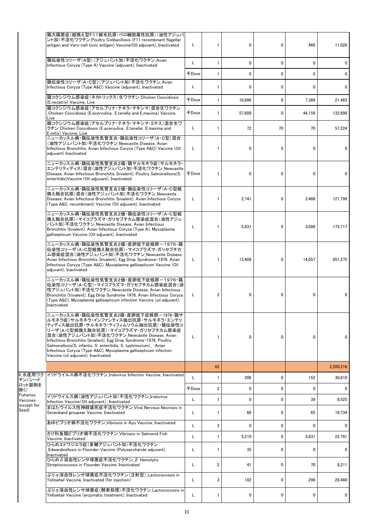|                       | 鶏大腸菌症(組換え型F11線毛抗原・ベロ細胞毒性抗原)(油性アジュバ<br>ント加)不活化ワクチン Poultry Colibacillosis (F11 recombinant flagellar<br>antigen and Vero-cell toxic antigen) Vaccine (Oil adjuvant), Inactivated                                                                                                                                                                                                                                                                                | L            | $\mathbf{1}$            | 0            | 0  | 460          | 11,028    |
|-----------------------|----------------------------------------------------------------------------------------------------------------------------------------------------------------------------------------------------------------------------------------------------------------------------------------------------------------------------------------------------------------------------------------------------------------------------------------------------------------|--------------|-------------------------|--------------|----|--------------|-----------|
|                       | 鶏伝染性コリーザ(A型)(アジュバント加)不活化ワクチン Avian<br>Infectious Coryza (Type A) Vaccine (adjuvant), Inactivated                                                                                                                                                                                                                                                                                                                                                               | L            | $\mathbf{1}$            | 0            | 0  | $\mathbf{0}$ | 0         |
|                       |                                                                                                                                                                                                                                                                                                                                                                                                                                                                | 千Dose        | $\mathbf{1}$            | 0            | 0  | $\mathbf{0}$ | 0         |
|                       | 鶏伝染性コリーザ(A・C型)(アジュバント加)不活化ワクチン Avian<br>Infectious Coryza (Type A&C) Vaccine (adjuvant), Inactivated                                                                                                                                                                                                                                                                                                                                                           | L            | $\mathbf{1}$            | 0            | 0  | $\mathbf{0}$ | 0         |
|                       | 鶏コクシジウム感染症(ネカトリックス)生ワクチン Chicken Coccidiosis<br>(E.necatrix) Vaccine, Live                                                                                                                                                                                                                                                                                                                                                                                     | <b>千Dose</b> | $\mathbf{1}$            | 10,896       | 0  | 7,389        | 21,463    |
|                       | 鶏コクシジウム感染症(アセルブリナ・テネラ・マキシマ)混合生ワクチン<br>Chicken Coccidiosis (E.acervulina, E.tenella and E.maxima) Vaccine,<br>Live                                                                                                                                                                                                                                                                                                                                              | 千Dose        | $\mathbf{1}$            | 57.609       | 0  | 44,159       | 132,699   |
|                       | 鶏コクシジウム感染症(アセルブリナ・テネラ・マキシマ・ミチス)混合生ワ<br>クチン Chicken Coccidiosis (E.acervulina, E.tenella, E.maxima and<br>E.mitis) Vaccine, Live                                                                                                                                                                                                                                                                                                                                | L            | $\mathbf{1}$            | 72           | 70 | 70           | 57,224    |
|                       | ニューカッスル病・鶏伝染性気管支炎・鶏伝染性コリーザ(A・C型)混合<br>(油性アジュバント加)不活化ワクチン Newcastle Disease, Avian<br>Infectious Bronchitis, Avian Infectious Coryza (Type A&C) Vaccine (Oil<br>adiuvant) Inactivated                                                                                                                                                                                                                                                                           | L            | $\mathbf{1}$            | 0            | 0  | $\mathbf{0}$ | 0         |
|                       | ニューカッスル病・鶏伝染性気管支炎2価・鶏サルモネラ症(サルモネラ・<br>エンテリティディス)混合(油性アジュバント加)不活化ワクチン_Newcastle<br>Disease, Avian Infectious Bronchitis (bivalent), Poultry Salmonellosis (S.<br>enteritidis) Vaccine (Oil adiuvant). Inactivated                                                                                                                                                                                                                                               | 千Dose        | $\mathbf{1}$            | 0            | 0  | 0            | 0         |
|                       | ニューカッスル病・鶏伝染性気管支炎2価・鶏伝染性コリーザ(A・C型組<br>換え融合抗原)混合(油性アジュバント加)不活化ワクチン Newcastle<br>Disease, Avian Infecitous Bronchitis (bivalent), Avian Infectious Coryza<br>(Type A&C, recombinant) Vaccine (Oil adjuvant), Inactivated                                                                                                                                                                                                                                         | L            | $\mathbf{1}$            | 2,741        | 0  | 3,488        | 121,799   |
|                       | ニューカッスル病・鶏伝染性気管支炎2価・鶏伝染性コリーザ(A・C型組<br>換え融合抗原)・マイコプラズマ・ガリセプチカム感染症混合(油性アジュ<br>バント加)不活化ワクチン Newcastle Disease, Avian Infectious<br>Bronchitis (bivalent), Avian Infectious Coryza (Type A), Mycoplasma<br>gallisepticum Vaccine (Oil adjuvant), Inactivated                                                                                                                                                                                                       | L            | 1                       | 5,831        | 0  | 3,096        | 175,717   |
|                       | ニュ―カッスル病・鶏伝染性気管支炎2価・産卵低下症候群-1976・鶏<br>伝染性コリーザ(A・C型組換え融合抗原)・マイコプラズマ・ガリセプチカ<br>ム感染症混合(油性アジュバント加)不活化ワクチン Newcastle Disease.<br>Avian Infectious Bronchitis (bivalent), Egg Drop Syndrome-1976. Avian<br>Infectious Coryza (Type A&C), Mycoplasma gallisepticum Vaccine (Oil<br>adjuvant), Inactivated                                                                                                                                                             | L            | $\mathbf{1}$            | 13,408       | 0  | 14,057       | 851,275   |
|                       | ニューカッスル病・鶏伝染性気管支炎2価・産卵低下症候群-1976・鶏<br>伝染性コリーザ(A・C型)・マイコプラズマ・ガリセプチカム感染症混合(油<br>性アジュバント加)不活化ワクチン Newcastle Disease, Avian Infectious<br>Bronchitis (trivalent), Egg Drop Syndrome 1976, Avian Infectious Coryza<br>(Type A&C), Mycoplasma gallisepticum infection Vaccine (oil adjuvant),<br>Inactivated                                                                                                                                                         | L            | $\overline{\mathbf{c}}$ | $\mathbf 0$  | 0  | $\Omega$     | 0         |
|                       | ニューカッスル病・鶏伝染性気管支炎2価・産卵低下症候群ー1976・鶏サ<br>ルモネラ症(サルモネラ・インファンティス抽出抗原・サルモネラ・エンテリ<br>ティディス抽出抗原・サルモネラ・ティフィムリウム抽出抗原)・鶏伝染性コ<br>リ―ザ(A・C型組換え融合抗原)・マイコプラズマ・ガリセプチカム感染症<br>混合(油性アジュバント加)不活化ワクチン_Newcastle Disease, Avian<br>Infectious Bronchitis (bivalent), Egg Drop Syndrome-1976, Poultry<br>Salmonellosis(S. infantis, S. enteritidis, S. typhimurium), Avian<br>Infectious Coryza (Type A&C), Mycoplasma gallisepticum infection<br>Vaccine (oil adjuvant), Inactivated | L            | $\mathbf{1}$            | $\mathbf{0}$ | 0  | $\mathbf{0}$ | 0         |
|                       |                                                                                                                                                                                                                                                                                                                                                                                                                                                                |              | 62                      |              |    |              | 2,200,216 |
| 6 水産用ワク<br>チン(シード     | イリドウイルス病不活化ワクチン Iridovirus Infection Vaccine, Inactivated                                                                                                                                                                                                                                                                                                                                                                                                      | L            | 1                       | 206          | 0  | 152          | 30,810    |
| ロット製剤を<br>除く)         |                                                                                                                                                                                                                                                                                                                                                                                                                                                                | 千Dose        | $\overline{\mathbf{c}}$ | 0            | 0  | 0            | 0         |
| Fisheries<br>Vaccines | イリドウイルス病(油性アジュバント加)不活化ワクチン Iridovirus<br>Infection Vaccine (Oil adjuvant), Inactivated                                                                                                                                                                                                                                                                                                                                                                         | L            | $\mathbf{1}$            | 0            | 0  | 39           | 8,525     |
| (except for<br>Seed)  | まはたウイルス性神経壊死症不活化ワクチン Viral Nervous Necrosis in<br>Sevenband groupeer Vaccine, Inactivated                                                                                                                                                                                                                                                                                                                                                                      | L            | $\mathbf{1}$            | 66           | 0  | 65           | 19,734    |
|                       | あゆビブリオ病不活化ワクチン Vibriosis in Ayu Vaccine, Inactivated                                                                                                                                                                                                                                                                                                                                                                                                           | L            | $\overline{\mathbf{c}}$ | 0            | 0  | $\mathbf{0}$ | 0         |
|                       | さけ科魚類ビブリオ病不活化ワクチン Vibriosis in Salmonid Fish<br>Vaccine, Inactivated                                                                                                                                                                                                                                                                                                                                                                                           | L            | $\mathbf{1}$            | 5,210        | 0  | 3,631        | 22,781    |
|                       | ひらめエドワジエラ症(多糖アジュバント加)不活化ワクチン<br>Edwardsiellosis in Flounder Vaccine (Polysaccharide adjuvant),<br>Inactivated                                                                                                                                                                                                                                                                                                                                                  | L            | 1                       | 35           | 0  | $\mathbf 0$  | 0         |
|                       | ひらめβ溶血性レンサ球菌症不活化ワクチン β Hemolytic<br>Streptococcosis in Flounder Vaccine, Inactivated                                                                                                                                                                                                                                                                                                                                                                           | L            | $\overline{2}$          | 41           | 0  | 70           | 8,211     |
|                       | ぶりα溶血性レンサ球菌症不活化ワクチン(注射型) Lactococcosis in<br>Yellowtail Vaccine, Inactivated (for injection)                                                                                                                                                                                                                                                                                                                                                                   | L            | 3                       | 182          | 0  | 298          | 28,460    |
|                       | ぶりα溶血性レンサ球菌症(酵素処理)不活化ワクチン Lactococcosis in<br>Yellowtail Vaccine (enzymatic treatment). Inactivated                                                                                                                                                                                                                                                                                                                                                            | L            | 1                       | 0            | 0  | 0            | 0         |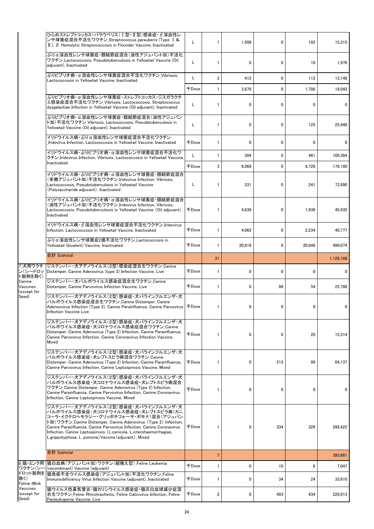|                                   | ひらめストレプトコッカス・パラウベリス(Ⅰ型・Ⅱ型)感染症・β溶血性レ<br>ンサ球菌症混合不活化ワクチン_Streptococcus parauberis (Type I &<br>$\mathbb{I}$ ), $\beta$ Hemolytic Streptococcosis in Flounder Vaccine, Inactivated                                                                                                                                                                                                                | L            | $\mathbf{1}$            | 1,506        | 0   | 102      | 15.315    |
|-----------------------------------|-----------------------------------------------------------------------------------------------------------------------------------------------------------------------------------------------------------------------------------------------------------------------------------------------------------------------------------------------------------------------------------------------|--------------|-------------------------|--------------|-----|----------|-----------|
|                                   | ぶりα溶血性レンサ球菌症・類結節症混合(油性アジュバント加)不活化<br>ワクチン_Lactococcosis, Pseudotuberculosis in Yellowtail Vaccine (Oil<br>adjuvant), Inactivated                                                                                                                                                                                                                                                              | L            | 1                       | 0            | 0   | 10       | 1,976     |
|                                   | ぶりビブリオ病·α溶血性レンサ球菌症混合不活化ワクチン_Vibriosis,<br>Lactococcosis in Yellowtail Vaccine, Inactivated                                                                                                                                                                                                                                                                                                    | L            | $\overline{\mathbf{c}}$ | 412          | 0   | 112      | 13,148    |
|                                   |                                                                                                                                                                                                                                                                                                                                                                                               | <b>千Dose</b> | 1                       | 3,876        | 0   | 1,706    | 18,043    |
|                                   | ぶりビブリオ病・α溶血性レンサ球菌症・ストレプトコッカス・ジスガラクチ<br>エ感染症混合不活化ワクチン Vibriosis. Lactococcosis. Streptococcus<br>dysgalactiae Infection in Yellowtail Vaccine (Oil adjuvant), Inactivated                                                                                                                                                                                                                      | L            | $\mathbf{1}$            | $\mathbf{0}$ | 0   | $\Omega$ | 0         |
|                                   | ぶりビブリオ病・α 溶血性レンサ球菌症・類結節症混合(油性アジュバン<br>ト加)不活化ワクチン Vibriosis, Lactococcosis, Pseudotuberculosis in<br>Yellowtail Vaccine (Oil adjuvant), Inactivated                                                                                                                                                                                                                                            | L            | 1                       | 0            | 0   | 125      | 25,948    |
|                                   | イリドウイルス病・ぶりα溶血性レンサ球菌症混合不活化ワクチン<br>Iridovirus Infection, Lactococcosis in Yellowtail Vaccine, Inactivated                                                                                                                                                                                                                                                                                      | 千Dose        | $\mathbf{1}$            | 0            | 0   | 0        | 0         |
|                                   | イリドウイルス病・ぶりビブリオ病・α溶血性レンサ球菌症混合不活化ワ<br>クチン Iridovirus Infection. Vibriosis. Lactococcosis in Yellowtail Vaccine.                                                                                                                                                                                                                                                                                | L            | $\mathbf{1}$            | 304          | 0   | 461      | 100,364   |
|                                   | Inactivated                                                                                                                                                                                                                                                                                                                                                                                   | <b>千Dose</b> | 3                       | 6.066        | 0   | 8.726    | 176,180   |
|                                   | イリドウイルス病・ぶりビブリオ病・α溶血性レンサ球菌症・類結節症混合<br>(多糖アジュバント加)不活化ワクチン Iridovirus Infection, Vibriosis,<br>Lactococcosis, Pseudotuberculosis in Yellowtail Vaccine<br>(Polysaccharide adjuvant), Inactivated                                                                                                                                                                                                | L            | 1                       | 331          | 0   | 241      | 72,890    |
|                                   | イリドウイルス病・ぶりビブリオ病・α 溶血性レンサ球菌症・類結節症混合<br>(油性アジュバント加)不活化ワクチン Iridovirus Infection, Vibriosis,<br>Lactococcosis, Pseudotuberculosis in Yellowtail Vaccine (Oil adjuvant),<br>Inactivated                                                                                                                                                                                                          | 千Dose        | 1                       | 4,836        | 0   | 1.936    | 45,932    |
|                                   | イリドウイルス病・β 溶血性レンサ球菌症混合不活化ワクチン Iridovirus<br>Infection, Lactococcosis in Yellowtail Vaccine, Inactivated                                                                                                                                                                                                                                                                                       | <b>千Dose</b> | $\mathbf{1}$            | 4,062        | 0   | 2,234    | 40,777    |
|                                   | ぶりα溶血性レンサ球菌症2価不活化ワクチン Lactococcosis in<br>Yellowtail (bivalent) Vaccine, Inactivated                                                                                                                                                                                                                                                                                                          | 千Dose        | 1                       | 20,816       | 0   | 20,948   | 499,074   |
|                                   | 合計 Subtotal                                                                                                                                                                                                                                                                                                                                                                                   |              | 31                      |              |     |          | 1,128,168 |
| 7 犬用ワクチ<br>ン(シードロッ<br>ト製剤を除く)     | ジステンパー・犬アデノウイルス(2型)感染症混合生ワクチン Canine<br>Distemper, Canine Adenovirus (type 2) Infection Vaccine, Live                                                                                                                                                                                                                                                                                         | 千Dose        | 1                       | 0            | 0   | $\Omega$ | 0         |
| Canine<br>Vaccines<br>except for) | ジステンパー・犬パルボウイルス感染症混合生ワクチン Canine<br>Distemper, Canine Parvovirus Infection Vaccine, Live                                                                                                                                                                                                                                                                                                      | <b>FDose</b> | $\mathbf{1}$            | 0            | 98  | 54       | 25.788    |
| Seed)                             | ジステンパー・犬アデノウイルス(2型)感染症・犬パラインフルエンザ・犬<br>パルボウイルス感染症混合生ワクチン_Canine Distemper, Canine<br>Adenoovirus Infection (Type 2), Canine Parainfluenza, Canine Parvovirus   千Dose<br>Infection Vaccine Live                                                                                                                                                                                                |              | 1                       | 0            | 0   | 0        | 0         |
|                                   | ジステンパー・犬アデノウイルス(2型)感染症・犬パラインフルエンザ・犬<br>パルボウイルス感染症・犬コロナウイルス感染症混合ワクチン_Canine<br>Distemper, Canine Adenovirus (Type 2) Infection, Canine Parainfluenza,<br>Canine Parvovirus Infection, Canine Coronavirus Infection Vaccine,<br>Mixed                                                                                                                                                           | <b>千Dose</b> | $\mathbf{1}$            | 0            | 0   | 20       | 15,314    |
|                                   | ジステンパー・犬アデノウイルス(2型)感染症・犬パラインフルエンザ・犬<br>パルボウイルス感染症・犬レプトスピラ病混合ワクチン_Canine<br>Distemper, Canine Adenovirus (Type 2) Infection, Canine Parainfluenza,<br>Canine Parvovirus Infection, Canine Leptospirosis Vaccine, Mixed                                                                                                                                                                         | 千Dose        | $\mathbf{1}$            | 0            | 212 | 99       | 64,137    |
|                                   | ジステンパー・犬アデノウイルス(2型)感染症・犬パラインフルエンザ・犬<br>パルボウイルス感染症・犬コロナウイルス感染症・犬レプトスピラ病混合<br>ワクチン Canine Distemper, Canine Adenovirus (Type 2) Infection,<br>Canine Parainfluenza, Canine Parvovirus Infection, Canine Coronavirus<br>Infection, Canine Leptospirosis Vaccine, Mixed                                                                                                                           | 千Dose        | 1                       | 0            | 0   | 0        | 0         |
|                                   | ジステンパー・犬アデノウイルス(2型)感染症・犬パラインフルエンザ・犬<br>パルボウイルス感染症・犬コロナウイルス感染症・犬レプトスピラ病(カニ<br>コーラ・イクテロヘモラジー・グリッポチフォーサ・ポモナ)混合(アジュバン<br>ト加)ワクチン_Canine Distemper, Canine Adenovirus (Type 2) Infection,<br>Canine Parainfluenza, Canine Parvovirus Infection, Canine Coronavirus<br>Infection, Canine Leptospirosis (L.canicola, L.icterohaemorrhagiae,<br>L.grippotyphosa, L .pomona) Vaccine (adjuvant), Mixed | 千Dose        | $\mathbf{1}$            | 0            | 334 | 326      | 288,422   |
|                                   | 合計 Subtotal                                                                                                                                                                                                                                                                                                                                                                                   |              | $\overline{7}$          |              |     |          | 393,661   |
|                                   | 8 猫・ミンク用  猫白血病(アジュバント加)ワクチン(組換え型) Feline Leukemia                                                                                                                                                                                                                                                                                                                                             | <b>千Dose</b> | $\mathbf{1}$            | 0            | 10  | 8        | 7,047     |
| ワクチン(シー<br>除く)<br>Feline Mink     | (recombinant) Vaccine (adjuvant)<br>ドロット製剤を 描免疫不全ウイルス感染症(アジュバント加)不活化ワクチン Feline<br>Immunodeficiency Virus Infection Vaccine (adjuvant), Inactivated                                                                                                                                                                                                                                           | 千Dose        | 1                       | 0            | 34  | 24       | 33,610    |
| Vaccines<br>(except for<br>Seed)  | 猫ウイルス性鼻気管炎・猫カリシウイルス感染症・猫汎白血球減少症混<br>合生ワクチン Feline Rhinotracheitis, Feline Calicivirus Infection, Feline<br>Panleukopenia Vaccine, Live                                                                                                                                                                                                                                                        | 千Dose        | 2                       | 0            | 493 | 434      | 220,913   |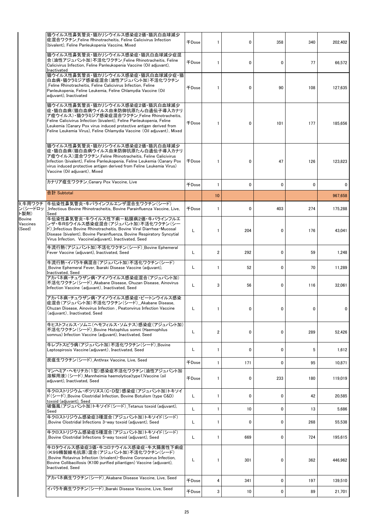|                              | 猫ウイルス性鼻気管炎・猫カリシウイルス感染症2価・猫汎白血球減少<br>症混合ワクチン Feline Rhinotracheitis, Feline Calicivirus Infection<br>(bivalent), Feline Panleukopenia Vaccine, Mixed                                                                                                                                                                                               | $\mp$ Dose   | 1              | 0            | 358          | 340 | 202,402 |
|------------------------------|---------------------------------------------------------------------------------------------------------------------------------------------------------------------------------------------------------------------------------------------------------------------------------------------------------------------------------------------------|--------------|----------------|--------------|--------------|-----|---------|
|                              | 猫ウイルス性鼻気管炎・猫カリシウイルス感染症・猫汎白血球減少症混<br>合(油性アジュバント加)不活化ワクチン_Feline Rhinotracheitis, Feline<br>Calicivirus Infection, Feline Panleukopenia Vaccine (Oil adjuvant),<br>Inactivated                                                                                                                                                                      | <b>+Dose</b> | $\mathbf{1}$   | $\mathbf{0}$ | $\mathbf{0}$ | 77  | 66,572  |
|                              | 猫ウイルス性鼻気管炎・猫カリシウイルス感染症・猫汎白血球減少症・猫<br>白血病・猫クラミジア感染症混合(油性アジュバント加)不活化ワクチン<br>Feline Rhinotracheitis, Feline Calicivirus Infection, Feline<br>Panleukopenia, Feline Leukemia, Feline Chlamydia Vaccine (Oil<br>adiuvant). Inactivated                                                                                                                 | 千Dose        | 1              | $\mathbf 0$  | 90           | 108 | 127,635 |
|                              | 猫ウイルス性鼻気管炎・猫カリシウイルス感染症2価・猫汎白血球減少<br> 症・猫白血病(猫白血病ウイルス由来防御抗原たん白遺伝子導入カナリ<br>ア痘ウイルス)・猫クラミジア感染症混合ワクチン_Feline Rhinotracheitis,<br>Feline Calicivirus Infection (bivalent), Feline Panleukopenia, Feline<br>Leukemia (Canary Pox virus induced protective antigen derived from<br>Feline Leukemia Virus), Feline Chlamydia Vaccine (Oil adjuvant), Mixed | <b>千Dose</b> | 1              | 0            | 101          | 177 | 185,656 |
|                              | 猫ウイルス性鼻気管炎・猫カリシウイルス感染症2価・猫汎白血球減少<br> 症・猫白血病(猫白血病ウイルス由来防御抗原たん白遺伝子導入カナリ<br>ア痘ウイルス)混合ワクチン_Feline Rhinotracheitis, Feline Calicivirus<br>Infection (bivalent), Feline Panleukopenia, Feline Leukemia (Canary Pox<br>virus induced protective antigen derived from Feline Leukemia Virus)<br>Vaccine (Oil adjuvant), Mixed                             | <b>FDose</b> | 1              | $\mathbf 0$  | 47           | 126 | 123,823 |
|                              | カナリア痘生ワクチン Canary Pox Vaccine, Live                                                                                                                                                                                                                                                                                                               | 千Dose        | $\mathbf{1}$   | 0            | $\mathbf 0$  | 0   | 0       |
|                              | 合計 Subtotal                                                                                                                                                                                                                                                                                                                                       |              | 10             |              |              |     | 967.658 |
| 9 牛用ワクチ<br>ン(シードロッ<br>ト製剤)   | 牛伝染性鼻気管炎・牛パラインフルエンザ混合生ワクチン(シード)<br>Infectious Bovine Rhinotracheitis, Bovine Parainfluenza Vaccine, Live,<br>Seed                                                                                                                                                                                                                                 | <b>FDose</b> | 1              | 0            | 403          | 274 | 175,288 |
| Bovine<br>Vaccines<br>(Seed) | 牛伝染性鼻気管炎・牛ウイルス性下痢-粘膜病2価・牛パラインフルエ<br>ンザ・牛RSウイルス感染症混合(アジュバント加)不活化ワクチン(シー<br>ド) Infectious Bovine Rhinotracheitis, Bovine Viral Diarrhea-Mucosal<br>Disease (bivalent), Bovine Parainfluenza, Bovine Respiratory Syncytial<br>Virus Infection, Vaccine(adjuvant), Inactivated, Seed                                                                  | L            | 1              | 204          | 0            | 176 | 43,041  |
|                              | 牛流行熱(アジュバント加)不活化ワクチン(シード) Bovine Ephemeral<br>Fever Vaccine (adjuvant), Inactivated, Seed                                                                                                                                                                                                                                                         | Г            | $\overline{2}$ | 292          | 0            | 59  | 1,248   |
|                              | 牛流行熱・イバラキ病混合(アジュバント加)不活化ワクチン(シード)<br>Bovine Ephemeral Fever, Ibaraki Disease Vaccine (adjuvant),<br>Inactivated, Seed                                                                                                                                                                                                                             | Г            | $\mathbf{1}$   | 52           | 0            | 70  | 11,289  |
|                              | アカバネ病・チュウザン病・アイノウイルス感染症混合(アジュバント加)<br>不活化ワクチン(シード) Akabane Disease, Chuzan Disease, Ainovirus<br>Infection Vaccine (adjuvant), Inactivated, Seed                                                                                                                                                                                                  | L            | 3              | 56           | 0            | 116 | 32,061  |
|                              | アカバネ病・チュウザン病・アイノウイルス感染症・ピートンウイルス感染<br>症混合(アジュバント加)不活化ワクチン(シード)_Akabane Disease,<br>Chuzan Disease, Ainovirus Infection, Peatonvirus Infection Vaccine<br>(adjuvant), Inactivated, Seed                                                                                                                                                            | L            | $\mathbf{1}$   | 0            | 0            | 0   | 0       |
|                              | 牛ヒストフィルス・ソムニ(ヘモフィルス・ソムナス)感染症(アジュバント加)<br>不活化ワクチン(シード) Bovine Histophilus somni (Haemophilus<br>somnus) Infection Vaccine (adjuvant), Inactivated, Seed                                                                                                                                                                                            | L            | 2              | 0            | 0            | 289 | 52,426  |
|                              | 牛レプトスピラ病(アジュバント加)不活化ワクチン(シード) Bovine<br>Leptospirosis Vaccine (adjuvant), Inactivated, Seed                                                                                                                                                                                                                                                       | L            | $\mathbf{1}$   | $\mathbf{0}$ | 0            | 5   | 1,612   |
|                              | 炭疽生ワクチン(シード) Anthrax Vaccine, Live, Seed                                                                                                                                                                                                                                                                                                          | <b>千Dose</b> | $\mathbf{1}$   | 171          | 0            | 95  | 10,871  |
|                              | マンヘミア・ヘモリチカ(1型)感染症不活化ワクチン(油性アジュバント加<br>溶解用液)(シード) Mannheimia haemolytica(type1)Vaccine (oil<br>adiuvant). Inactivated. Seed                                                                                                                                                                                                                       | 千Dose        | 1              | 0            | 233          | 180 | 119,019 |
|                              | 牛クロストリジウム・ボツリヌス(C・D型)感染症(アジュバント加)トキソイ<br>ド(シード) Bovine Clostridial Infection, Bovine Botulism (type C&D)<br>toxoid (adjuvant), Seed                                                                                                                                                                                                               | L            | $\mathbf{1}$   | 0            | 0            | 42  | 20,585  |
|                              | 破傷風(アジュバント加)トキソイド(シード) Tetanus toxoid (adjuvant),<br>Seed                                                                                                                                                                                                                                                                                         | L            | $\mathbf{1}$   | 10           | 0            | 13  | 5,686   |
|                              | 牛クロストリジウム感染症3種混合(アジュバント加)トキソイド(シード)<br>Bovine Clostridial Infections 3-way toxoid (adjuvant), Seed                                                                                                                                                                                                                                                | L            | 1              | 0            | 0            | 268 | 55,538  |
|                              | 牛クロストリジウム感染症5種混合(アジュバント加)トキソイド(シード)<br>Bovine Clostridial Infections 5-way toxoid (adjuvant), Seed                                                                                                                                                                                                                                                | L            | $\mathbf{1}$   | 669          | 0            | 724 | 195,615 |
|                              | 牛ロタウイルス感染症3価・牛コロナウイルス感染症・牛大腸菌性下痢症<br>(K99精製線毛抗原)混合(アジュバント加)不活化ワクチン(シード)<br>Bovine Rotavirus Infection (trivalent)-Bovine Coronavirus Infection,<br>Bovine Collibacillosis (K100 purified piliantigen) Vaccine (adjuvant),<br>Inactivated, Seed                                                                                                    | L            | $\mathbf{1}$   | 301          | 0            | 362 | 446,962 |
|                              | アカバネ病生ワクチン(シード) Akabane Disease Vaccine, Live, Seed                                                                                                                                                                                                                                                                                               | <b>千Dose</b> | 4              | 341          | 0            | 197 | 139,510 |
|                              | イバラキ病生ワクチン(シード) Ibaraki Disease Vaccine, Live, Seed                                                                                                                                                                                                                                                                                               | 千Dose        | 3              | 10           | 0            | 89  | 21,701  |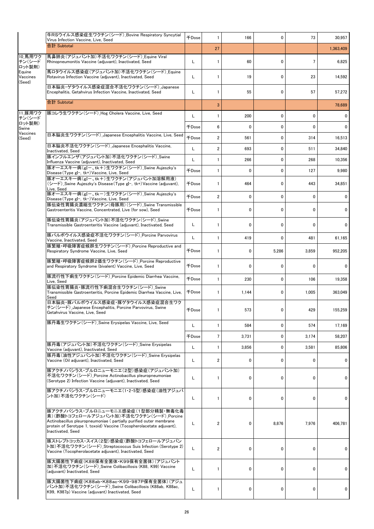|                              | 牛RSウイルス感染症生ワクチン(シード) Bovine Respiratory Syncytial<br>Virus Infection Vaccine, Live, Seed                                                                                                                                                          | <b>千Dose</b> | 1              | 166          | 0            | 73           | 30,957      |
|------------------------------|---------------------------------------------------------------------------------------------------------------------------------------------------------------------------------------------------------------------------------------------------|--------------|----------------|--------------|--------------|--------------|-------------|
|                              | 合計 Subtotal                                                                                                                                                                                                                                       |              | 27             |              |              |              | 1.363.409   |
| 10 馬用ワク<br>チン(シード<br>ロット製剤)  | 馬鼻肺炎(アジュバント加)不活化ワクチン(シード)_Equine Viral<br>Rhinopneumonitis Vaccine (adjuvant), Inactivated, Seed                                                                                                                                                  | L            | $\mathbf{1}$   | 60           | $\mathbf{0}$ | 7            | 6,825       |
| Equine<br>Vaccines<br>(Seed) | 馬ロタウイルス感染症(アジュバント加)不活化ワクチン(シード) Equine<br>Rotavirus Infection Vaccine (adjuvant), Inactivated, Seed                                                                                                                                               | L            | 1              | 19           | $\mathbf{0}$ | 23           | 14,592      |
|                              | 日本脳炎·ゲタウイルス感染症混合不活化ワクチン(シード)_Japanese<br>Encephalitis, Getahvirus Infection Vaccine, Inactivated, Seed                                                                                                                                            | L            | $\mathbf{1}$   | 55           | $\mathbf{0}$ | 57           | 57,272      |
|                              | 合計 Subtotal                                                                                                                                                                                                                                       |              | 3              |              |              |              | 78,689      |
| 11 豚用ワク<br>チン(シード            | 豚コレラ生ワクチン(シード)_Hog Cholera Vaccine, Live, Seed                                                                                                                                                                                                    | L            | $\mathbf{1}$   | 200          | $\mathbf 0$  | 0            | 0           |
| ロット製剤)<br>Swine              |                                                                                                                                                                                                                                                   | <b>千Dose</b> | 6              | $\mathbf{0}$ | 0            | 0            | $\mathbf 0$ |
| Vaccines<br>(Seed)           | 日本脳炎生ワクチン(シード) Japanese Encephalitis Vaccine, Live, Seed                                                                                                                                                                                          | <b>千Dose</b> | $\overline{2}$ | 561          | $\mathbf 0$  | 314          | 16,513      |
|                              | 日本脳炎不活化ワクチン(シード) Japanese Encephalitis Vaccine,<br>Inactivated, Seed                                                                                                                                                                              | L            | $\overline{2}$ | 693          | 0            | 511          | 34,840      |
|                              | 豚インフルエンザ(アジュバント加)不活化ワクチン(シード) Swine<br>Influenza Vaccine (adjuvant), Inactivated, Seed                                                                                                                                                            | L            | $\mathbf{1}$   | 266          | 0            | 268          | 10,356      |
|                              | 豚オーエスキー病(gI-、tk+)生ワクチン(シード) Swine Aujeszky's<br>Disease (Type gl-, tk+) Vaccine, Live, Seed                                                                                                                                                       | <b>FDose</b> | $\mathbf{1}$   | 0            | $\mathbf 0$  | 127          | 9,980       |
|                              | 豚オーエスキー病(gI-、tk+)生ワクチン(アジュバント加溶解用液)<br>(シード)_Swine Aujeszky's Disease (Type gl-, tk+) Vaccine (adjuvant),<br>Live, Seed                                                                                                                           | 千Dose        | $\mathbf{1}$   | 464          | 0            | 443          | 34,851      |
|                              | 豚オーエスキー病(gI-、tk-)生ワクチン(シード) Swine Aujeszky's<br>Disease (Type gI-, tk-) Vaccine, Live, Seed                                                                                                                                                       | 千Dose        | $\overline{2}$ | 0            | 0            | 0            | $\mathbf 0$ |
|                              | 豚伝染性胃腸炎濃縮生ワクチン(母豚用)(シード) Swine Transmissible<br>Gastroenteritis Vaccine, Concentrated, Live (for sow), Seed                                                                                                                                       | <b>千Dose</b> | $\mathbf{1}$   | 0            | 0            | 0            | 0           |
|                              | 豚伝染性胃腸炎(アジュバント加)不活化ワクチン(シード)_Swine<br>Transmissible Gastroenteritis Vaccine (adjuvant), Inactivated, Seed                                                                                                                                         | L            | $\mathbf{1}$   | $\mathbf 0$  | 0            | 0            | 0           |
|                              | 豚パルボウイルス感染症不活化ワクチン(シード) Porcine Parvovirus<br>Vaccine, Inactivated, Seed                                                                                                                                                                          | L            | $\mathbf{1}$   | 419          | 0            | 481          | 61,165      |
|                              | 豚繁殖・呼吸障害症候群生ワクチン(シード) Porcine Reproductive and<br>Respiratory Syndrome Vaccine, Live, Seed                                                                                                                                                        | <b>千Dose</b> | 1              | 0            | 5,286        | 3,859        | 952,205     |
|                              | 豚繁殖・呼吸障害症候群2価生ワクチン(シード) Porcine Reproductive<br>and Respiratory Syndrome (bivalent) Vaccine, Live, Seed                                                                                                                                           | <b>千Dose</b> | 1              | 0            | $\mathbf{0}$ | $\mathbf{0}$ | 0           |
|                              | 豚流行性下痢生ワクチン(シード) Porcine Epidemic Diarrhea Vaccine,<br>Live, Seed                                                                                                                                                                                 | 千Dose        | $\mathbf{1}$   | 230          | 0            | 106          | 19,358      |
|                              | 豚伝染性胃腸炎・豚流行性下痢混合生ワクチン(シード) Swine<br>Transmissible Gastroenteritis, Porcine Epidemic Diarrhea Vaccine, Live,<br>Seed                                                                                                                               | 千Dose        | $\mathbf{1}$   | 1,144        | 0            | 1,005        | 363,049     |
|                              | 日本脳炎・豚パルボウイルス感染症・豚ゲタウイルス感染症混合生ワク<br>チン(シード) Japanese Encephalitis, Porcine Parvovirus, Swine<br>Getahvirus Vaccine, Live, Seed                                                                                                                    | 千Dose        | $\mathbf{1}$   | 573          | 0            | 429          | 155,259     |
|                              | 豚丹毒生ワクチン(シード)_Swine Erysipelas Vaccine, Live, Seed                                                                                                                                                                                                | L            | $\mathbf{1}$   | 584          | 0            | 574          | 17,169      |
|                              |                                                                                                                                                                                                                                                   | <b>千Dose</b> | $\overline{7}$ | 3,731        | 0            | 3.174        | 58,207      |
|                              | 豚丹毒(アジュバント加)不活化ワクチン(シード)_Swine Erysipelas<br>Vaccine (adjuvant), Inactivated, Seed                                                                                                                                                                | L            | $\mathbf{1}$   | 3,856        | 0            | 3,581        | 85,806      |
|                              | 豚丹毒(油性アジュバント加)不活化ワクチン(シード) Swine Erysipelas<br>Vaccine (Oil adjuvant), Inactivated, Seed                                                                                                                                                          | L            | $\overline{2}$ | 0            | $\mathbf 0$  | 0            | $\mathbf 0$ |
|                              | 豚アクチノバシラス・プルロニューモニエ(2型)感染症(アジュバント加)<br>不活化ワクチン(シード) Porcine Actinobacillus pleuropneumoniae<br>(Serotype 2) Infection Vaccine (adiuvant). Inactivated. Seed                                                                                       | L            | $\mathbf{1}$   | 0            | $\mathbf{0}$ | 0            | 0           |
|                              | 豚アクチノバシラス・プルロニューモニエ(1・2・5型)感染症(油性アジュバ<br>ント加)不活化ワクチン(シード)                                                                                                                                                                                         | L            | $\mathbf{1}$   | 0            | 0            | 0            | 0           |
|                              | 豚アクチノバシラス・プルロニューモニエ感染症(1型部分精製・無毒化毒<br>素)(酢酸トコフェロールアジュバント加)不活化ワクチン(シード) Porcine<br>Actinobacillus pleuropneumoniae (partially purified outer membrane<br>protein of Serotype 1, toxoid) Vaccine (Tocopherolacetate adjuvant),<br>Inactivated, Seed | L            | 2              | 0            | 8,876        | 7,976        | 406,781     |
|                              | 豚ストレプトコッカス・スイス(2型)感染症(酢酸トコフェロールアジュバン<br>ト加)不活化ワクチン(シード) Streptococcus Suis Infection (Serotype 2)<br>Vaccine (Tocopherolacetate adjuvant), Inactivated, Seed                                                                                      | L            | $\overline{2}$ | 0            | 0            | 0            | 0           |
|                              | 豚大腸菌性下痢症(K88保有全菌体・K99保有全菌体)(アジュバント<br>加)不活化ワクチン(シード) Swine Colibacillosis (K88, K99) Vaccine<br>(adjuvant) Inactivated, Seed                                                                                                                      | L            | 1              | 0            | 0            | 0            | 0           |
|                              | 豚大腸菌性下痢症(K88ab・K88ac・K99・987P保有全菌体)(アジュ <br>バント加)不活化ワクチン(シード) Swine Colibacillosis (K88ab, K88ac,<br>K99, K987p) Vaccine (adjuvant) Inactivated, Seed                                                                                             | L            | $\mathbf{1}$   | 0            | 0            | 0            | 0           |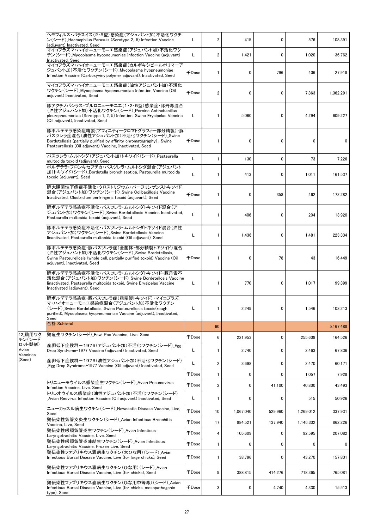|                             | ヘモフィルス・パラスイス(2・5型)感染症(アジュバント加)不活化ワクチ<br>ン(シード)_Haemophilus Parasuis (Serotype 2, 5) Infection Vaccine<br>(adjuvant) Inactivated, Seed                                                                                  | L                   | 2                       | 415       | 0       | 576       | 108,391   |
|-----------------------------|------------------------------------------------------------------------------------------------------------------------------------------------------------------------------------------------------------------------|---------------------|-------------------------|-----------|---------|-----------|-----------|
|                             | マイコプラズマ・ハイオニューモニエ感染症(アジュバント加)不活化ワク<br>チン(シード) Mycoplasma hyopneumoniae Infection Vaccine (adjuvant)<br>Inactivated, Seed                                                                                               | L                   | $\overline{2}$          | 1,421     | 0       | 1,020     | 36,762    |
|                             | マイコプラズマ・ハイオニューモニエ感染症(カルボキシビニルポリマーア<br>ジュバント加)不活化ワクチン(シード) Mycoplasma hyopneumoniae<br>Infection Vaccine (Carboxyvinylpolymer adjuvant), Inactivated, Seed                                                              | <b>千Dose</b>        | $\mathbf{1}$            | 0         | 796     | 406       | 27,918    |
|                             | マイコプラズマ・ハイオニューモニエ感染症(油性アジュバント加)不活化<br>ワクチン(シード)_Mycoplasma hyopneumoniae Infection Vaccine (Oil<br>adjuvant) Inactivated, Seed                                                                                         | <b><i>FDose</i></b> | $\overline{2}$          | 0         | 0       | 7,863     | 1,362,291 |
|                             | 豚アクチノバシラス・プルロニューモニエ(1・2・5型)感染症・豚丹毒混合<br>(油性アジュバント加)不活化ワクチン(シード) Porcine Actinobacillus<br>pleuropneumoniae (Serotype 1, 2, 5) Infection, Swine Erysipelas Vaccine<br>(Oil adjuvant), Inactivated, Seed                 | L                   | $\mathbf{1}$            | 5,060     | 0       | 4,294     | 609,227   |
|                             | 豚ボルデテラ感染症精製(アフィニティークロマトグラフィー部分精製)・豚<br>パスツレラ症混合(油性アジュバント加)不活化ワクチン(シード)_Swine<br>Bordetellosis (partially purified by affinity chromatography), Swine<br>Pasteurellosis (Oil adjuvant) Vaccine, Inactivated, Seed       | 千Dose               | $\mathbf{1}$            | 0         | 0       | 0         | 0         |
|                             | パスツレラ・ムルトシダ(アジュバント加)トキソイド(シード) Pasteurella<br>multocida toxoid (adjuvant), Seed                                                                                                                                        | L                   | $\mathbf{1}$            | 130       | 0       | 73        | 7,226     |
|                             | ボルデテラ・ブロンキセプチカ・パスツレラ・ムルトシダ混合(アジュバント<br>加)トキソイド(シード) Bordetella bronchiseptica, Pasteurella multocida<br>toxoid (adjuvant), Seed                                                                                        | L                   | $\mathbf{1}$            | 413       | 0       | 1,011     | 161,537   |
|                             | 豚大腸菌性下痢症不活化・クロストリジウム・パーフリンゲンストキソイド<br>混合(アジュバント加)ワクチン(シード)_Swine Colibacillosis Vaccine<br>Inactivated, Clostridium perfringens toxoid (adjuvant), Seed                                                                | <b>FDose</b>        | $\mathbf{1}$            | 0         | 358     | 462       | 172,282   |
|                             | 豚ボルデテラ感染症不活化・パスツレラ・ムルトシダトキソイド混合(ア<br>ジュバント加)ワクチン(シード) Swine Bordetellosis Vaccine Inactivated,<br>Pasteurella multocida toxoid (adjuvant), Seed                                                                        | L                   | 1                       | 406       | 0       | 204       | 13,920    |
|                             | 豚ボルデテラ感染症不活化・パスツレラ・ムルトシダトキソイド混合(油性<br>アジュバント加)ワクチン(シード) Swine Bordetellosis Vaccine<br>Iinactivated, Pasteurella multocida toxoid (Oil adjuvant), Seed                                                                 | L                   | $\mathbf{1}$            | 1,436     | 0       | 1,481     | 223,334   |
|                             | 豚ボルデテラ感染症・豚パスツレラ症(全菌体・部分精製トキソイド)混合<br>(油性アジュバント加)不活化ワクチン(シード) Swine Bordetellosis.<br>Swine Pasteurellosis (whole cell, partially purified toxoid) Vaccine (Oil<br>adjuvant), Inactivated, Seed                        | 千Dose               | $\mathbf{1}$            | 0         | 78      | 43        | 16,449    |
|                             | 豚ボルデテラ感染症不活化・パスツレラ・ムルトシダトキソイド・豚丹毒不<br>活化混合(アジュバント加)ワクチン(シード)_Swine Bordetellosis Vaccine<br>Iinactivated, Pasteurella multocida toxoid, Swine Erysipelas Vaccine<br>Inactivated (adjuvant), Seed                       | L                   | $\mathbf{1}$            | 770       | 0       | 1,017     | 99,399    |
|                             | 豚ボルデテラ感染症・豚パスツレラ症(粗精製トキソイド)・マイコプラズ<br>マ・ハイオニューモニエ感染症混合(アジュバント加)不活化ワクチン<br>(シード)_Swine Bordetellosis, Swine Pasteurellosis toxoid(rough<br>purified), Mycoplasma hyopneumoniae Vaccine (adjuvant), Inactivated,<br>Seed | L                   | 1                       | 2,249     | 0       | 1,546     | 103,213   |
|                             | 合計 Subtotal                                                                                                                                                                                                            |                     | 60                      |           |         |           | 5,167,488 |
| 12 鶏用ワク<br>チン(シード           | 鶏痘生ワクチン(シード) Fowl Pox Vaccine. Live. Seed                                                                                                                                                                              | <b>千Dose</b>        | 6                       | 221,953   | 0       | 255,608   | 164,526   |
| ロット製剤)<br>Avian<br>Vaccines | 産卵低下症候群-1976(アジュバント加)不活化ワクチン(シード) Egg<br>Drop Syndrome-1977 Vaccine (adjuvant) Inactivated, Seed                                                                                                                       | L                   | $\mathbf{1}$            | 2,740     | 0       | 2,463     | 67,836    |
| (Seed)                      | 産卵低下症候群-1976(油性アジュバント加)不活化ワクチン(シード)<br>Egg Drop Syndrome-1977 Vaccine (Oil adjuvant) Inactivated, Seed                                                                                                                 | L                   | 2                       | 3,698     | 0       | 2,470     | 60,171    |
|                             |                                                                                                                                                                                                                        | 千Dose               | $\mathbf{1}$            | 0         | 0       | 1,057     | 7,928     |
|                             | トリニューモウイルス感染症生ワクチン(シード) Avian Pneumovirus<br>Infection Vaccine, Live, Seed                                                                                                                                             | <b>千Dose</b>        | $\overline{\mathbf{2}}$ | 0         | 41,100  | 40.800    | 43,493    |
|                             | トリレオウイルス感染症(油性アジュバント加)不活化ワクチン(シード)<br>Avian Reovirus Infection Vaccine (Oil adjuvant) Inactivated, Seed                                                                                                                | L                   | $\mathbf{1}$            | 0         | 0       | 515       | 50,926    |
|                             | ニューカッスル病生ワクチン(シード) Newcastle Disease Vaccine, Live,<br>Seed                                                                                                                                                            | <b>千Dose</b>        | 10                      | 1,067,040 | 529.960 | 1,269,012 | 337,931   |
|                             | 鶏伝染性気管支炎生ワクチン(シード) Avian Infectious Bronchitis<br>Vaccine, Live, Seed                                                                                                                                                  | 千Dose               | 17                      | 984,521   | 137,940 | 1,146,302 | 862,226   |
|                             | 鶏伝染性喉頭気管炎生ワクチン(シード) Avian Infectious<br>Laryngotrachitis Vaccine, Live, Seed                                                                                                                                           | 千Dose               | 4                       | 105,609   | 0       | 92,595    | 207,082   |
|                             | 鶏伝染性喉頭気管炎凍結生ワクチン(シード) Avian Infectious<br>Laryngotrachitis Vaccine, Frozen Live, Seed                                                                                                                                  | 千Dose               | $\mathbf{1}$            | 0         | 0       | 0         | 0         |
|                             | 鶏伝染性ファブリキウス嚢病生ワクチン(大ひな用)(シード) Avian<br>Infectious Bursal Disease Vaccine, Live (for large chicks), Seed                                                                                                                | 千Dose               | $\mathbf{1}$            | 38,796    | 0       | 43,270    | 157,801   |
|                             | 鶏伝染性ファブリキウス嚢病生ワクチン(ひな用)(シード) Avian<br>Infectious Bursal Disease Vaccine, Live (for chicks), Seed                                                                                                                       | 千Dose               | 9                       | 388,815   | 414,276 | 718,365   | 765,081   |
|                             | [鶏伝染性ファブリキウス嚢病生ワクチン(ひな用中等毒)(シード)_Avian<br>Infectious Bursal Disease Vaccine, Live (for chicks, mesopathogenic<br>type), Seed                                                                                           | 千Dose               | 3                       | 0         | 4,740   | 4,330     | 15,513    |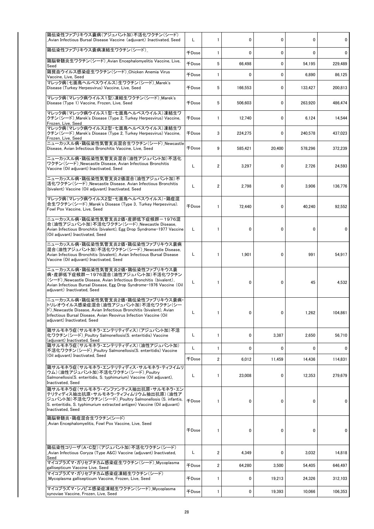| 鶏伝染性ファブリキウス囊病(アジュバント加)不活化ワクチン(シード)<br>Avian Infectious Bursal Disease Vaccine (adjuvant) Inactivated, Seed                                                                                                                                         | L            | $\mathbf{1}$            | 0       | 0           | 0       | 0       |
|----------------------------------------------------------------------------------------------------------------------------------------------------------------------------------------------------------------------------------------------------|--------------|-------------------------|---------|-------------|---------|---------|
| 鶏伝染性ファブリキウス嚢病凍結生ワクチン(シード)                                                                                                                                                                                                                          | <b>千Dose</b> | 1                       | 0       | $\mathbf 0$ | 0       | 0       |
| 鶏脳脊髄炎生ワクチン(シード) Avian Encephalomyelitis Vaccine, Live,<br>Seed                                                                                                                                                                                     | $\mp$ Dose   | 5                       | 66,498  | $\mathbf 0$ | 54,195  | 229,489 |
| 鶏貧血ウイルス感染症生ワクチン(シード) Chicken Anemia Virus<br>Vaccine, Live, Seed                                                                                                                                                                                   | <b>千Dose</b> | 1                       | 0       | 0           | 6,890   | 86.125  |
| マレック病(七面鳥ヘルペスウイルス)生ワクチン(シード) Marek's<br>Disease (Turkey Herpesvirus) Vaccine, Live, Seed                                                                                                                                                           | $\mp$ Dose   | 5                       | 166,553 | 0           | 133,427 | 200,813 |
| マレック病(マレック病ウイルス1型)凍結生ワクチン(シード) Marek's<br>Disease (Type 1) Vaccine, Frozen, Live, Seed                                                                                                                                                             | $\mp$ Dose   | 5                       | 506,603 | 0           | 263.920 | 486,474 |
| マレック病(マレック病ウイルス1型・七面鳥ヘルペスウイルス)凍結生ワ<br>クチン (シード) _Marek's Disease (Type 2, Turkey Herpesvirus) Vaccine,                                                                                                                                             | 千Dose        | $\mathbf{1}$            | 12.740  | 0           | 6,124   | 14,544  |
| Frozen, Live, Seed<br>マレック病(マレック病ウイルス2型・七面鳥ヘルペスウイルス)凍結生ワ<br>クチン(シード)_Marek's Disease (Type 2, Turkey Herpesvirus) Vaccine,                                                                                                                         | 千Dose        | 3                       | 224,275 | 0           | 240,578 | 437,023 |
| Frozen, Live, Seed<br>ニューカッスル病・鶏伝染性気管支炎混合生ワクチン(シード) Newcastle<br>Disease, Avian Infectious Bronchitis Vaccine, Live, Seed                                                                                                                          | 千Dose        | 9                       | 585,421 | 20,400      | 578,296 | 372,239 |
| ニューカッスル病・鶏伝染性気管支炎混合(油性アジュバント加)不活化<br>ワクチン(シード) Newcastle Disease, Avian Infectious Bronchitis<br>Vaccine (Oil adjuvant) Inactivated, Seed                                                                                                          |              | 2                       | 3,297   | 0           | 2,726   | 24,593  |
| ニュ―カッスル病・鶏伝染性気管支炎2価混合(油性アジュバント加)不<br>活化ワクチン(シード)_Newcastle Disease. Avian Infectious Bronchitis<br>(bivalent) Vaccine (Oil adjuvant) Inactivated, Seed                                                                                             |              | $\overline{2}$          | 2,798   | 0           | 3,906   | 136,776 |
| マレック病(マレック病ウイルス2型・七面鳥ヘルペスウイルス)・鶏痘混<br>合生ワクチン (シード)_Marek's Disease (Type 3, Turkey Herpesvirus).<br>Fowl Pox Vaccine, Live, Seed                                                                                                                   |              | $\mathbf{1}$            | 72,440  | 0           | 40,240  | 92,552  |
| ニューカッスル病・鶏伝染性気管支炎2価・産卵低下症候群-1976混<br>合(油性アジュバント加)不活化ワクチン(シード)_Newcastle Disease,<br>Avian Infectious Bronchitis (bivalent), Egg Drop Syndrome-1977 Vaccine<br>(Oil adjuvant) Inactivated, Seed                                                     | L            | $\mathbf{1}$            | 0       | 0           | 0       | 0       |
| ニューカッスル病・鶏伝染性気管支炎2価・鶏伝染性ファブリキウス嚢病<br>混合(油性アジュバント加)不活化ワクチン(シード)_Newcastle Disease,<br>Avian Infectious Bronchitis (bivalent), Avian Infectious Bursal Disease<br>Vaccine (Oil adjuvant) Inactivated, Seed                                           |              | $\mathbf{1}$            | 1,901   | 0           | 991     | 54,917  |
| ニューカッスル病・鶏伝染性気管支炎2価・鶏伝染性ファブリキウス嚢<br>病・産卵低下症候群-1976混合(油性アジュバント加)不活化ワクチン<br>(シード) Newcastle Disease, Avian Infectious Bronchitis (bivalent),<br>Avian Infectious Bursal Disease, Egg Drop Syndrome-1976 Vaccine (Oil<br>adjuvant) Inactivated, Seed  |              | $\mathbf{1}$            | 0       | 0           | 45      | 4,532   |
| ニューカッスル病・鶏伝染性気管支炎2価・鶏伝染性ファブリキウス嚢病・<br>トリレオウイルス感染症混合(油性アジュバント加)不活化ワクチン(シー<br>ド) Newcastle Disease, Avian Infectious Bronchitis (bivalent), Avian<br>Infectious Bursal Disease, Avian Reovirus Infection Vaccine (Oil<br>adjuvant) Inactivated, Seed | L            |                         |         |             | 1,262   | 104,861 |
| 鶏サルモネラ症(サルモネラ・エンテリティディス)(アジュバント加)不活<br>化ワクチン(シード) Poultry Salmonellosis(S. enteritidis) Vaccine<br>(adjuvant) Inactivated, Seed                                                                                                                    | L            | $\mathbf{1}$            | 0       | 3,387       | 2,650   | 56,710  |
| 鶏サルモネラ症(サルモネラ・エンテリティディス)(油性アジュバント加)<br>不活化ワクチン(シード)_Poultry Salmonellosis(S. enteritidis) Vaccine                                                                                                                                                  | Г            | $\mathbf{1}$            | 0       | $\mathbf 0$ | 0       | 0       |
| (Oil adjuvant) Inactivated, Seed                                                                                                                                                                                                                   | 千Dose        | $\overline{2}$          | 6,012   | 11,459      | 14,436  | 114,831 |
| 鶏サルモネラ症(サルモネラ・エンテリティディス・サルモネラ・ティフイムリ<br>ウム)(油性アジュバント加)不活化ワクチン(シード) Poultry<br>Salmonellosis (S. enteritidis, S. typhimurium) Vaccine (Oil adiuvant).<br>Inactivated, Seed                                                                          | L            | 1                       | 23,008  | 0           | 12,353  | 279.679 |
| 鶏サルモネラ症(サルモネラ・インファンティス抽出抗原・サルモネラ・エン<br>テリティディス抽出抗原・サルモネラ・ティフィムリウム抽出抗原)(油性ア<br>ジュバント加)不活化ワクチン(シード)_Poultry Salmonellosis (S. infantis,<br>S. enteritidis, S. typhimurium extracted antigen) Vaccine (Oil adjuvant)<br>Inactivated, Seed             | <b>FDose</b> | 1                       | 0       | 0           | 0       | 0       |
| 鶏脳脊髄炎・鶏痘混合生ワクチン(シード)<br>Avian Encephalomyelitis, Fowl Pox Vaccine, Live, Seed                                                                                                                                                                      | $\mp$ Dose   | $\mathbf{1}$            | 0       | 0           | 0       | 0       |
| 鶏伝染性コリーザ(A・C型)(アジュバント加)不活化ワクチン(シード)<br>Avian Infectious Coryza (Type A&C) Vaccine (adjuvant) Inactivated,<br>Seed                                                                                                                                  | Г            | 2                       | 4,349   | 0           | 3,032   | 14,818  |
| マイコプラズマ・ガリセプチカム感染症生ワクチン(シード) Mycoplasma<br>gallisepticum Vaccine Live, Seed                                                                                                                                                                        | 千Dose        | $\overline{\mathbf{c}}$ | 64,280  | 3,500       | 54,405  | 646,497 |
| マイコプラズマ・ガリセプチカム感染症凍結生ワクチン(シード)<br>Mycoplasma gallisepticum Vaccine, Frozen, Live, Seed                                                                                                                                                             | $\mp$ Dose   | 1                       | 0       | 19,213      | 24,326  | 312,103 |
| マイコプラズマ・シノビエ感染症凍結生ワクチン(シード)_Mycoplasma<br>synoviae Vaccine, Frozen, Live, Seed                                                                                                                                                                     | 千Dose        | 1                       | 0       | 19,393      | 10,066  | 106,353 |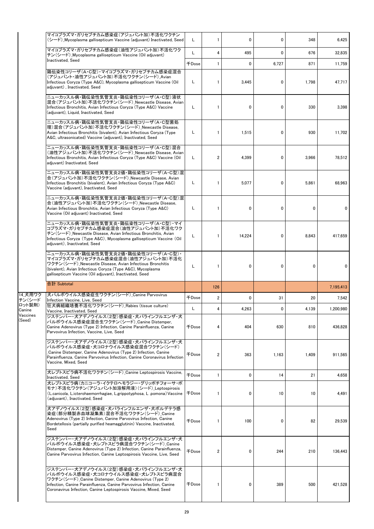|                    | マイコプラズマ・ガリセプチカム感染症(アジュバント加)不活化ワクチン<br>(シード) Mycoplasma gallisepticum Vaccine (adiuvant) Inactivated. Seed                                                                                                                                                                      | Г            |                         | 0            | 0            | 348         | 6,425     |
|--------------------|--------------------------------------------------------------------------------------------------------------------------------------------------------------------------------------------------------------------------------------------------------------------------------|--------------|-------------------------|--------------|--------------|-------------|-----------|
|                    | マイコプラズマ・ガリセプチカム感染症(油性アジュバント加)不活化ワク<br>チン(シード) Mycoplasma gallisepticum Vaccine (Oil adjuvant)                                                                                                                                                                                  | L            | 4                       | 495          | $\mathbf{0}$ | 676         | 32,835    |
|                    | Inactivated, Seed                                                                                                                                                                                                                                                              | 千Dose        | 1                       | $\mathbf{0}$ | 6,727        | 871         | 11,759    |
|                    | 鶏伝染性コリーザ(A・C型)・マイコプラズマ・ガリセプチカム感染症混合<br>(アジュバント・油性アジュバント加)不活化ワクチン(シード) Avian<br>Infectious Coryza (Type A&C), Mycoplasma gallisepticum Vaccine (Oil<br>adjuvant), Inactivated, Seed                                                                                             | Г            | $\mathbf{1}$            | 3,445        | 0            | 1,798       | 47,717    |
|                    | ニューカッスル病・鶏伝染性気管支炎・鶏伝染性コリーザ(A・C型)液状<br>混合(アジュバント加)不活化ワクチン(シード)_Newcastle Disease, Avian<br>Infectious Bronchitis, Avian Infectious Coryza (Type A&C) Vaccine<br>(adjuvant), Liquid, Inactivated, Seed                                                                           | Г            | 1                       | 0            | 0            | 330         | 3,398     |
|                    | ニューカッスル病・鶏伝染性気管支炎・鶏伝染性コリーザ(A・C型菌処<br> 理)混合(アジュバント加)不活化ワクチン(シード)_Newcastle Disease,<br>Avian Infectious Bronchitis (bivalent), Avian Infectious Coryza (Type<br>A&C, ultrasonicated) Vaccine (adjuvant), Inactivated, Seed                                                      | Г            | 1                       | 1,515        | 0            | 930         | 11,702    |
|                    | ニューカッスル病・鶏伝染性気管支炎・鶏伝染性コリーザ(A・C型)混合<br>(油性アジュバント加)不活化ワクチン(シード)_Newcastle Disease, Avian<br>Infectious Bronchitis, Avian Infectious Coryza (Type A&C) Vaccine (Oil<br>adjuvant) Inactivated, Seed                                                                                | L            | 2                       | 4,399        | 0            | 3.966       | 78,512    |
|                    | ニューカッスル病・鶏伝染性気管支炎2価・鶏伝染性コリーザ(A・C型)混<br>合(アジュバント加)不活化ワクチン(シード)_Newcastle Disease, Avian<br>Infectious Bronchitis (bivalent), Avian Infectious Coryza (Type A&C)<br>Vaccine (adjuvant), Inactivated, Seed                                                                        | Г            | 1                       | 5,077        | 0            | 5,861       | 68,963    |
|                    | ニューカッスル病・鶏伝染性気管支炎2価・鶏伝染性コリーザ(A・C型)混<br>合(油性アジュバント加)不活化ワクチン(シード) Newcastle Disease,<br>Avian Infectious Bronchitis, Avian Infectious Coryza (Type A&C)<br>Vaccine (Oil adjuvant) Inactivated, Seed                                                                              | L            | 1                       | 0            | 0            | 0           | 0         |
|                    | ニューカッスル病・鶏伝染性気管支炎・鶏伝染性コリーザ(A・C型)・マイ<br>コプラズマ・ガリセプチカム感染症混合(油性アジュバント加)不活化ワク<br>チン (シード) Newcastle Disease, Avian Infectious Bronchitis, Avian<br>Infectious Coryza (Type A&C), Mycoplasma gallisepticum Vaccine (Oil<br>adjuvant), Inactivated, Seed                             | Г            | 1                       | 14,224       | 0            | 8.843       | 417,659   |
|                    | ニューカッスル病・鶏伝染性気管支炎2価・鶏伝染性コリーザ(A・C型)・<br>マイコプラズマ・ガリセプチカム感染症混合(油性アジュバント加)不活化<br>ワクチン(シード)_Newcastle Disease, Avian Infectious Bronchitis<br>(bivalent), Avian Infectious Coryza (Type A&C), Mycoplasma<br>gallisepticum Vaccine (Oil adjuvant), Inactivated, Seed                 | Г            | 1                       | 0            | 0            | $\mathbf 0$ | 0         |
|                    | 合計 Subtotal                                                                                                                                                                                                                                                                    |              | 126                     |              |              |             | 7,195,413 |
| 14_犬用ワク<br>チン(シード  | 犬パルボウイルス感染症生ワクチン(シード)_Canine Parvovirus                                                                                                                                                                                                                                        | 千Dose        | $\overline{\mathbf{2}}$ | 0            | 31           | 20          | 7,542     |
| ロット製剤)<br>Canine   | Infection Vaccine, Live, Seed<br>狂犬病組織培養不活化ワクチン(シード) Rabies (tissue culture)                                                                                                                                                                                                   | L            | 4                       | 4,263        | 0            | 4,139       | 1,200,980 |
| Vaccines<br>(Seed) | Vaccine, Inactivated, Seed<br>ジステンパー・犬アデノウイルス(2型)感染症・犬パラインフルエンザ・犬<br>パルボウイルス感染症混合生ワクチン(シード) Canine Distemper,<br>Canine Adenovirus (Type 2) Infection, Canine Parainfluenza, Canine<br>Parvovirus Infection, Vaccine, Live, Seed                                               | 千Dose        | 4                       | 404          | 630          | 810         | 436,828   |
|                    | ジステンパー・犬アデノウイルス(2型)感染症・犬パラインフルエンザ・犬<br>パルボウイルス感染症・犬コロナウイルス感染症混合ワクチン(シード)<br>Canine Distemper, Canine Adenovirus (Type 2) Infection, Canine<br>Parainfluenza, Canine Parvovirus Infection, Canine Coronavirus Infection<br>Vaccine, Mixed, Seed                                 | $\mp$ Dose   | 2                       | 363          | 1,163        | 1,409       | 911,565   |
|                    | 犬レプトスピラ病不活化ワクチン(シード) Canine Leptospirosis Vaccine,<br>Inactivated, Seed                                                                                                                                                                                                        | <b>FDose</b> | 1                       | 0            | 14           | 21          | 4,658     |
|                    | 犬レプトスピラ病(カニコーラ・イクテロへモラジー・グリッポチフォーサ・ポ<br>モナ)不活化ワクチン(アジュバント加溶解用液)(シード) Leptospirosis<br>(L.canicola, L.icterohaemorrhagiae, L.grippotyphosa, L.pomona) Vaccine<br>(adjuvant), Inactivated, Seed                                                                                  | 千Dose        | 1                       | 0            | 10           | 10          | 4,491     |
|                    | 犬アデノウイルス(2型)感染症・犬パラインフルエンザ・犬ボルデテラ感<br>染症(部分精製赤血球凝集素)混合不活化ワクチン(シード)_Canine<br>Adenovirus (Type 2) Infection, Canine Parvovirus Infection, Canine<br>Bordetellosis (partially purified heamagglutinin) Vaccine, Inactivated,<br>Seed                                             | 千Dose        | 1                       | 100          | 0            | 82          | 29,539    |
|                    | ジステンパー・犬アデノウイルス(2型)感染症・犬パラインフルエンザ・犬<br>パルボウイルス感染症・犬レプトスピラ病混合ワクチン(シード) Canine<br>Distemper, Canine Adenovirus (Type 2) Infection, Canine Parainfluenza,<br>Canine Parvovirus Infection, Canine Leptospirosis Vaccine, Live, Seed                                                | <b>千Dose</b> | 2                       | 0            | 244          | 210         | 136,443   |
|                    | ジステンパー・犬アデノウイルス(2型)感染症・犬パラインフルエンザ・犬<br>パルボウイルス感染症・犬コロナウイルス感染症・犬レプトスピラ病混合<br>ワクチン(シード) Canine Distemper, Canine Adenovirus (Type 2)<br>Infection, Canine Parainfluenza, Canine Parvovirus Infection, Canine<br>Coronavirus Infection, Canine Leptospirosis Vaccine, Mixed, Seed | 千Dose        | 1                       | 0            | 389          | 500         | 421,528   |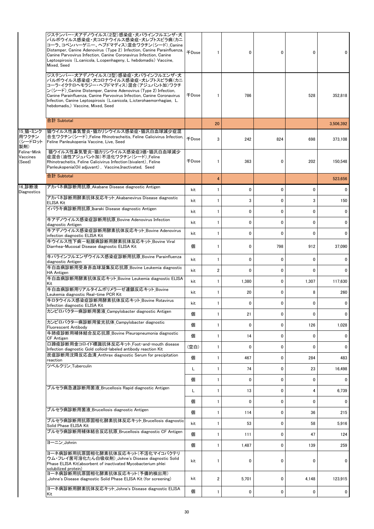|                                                                          | ジステンパー・犬アデノウイルス(2型)感染症・犬パラインフルエンザ・犬<br>パルボウイルス感染症・犬コロナウイルス感染症・犬レプトスピラ病(カニ<br>コーラ、コペンハーゲニー、ヘブドマディス)混合ワクチン(シード)_Canine<br>Distemper, Canine Adenovirus (Type 2) Infection, Canine Parainfluenza,<br>Canine Parvovirus Infection, Canine Coronavirus Infection, Canine<br>Leptospirosis (L.canicola, L.copenhageny, L. hebdomadis) Vaccine,<br>Mixed, Seed                     | <b>千Dose</b> | 1  | 0     | 0            | 0            |              |
|--------------------------------------------------------------------------|-----------------------------------------------------------------------------------------------------------------------------------------------------------------------------------------------------------------------------------------------------------------------------------------------------------------------------------------------------------------------------|--------------|----|-------|--------------|--------------|--------------|
|                                                                          | ジステンパー・犬アデノウイルス(2型)感染症・犬パラインフルエンザ・犬<br>パルボウイルス感染症・犬コロナウイルス感染症・犬レプトスピラ病(カニ<br>コーラ・イクテロヘモラジー・ヘブドマディス)混合(アジュバント加)ワクチ<br>ン (シード) Canine Distemper, Canine Adenovirus (Type 2) Infection,<br>Canine Parainfluenza, Canine Parvovirus Infection, Canine Coronavirus<br>Infection, Canine Leptospirosis (L.canicola, L.icterohaemorrhagiae, L.<br>hebdomadis,)Vaccine, Mixed, Seed | 千Dose        | 1  | 786   |              | 528          | 352,818      |
|                                                                          | 合計 Subtotal                                                                                                                                                                                                                                                                                                                                                                 |              | 20 |       |              |              | 3,506,392    |
| 15_猫・ミンク<br>用ワクチン<br>(シードロット<br>製剤)<br>Feline Mink<br>Vaccines<br>(Seed) | 猫ウイルス性鼻気管炎・猫カリシウイルス感染症・猫汎白血球減少症混<br>合生ワクチン(シード) Feline Rhinotracheitis, Feline Calicivirus Infection,<br>Feline Panleukopenia Vaccine, Live, Seed                                                                                                                                                                                                                           | <b>+Dose</b> | 3  | 242   | 824          | 698          | 373,108      |
|                                                                          | 猫ウイルス性鼻気管炎・猫カリシウイルス感染症3価・猫汎白血球減少<br>症混合(油性アジュバント加)不活化ワクチン(シード) Feline<br>Rhinotracheitis, Feline Calicivirus Infection(bivalent), Feline<br>Panleukopenia(Oil adjuvant), Vaccine, Inactivated, Seed                                                                                                                                                                         | <b>千Dose</b> | 1  | 363   | 0            | 202          | 150,548      |
|                                                                          | 合計 Subtotal                                                                                                                                                                                                                                                                                                                                                                 |              | 4  |       |              |              | 523,656      |
| 16 診断液<br>Diagnostics                                                    | アカバネ病診断用抗原_Akabane Disease diagnostic Antigen                                                                                                                                                                                                                                                                                                                               | kit          | 1  | 0     | 0            | $\mathbf{0}$ | 0            |
|                                                                          | アカバネ診断用酵素抗体反応キット_Akabanevirus Disease diagnostic<br><b>ELISA Kit</b>                                                                                                                                                                                                                                                                                                        | kit          |    | 3     | $\mathbf{0}$ | 3            | 150          |
|                                                                          | イバラキ病診断用抗原 Ibaraki Disease diagnostic Antigen                                                                                                                                                                                                                                                                                                                               | kit          | 1  | 0     | 0            | $\mathbf{0}$ | 0            |
|                                                                          | 牛アデノウイルス感染症診断用抗原 Bovine Adenovirus Infection<br>diagnostic Antigen                                                                                                                                                                                                                                                                                                          | kit          |    | 0     | $\mathbf{0}$ | $\mathbf{0}$ | 0            |
|                                                                          | 牛アデノウイルス感染症診断用酵素抗体反応キット Bovine Adenovirus<br>infection diagnostic ELISA Kit                                                                                                                                                                                                                                                                                                 | kit          | 1  | 0     | 0            | $\mathbf{0}$ | 0            |
|                                                                          | 牛ウイルス性下痢-粘膜病診断用酵素抗体反応キット Bovine Viral<br>Diarrhea-Mucosal Disease diagnostic ELISA Kit                                                                                                                                                                                                                                                                                      | 個            | 1  | 0     | 798          | 912          | 37,090       |
|                                                                          | 牛パラインフルエンザウイルス感染症診断用抗原 Bovine Parainfluenza<br>diagnostic Antigen                                                                                                                                                                                                                                                                                                           | kit          | 1  | 0     | 0            | 0            | 0            |
|                                                                          | 牛白血病診断用受身赤血球凝集反応抗原_Bovine Leukemia diagnostic<br><b>HA Antigen</b>                                                                                                                                                                                                                                                                                                          | kit          | 2  | 0     | 0            | 0            | 0            |
|                                                                          | 牛白血病診断用酵素抗体反応キット_Bovine Leukemia diagnostic ELISA<br>Kit                                                                                                                                                                                                                                                                                                                    | kit          | 1  | 1,380 | 0            | 1,307        | 117,630      |
|                                                                          | 牛白血病診断用リアルタイムポリメラーゼ連鎖反応キット Bovine<br>Leukemia diagnostic Real-time PCR Kit                                                                                                                                                                                                                                                                                                  | kit          | 1  | 20    | 0            | 8            | 260          |
|                                                                          | 牛ロタウイルス感染症診断用酵素抗体反応キット Bovine Rotavirus<br>Infection diagnostic ELISA Kit                                                                                                                                                                                                                                                                                                   | kit          |    | 0     | 0            | $\mathbf{0}$ | $\mathbf{0}$ |
|                                                                          | カンピロバクター病診断用菌液 Campylobacter diagnostic Antigen                                                                                                                                                                                                                                                                                                                             | 個            | 1  | 21    | 0            | 0            | 0            |
|                                                                          | カンピロバクター病診断用蛍光抗体 Campylobacter diagnostic<br>Fluorescent Antibody                                                                                                                                                                                                                                                                                                           | 個            | 1  | 0     | 0            | 126          | 1,028        |
|                                                                          | 牛肺疫診断用補体結合反応抗原 Bovine Pleuropneumonia diagnostic<br><b>CF Antigen</b>                                                                                                                                                                                                                                                                                                       | 個            | 1  | 14    | 0            | $\mathbf{0}$ | 0            |
|                                                                          | 口蹄疫診断用金コロイド標識抗体反応キット Foot-and-mouth disease<br>Infection diagnostic Gold colloid-labeled antibody reaction Kit                                                                                                                                                                                                                                                              | (空白)         | 1  | 0     | 0            | 0            | 0            |
|                                                                          | 炭疽診断用沈降反応血清 Anthrax diagnostic Serum for precipitation<br>reaction                                                                                                                                                                                                                                                                                                          | 個            | 1  | 467   | 0            | 284          | 483          |
|                                                                          | ツベルクリン Tuberculin                                                                                                                                                                                                                                                                                                                                                           | L            | 1  | 74    | 0            | 23           | 16,498       |
|                                                                          |                                                                                                                                                                                                                                                                                                                                                                             | 個            | 1  | 0     | 0            | 0            | 0            |
|                                                                          | ブルセラ病急速診断用菌液_Brucellosis Rapid diagnostic Antigen                                                                                                                                                                                                                                                                                                                           | Г            | 1  | 13    | 0            | 4            | 6,739        |
|                                                                          |                                                                                                                                                                                                                                                                                                                                                                             | 個            | 1  | 0     | 0            | 0            | 0            |
|                                                                          | ブルセラ病診断用菌液 Brucellosis diagnostic Antigen                                                                                                                                                                                                                                                                                                                                   | 個            | 1  | 114   | 0            | 36           | 215          |
|                                                                          | ブルセラ病診断用抗原固相化酵素抗体反応キット Brucellosis diagnostic<br>Solid Phase ELISA Kit                                                                                                                                                                                                                                                                                                      | kit          | 1  | 53    | 0            | 58           | 5,916        |
|                                                                          | ブルセラ病診断用補体結合反応抗原 Brucellosis diagnostic CF Antigen                                                                                                                                                                                                                                                                                                                          | 個            | 1  | 111   | 0            | 47           | 124          |
|                                                                          | ヨーニン Johnin                                                                                                                                                                                                                                                                                                                                                                 | 個            |    | 1,487 | 0            | 139          | 259          |
|                                                                          | ヨ―ネ病診断用抗原固相化酵素抗体反応キット(不活化マイコバクテリ<br>ウム・フレイ菌可溶化たん白吸収剤)Johne's Disease diagnostic Solid<br>Phase ELISA Kit(absorbent of inactivated Mycobacterium phlei<br>solubilized protein)                                                                                                                                                                                               | kit          |    | 0     | 0            | 0            | 0            |
|                                                                          | ヨ―ネ病診断用抗原固相化酵素抗体反応キット(予備的検出用)<br>_Johne's Disease diagnostic Solid Phase ELISA Kit (for screening)                                                                                                                                                                                                                                                                          | kit          | 2  | 5,701 | 0            | 4,148        | 123,915      |
|                                                                          | ヨ―ネ病診断用酵素抗体反応キット_Johne's Disease diagnostic ELISA<br>Kit                                                                                                                                                                                                                                                                                                                    | 個            | 1  | 0     | 0            | 0            | 0            |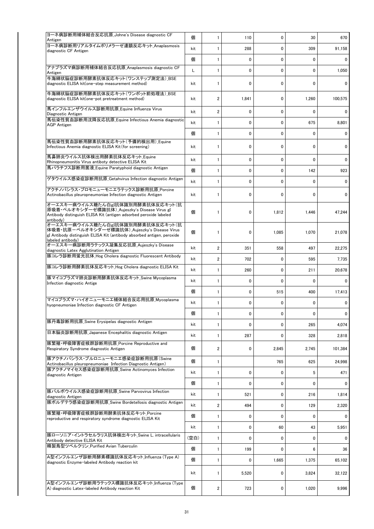| ヨーネ病診断用補体結合反応抗原_Johne's Disease diagnostic CF<br>Antigen                                                                                                                          | 個    | $\mathbf{1}$            | 110   | 0            | 30          | 670          |
|-----------------------------------------------------------------------------------------------------------------------------------------------------------------------------------|------|-------------------------|-------|--------------|-------------|--------------|
| ヨーネ病診断用リアルタイムポリメラーゼ連鎖反応キット Anaplasmosis<br>diagnostic CF Antigen                                                                                                                  | kit  | 1                       | 288   | $\mathbf 0$  | 309         | 91,158       |
|                                                                                                                                                                                   | 個    | $\mathbf{1}$            | 0     | $\mathbf 0$  | $\mathbf 0$ | 0            |
| アナプラズマ病診断用補体結合反応抗原_Anaplasmosis diagnostic CF<br>Antigen                                                                                                                          | L    | $\mathbf{1}$            | 0     | 0            | 0           | 1,050        |
| 牛海綿状脳症診断用酵素抗体反応キット(ワンステップ測定法) BSE<br>diagnostic ELISA kit(one-step measurement method)                                                                                            | kit  | 1                       | 0     | 0            | 0           | 0            |
| 牛海綿状脳症診断用酵素抗体反応キット(ワンポット前処理法)_BSE<br>diagnostic ELISA kit(one-pot pretreatment method)                                                                                            | kit  | $\overline{2}$          | 1,841 | 0            | 1,260       | 100.575      |
| 馬インフルエンザウイルス診断用抗原 Equine Influenza Virus<br>Diagnostic Antigen                                                                                                                    | kit  | $\overline{\mathbf{c}}$ | 0     | 0            | 0           | 0            |
| 馬伝染性貧血診断用沈降反応抗原 Equine Infectious Anemia diagnostic<br><b>AGP</b> Antigen                                                                                                         | kit  | $\mathbf{1}$            | 0     | 0            | 675         | 8,801        |
|                                                                                                                                                                                   | 個    | $\mathbf{1}$            | 0     | 0            | 0           | 0            |
| 馬伝染性貧血診断用酵素抗体反応キット(予備的検出用) Equine<br>Infectious Anemia diagnostic ELISA Kit (for screening)                                                                                       | kit  | 1                       | 0     | $\mathbf{0}$ | 0           | 0            |
| 馬鼻肺炎ウイルス抗体検出用酵素抗体反応キット Equine<br>Rhinopneumonitis Virus antiboty detective ELISA Kit                                                                                              | kit  | $\mathbf{1}$            | 0     | $\mathbf 0$  | 0           | 0            |
| 馬パラチフス診断用菌液 Equine Paratyphoid diagnostic Antigen                                                                                                                                 | 個    | 1                       | 0     | $\mathbf 0$  | 142         | 923          |
| ゲタウイルス感染症診断用抗原_Getahvirus Infection diagnostic Antigen                                                                                                                            | kit  | $\mathbf{1}$            | 0     | $\mathbf{0}$ | 0           | 0            |
| アクチノバシラス・プロモニューモニエラテックス診断用抗原 Porcine<br>Actinobacillus pleuropneumoniae Infection diagnostic Antigen                                                                              | kit  | 1                       | 0     | $\mathbf 0$  | 0           | 0            |
| オーエスキー病ウイルス糖たん白gI抗体識別用酵素抗体反応キット(抗<br>原吸着・ペルオキシダーゼ標識抗体)_Aujeszky's Disease Virus gI<br>Antibody distinguish ELISA Kit (antigen adsorbed peroxide labeled<br>antibody)              | 個    | 1                       | 0     | 1,812        | 1,446       | 47,244       |
| オーエスキー病ウイルス糖たん白gI抗体識別用酵素抗体反応キット(抗<br>体吸着・抗原ーペルオキシダーゼ標識抗体) Aujeszky's Disease Virus<br>gl Antibody distinguish ELISA Kit (antibody absorbed antigen, peroxide<br>labeled antibody) | 個    | 1                       | 0     | 1,085        | 1,070       | 21,078       |
| オーエスキー病診断用ラテックス凝集反応抗原_Aujeszky's Disease<br>diagnostic Latex Agglutination Antigen                                                                                                | kit  | $\overline{2}$          | 351   | 558          | 497         | 22,275       |
| 豚コレラ診断用蛍光抗体_Hog Cholera diagnostic Fluorescent Antibody                                                                                                                           | kit  | $\overline{2}$          | 702   | 0            | 595         | 7,735        |
| 豚コレラ診断用酵素抗体反応キット_Hog Cholera diagnostic ELISA Kit                                                                                                                                 | kit  | 1                       | 260   | $\mathbf 0$  | 211         | 20,678       |
| 豚マイコプラズマ肺炎診断用酵素抗体反応キット_Swine Mycoplasma<br>Infection diagnostic Antige                                                                                                            | kit  | $\mathbf{1}$            | 0     | $\mathbf{0}$ | 0           | 0            |
|                                                                                                                                                                                   | 個    | $\mathbf{1}$            | 0     | 515          | 400         | 17,413       |
| マイコプラズマ・ハイオニューモニエ補体結合反応用抗原Mycoplasma<br>hyopneumoniae Infection diagnostic CF Antigen                                                                                             | kit  | 1                       | 0     | 0            | 0           | 0            |
|                                                                                                                                                                                   | 個    | 1                       | 0     | 0            | 0           | $\mathbf{0}$ |
| 豚丹毒診断用抗原 Swine Erysipelas diagnostic Antigen                                                                                                                                      | kit  | 1                       | 0     | 0            | 265         | 4,074        |
| 日本脳炎診断用抗原 Japanese Encephalitis diagnostic Antigen                                                                                                                                | kit  | $\mathbf{1}$            | 287   | 0            | 328         | 2,818        |
| 豚繁殖·呼吸障害症候群診断用抗原 Porcine Reproductive and<br>Respiratory Syndrome diagnostic Antigen                                                                                              | 個    | 2                       | 0     | 2,845        | 2,745       | 101,384      |
| 豚アクチノバシラス・プルロニューモニエ感染症診断用抗原(Swine<br>Actinobacillus pleuropneumoniae Infection Diagnostic Antigen)                                                                                | 個    | 1                       |       | 765          | 625         | 24,998       |
| 豚アクチノマイセス感染症診断用抗原 Swine Actinomyces Infection<br>diagnostic Antigen                                                                                                               | kit  | $\mathbf{1}$            | 0     | 0            | 5           | 471          |
|                                                                                                                                                                                   | 個    | $\mathbf{1}$            | 0     | 0            | 0           | 0            |
| 豚パルボウイルス感染症診断用抗原 Swine Parvovirus Infection<br>diagnostic Antigen                                                                                                                 | kit  | 1                       | 521   | 0            | 216         | 1,814        |
| 豚ボルデテラ感染症診断用抗原 Swine Bordetellosis diagnostic Antigen                                                                                                                             | kit  | 2                       | 494   | 0            | 129         | 2,320        |
| 豚繁殖・呼吸障害症候群診断用酵素抗体反応キット_Porcine<br>reproductive and respiratory syndrome diagnostic ELISA Kit                                                                                     | 個    | 1                       | 0     | 0            | 0           | 0            |
|                                                                                                                                                                                   | kit  | $\mathbf{1}$            | 0     | 60           | 43          | 5,951        |
| 豚ローソニア・イントラセルラリス抗体検出キット_Swine L. intracellularis<br>Antibody detective ELISA Kit                                                                                                  | (空白) | $\mathbf{1}$            | 0     | 0            | 0           | 0            |
| 精製鳥型ツベルクリン Purified Avian Tuberculin                                                                                                                                              | 個    | 1                       | 199   | $\mathbf{0}$ | 6           | 36           |
| A型インフルエンザ診断用酵素標識抗体反応キット Influenza (Type A)<br>diagnostic Enzyme-labeled Antibody reaction kit                                                                                     | 個    | $\mathbf{1}$            | 0     | 1,665        | 1,375       | 65,102       |
|                                                                                                                                                                                   | kit  | $\mathbf{1}$            | 5,520 | 0            | 3,824       | 32,122       |
| A型インフルエンザ診断用ラテックス標識抗体反応キット_Influenza (Type<br>A) diagnostic Latex-labeled Antibody reaction Kit                                                                                   | 個    | 2                       | 723   | 0            | 1,020       | 9,996        |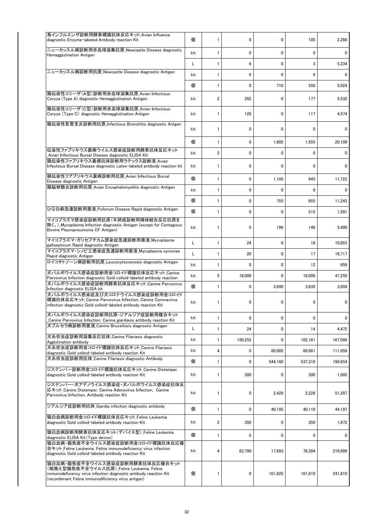| 鳥インフルエンザ診断用酵素標識抗体反応キット Avian Influenza<br>diagnostic Enzyme-labeled Antibody reaction Kit                                                                                                                | 個   | 1                       | 0       | $\mathbf{0}$ | 105     | 2,268   |
|----------------------------------------------------------------------------------------------------------------------------------------------------------------------------------------------------------|-----|-------------------------|---------|--------------|---------|---------|
| ニューカッスル病診断用赤血球凝集抗原_Newcastle Disease diagnostic<br>Hemagglutination Antigen                                                                                                                              | kit | 1                       | 0       | 0            | 0       | 0       |
|                                                                                                                                                                                                          | Г   | $\mathbf{1}$            | 6       | $\mathbf{0}$ | 3       | 5,234   |
| ニューカッスル病診断用抗原 Newcastle Disease diagnostic Antigen                                                                                                                                                       | kit | 1                       | 0       | 0            | 0       | 0       |
|                                                                                                                                                                                                          | 個   | $\mathbf{1}$            | 0       | 710          | 550     | 5.024   |
| 鶏伝染性コリーザ(A型)診断用赤血球凝集抗原 Avian Infectious<br>Coryza (Type A) diagnostic Hemagglutination Antigen                                                                                                           | kit | 2                       | 262     | 0            | 177     | 5,532   |
| 鶏伝染性コリーザ(C型)診断用赤血球凝集抗原 Avian Infectious<br>Coryza (Type C) diagnostic Hemagglutination Antigen                                                                                                           | kit | 1                       | 128     | 0            | 117     | 4,574   |
| 鶏伝染性気管支炎診断用抗原 Infectious Bronchitis diagnostic Antgen                                                                                                                                                    | kit | 1                       | 0       | $\mathbf{0}$ | 0       | 0       |
|                                                                                                                                                                                                          | 個   | $\mathbf{1}$            | 0       | 1,805        | 1,555   | 20,109  |
| 伝染性ファブリキウス嚢病ウイルス感染症診断用酵素抗体反応キット<br>Avian Infectious Bursal Disease diagnostic ELISA Kit                                                                                                                  |     | $\overline{\mathbf{c}}$ | 0       | 0            | 0       | 0       |
| 鶏伝染性ファブリキウス嚢病抗体診断用ラテックス診断液 Avian<br>Infectious Bursal Disease diagnostic Latex-labeled antibody reaction kit                                                                                             | kit | 1                       | 0       | 0            | 0       | 0       |
| 鶏伝染性フアブリキウス嚢病診断用抗原_Avian Infectious Bursal<br>Disease diagnostic Antigen                                                                                                                                 | 個   | $\mathbf{1}$            | 0       | 1,105        | 945     | 11,722  |
| 鶏脳脊髄炎診断用抗原 Avian Encephalomyelitis diagnostic Antigen                                                                                                                                                    | kit | 1                       | 0       | $\mathbf{0}$ | 0       | 0       |
|                                                                                                                                                                                                          | 個   | 1                       | 0       | 755          | 655     | 11,243  |
| ひな白痢急速診断用菌液 Pullorum Disease Rapid diagnostic Antigen                                                                                                                                                    | 個   | $\mathbf{1}$            | 0       | 0            | 515     | 1,591   |
| マイコプラズマ感染症診断用抗原(牛肺疫診断用補体結合反応抗原を<br>除く。) Mycoplasma Infection diagnostic Antigen (except for Contagious<br>Bovine Pleuropneumonia CF Antigen)                                                             | kit | 1                       | 0       | 196          | 146     | 5,490   |
| マイコプラズマ・ガリセプチカム感染症急速診断用菌液_Mycoplasma<br>gallisepticum Rapid diagnostic Antigen                                                                                                                           | Г   | $\mathbf{1}$            | 24      | 0            | 18      | 10,853  |
| マイコプラズマ・シノビエ感染症急速診断用菌液 Mycoplasma synoviae<br>Rapid diagnostic Antigen                                                                                                                                   | L   | $\mathbf{1}$            | 20      | 0            | 17      | 16,717  |
| ロイコチトゾーン病診断用抗原_Leucocytozoonosis diagnostic Antigen                                                                                                                                                      | kit | 1                       | 0       | 0            | 12      | 659     |
| 犬パルボウイルス感染症診断用金コロイド標識抗体反応キット Canine<br>Parvovirus Infection diagnostic Gold colloid-labeled antibody reaction                                                                                            | kit | 5                       | 18,000  | $\mathbf{0}$ | 18,000  | 47,250  |
| 犬パルボウイルス感染症診断用酵素抗体反応キット_Canine Parvovirus<br>Infection diagnostic ELISA kit                                                                                                                              | 個   | $\mathbf{1}$            | 0       | 3,690        | 3,635   | 3,059   |
| 犬パルボウイルス感染症及び犬コロナウイルス感染症診断用金コロイド<br>標識抗体反応キット_Canine Parvovirus Infection, Canine Coronavirus<br>infection diagnostic Gold colloid-labeled antibody reaction Kit                                         | kit | 1                       | 0       | 0            | 0       | 0       |
| 犬パルボウイルス感染症診断用抗原・ジアルジア症診断用複合キット<br>Canine Parvovirus Infection, Canine giardiasis antibody reaction Kit                                                                                                  | kit | 1                       | 0       | 0            | 0       | 0       |
| 犬ブルセラ病診断用菌液 Canine Brucellosis diagnostic Antigen                                                                                                                                                        | Г   | 1                       | 24      | 0            | 14      | 4,472   |
| 犬糸状虫症診断用凝集反応抗体_Canine Filariasis diagnostic<br>Agglutination antibody                                                                                                                                    | kit | 1                       | 150,252 | 0            | 102,161 | 167,099 |
| 犬糸状虫症診断用金コロイド標識抗体反応キット Canine Filariasis<br>diagnostic Gold colloid-labeled antibody reaction Kit                                                                                                        | kit | 4                       | 0       | 80,005       | 68,061  | 111.659 |
| 犬糸状虫症診断用抗体 Canine Filariasis diagnostic Antibody                                                                                                                                                         | 個   | $\mathbf{1}$            | 0       | 544,160      | 537,310 | 190,654 |
| ジステンパー診断用金コロイド標識抗体反応キット_Canine Distemper<br>diagnostic Gold colloid-labeled antibody reaction Kit                                                                                                        | kit | 1                       | 300     | 0            | 300     | 1,095   |
| ジステンパー・犬アデノウイルス感染症・犬パルボウイルス感染症抗体反<br>応キット Canine Distemper, Canine Adenovirus Infection, Canine<br>Parvovirus Infection, Antibody reaction Kit                                                           | kit | 1                       | 0       | 2,429        | 2,226   | 51,287  |
| ジアルジア症診断用抗体_Giardia infection diagnostic antibody                                                                                                                                                        | 個   | 1                       | 0       | 40,195       | 40,110  | 44,197  |
| 猫白血病診断用金コロイド標識抗体反応キット Feline Leukemia<br>diagnostic Gold colloid-labeled antibody reaction Kit                                                                                                           | kit | 2                       | 350     | 0            | 350     | 1,872   |
| 猫白血病診断用酵素抗体反応キット(デバイス型) Feline Leukemia<br>diagnostic ELISA Kit (Type device)                                                                                                                            | 個   | 1                       | 0       | 0            | 0       | 0       |
| 猫白血病・猫免疫不全ウイルス感染症診断用金コロイド標識抗体反応複<br>合キット Feline Leukemia, Feline immunodeficiency virus infection<br>diagnostic Gold colloid-labeled antibody reaction Kit                                               | kit | 4                       | 83,790  | 17,893       | 78,394  | 216,699 |
| 猫白血病・猫免疫不全ウイルス感染症診断用酵素抗体反応複合キット<br>(組換え型猫免疫不全ウイルス抗原) Feline Leukemia, Feline<br>immunodeficiency virus infection diagnostic antibody reaction Kit<br>(recombinant Feline immunodificiency virus antigen) | 個   | 1                       | 0       | 161,825      | 161,810 | 241,810 |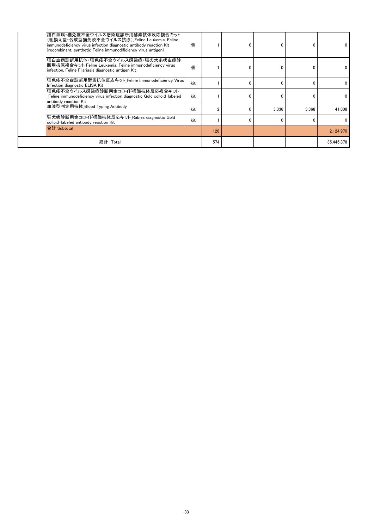| 猫白血病・猫免疫不全ウイルス感染症診断用酵素抗体反応複合キット <br>(組換え型・合成型猫免疫不全ウイルス抗原) Feline Leukemia, Feline<br>immunodeficiency virus infection diagnostic antibody reaction Kit<br>(recombinant, synthetic Feline immunodificiency virus antigen) | 個   |     | 0            |       | $\Omega$ | 0            |
|--------------------------------------------------------------------------------------------------------------------------------------------------------------------------------------------------------------------------|-----|-----|--------------|-------|----------|--------------|
| 猫白血病診断用抗体・猫免疫不全ウイルス感染症・猫の犬糸状虫症診 <br>断用抗原複合キット Feline Leukemia, Feline immunodeficiency virus<br>infection, Feline Filariasis diagnostic antigen Kit                                                                      | 個   |     | $\mathbf{0}$ |       | 0        | $\mathbf{0}$ |
| 猫免疫不全症診断用酵素抗体反応キット_Feline Immunodeficiency Virus <br>Infection diagnostic ELISA Kit                                                                                                                                      | kit |     | $\Omega$     |       | n        | 0            |
| 猫免疫不全ウイルス感染症診断用金コロイド標識抗体反応複合キット<br>Feline immunodeficiency virus infection diagnostic Gold colloid-labeled<br>antibody reaction Kit                                                                                      | kit |     | $\mathbf{0}$ | ŋ     | $\Omega$ | 0            |
| 血液型判定用抗体 Blood Typing Antibody                                                                                                                                                                                           | kit |     | 0            | 3.336 | 3.368    | 41.808       |
| 狂犬病診断用金コロイド標識抗体反応キット Rabies diagnostic Gold<br>colloid-labeled antibody reaction Kit                                                                                                                                     | kit |     | $\Omega$     | n     | n        | $\Omega$     |
| 合計 Subtotal                                                                                                                                                                                                              |     | 128 |              |       |          | 2,124,970    |
| 総計 Total                                                                                                                                                                                                                 |     | 574 |              |       |          | 35,445,378   |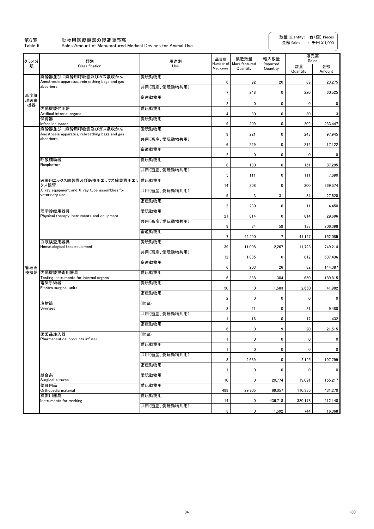#### 第6表 動物用医療機器の製造販売高

Table 6 Sales Amount of Manufactured Medical Devices for Animal Use

| クラス分             | 類別                                                                                       | 用途別                    | 品目数                     | 製造数量                     | 輸入数量                 | 販売高<br>Sales   |              |
|------------------|------------------------------------------------------------------------------------------|------------------------|-------------------------|--------------------------|----------------------|----------------|--------------|
| 類                | Classification                                                                           | Use                    | Number of<br>Medicines  | Manufactured<br>Quantity | Imported<br>Quantity | 数量<br>Quantity | 金額<br>Amount |
|                  | 麻酔器並びに麻酔用呼吸囊及びガス吸収かん<br>Anesthesia apparatus, rebreathing bags and gas                   | 愛玩動物用                  | 6                       | 92                       | 20                   | 89             | 23,275       |
|                  | absorbers                                                                                | 共用(畜産、愛玩動物共用)          | $\overline{7}$          | 248                      | 0                    | 220            | 60,525       |
| 高度管<br>理医療<br>機器 |                                                                                          | 畜産動物用                  | $\overline{\mathbf{2}}$ | 0                        | 0                    | $\mathbf 0$    | 0            |
|                  | 内臓機能代用器<br>Artifical internal organs                                                     | 愛玩動物用                  | 4                       | 30                       | 0                    | 30             | 3            |
|                  | 保育器<br>infant incubator                                                                  | 愛玩動物用                  | 9                       | 209                      | 0                    | 209            | 233,447      |
|                  | 麻酔器並びに麻酔用呼吸囊及びガス吸収かん<br>Anesthesia apparatus, rebreathing bags and gas                   | 愛玩動物用                  | 9                       | 221                      | 0                    | 248            | 97,945       |
|                  | absorbers                                                                                | 共用(畜産、愛玩動物共用)          | 6                       | 229                      | 0                    | 214            | 17,122       |
|                  |                                                                                          | 畜産動物用                  | $\overline{\mathbf{2}}$ | 0                        | 0                    | 0              | 0            |
|                  | 呼吸補助器<br>Respirators                                                                     | 愛玩動物用                  | 8                       | 180                      | 0                    | 151            | 87,295       |
|                  |                                                                                          | 共用(畜産、愛玩動物共用)          | 5                       | 111                      | 0                    | 111            | 7,690        |
|                  | 医療用エックス線装置及び医療用エックス線装置用エッ」愛玩動物用<br>クス線管<br>X-ray equipment and X-ray tube assemblies for |                        | 14                      | 208                      | 0                    | 200            | 269,574      |
|                  | veterinary use                                                                           | 共用(畜産、愛玩動物共用)<br>畜産動物用 | 5                       | 3                        | 31                   | 34             | 27,620       |
|                  | 理学診療用器具                                                                                  | 愛玩動物用                  | $\overline{\mathbf{2}}$ | 230                      | 0                    | 11             | 4,450        |
|                  | Physical therapy instruments and equipment                                               | 共用(畜産、愛玩動物共用)          | 21                      | 814                      | 0                    | 814            | 29.696       |
|                  |                                                                                          | 畜産動物用                  | 9                       | 84                       | 59                   | 133            | 206,398      |
|                  | 血液検査用器具                                                                                  | 愛玩動物用                  | 7                       | 42,490                   | 7                    | 41,147         | 152,085      |
|                  | Hematological test equipment                                                             | 共用(畜産、愛玩動物共用)          | 39                      | 11,008                   | 2,267                | 11,723         | 749,214      |
|                  |                                                                                          | 畜産動物用                  | 12                      | 1,885                    | 0                    | 812            | 637,436      |
| 管理医              | 療機器 内臓機能検査用器具                                                                            | 愛玩動物用                  | 6                       | 203                      | 26                   | 82             | 144,387      |
|                  | Testing instruments for internal organs<br>電気手術器                                         | 愛玩動物用                  | $\boldsymbol{6}$        | 338                      | 304                  | 650            | 189,815      |
|                  | Electro surgical units                                                                   | 畜産動物用                  | 50                      | 0                        | 1,583                | 2,660          | 41,982       |
|                  | 注射筒                                                                                      | (空白)                   | $\overline{2}$          | 0                        | 0                    | $\mathbf 0$    | 0            |
|                  | Syringes                                                                                 | 共用(畜産、愛玩動物共用)          | 3                       | 21                       | 0                    | 21             | 9,480        |
|                  |                                                                                          | 畜産動物用                  | 1                       | 16                       | 0                    | 17             | 432          |
|                  | 医薬品注入器<br>Pharmaceutical products infuser                                                | 空白)                    | 6<br>1                  | 0<br>$\pmb{0}$           | 19<br>0              | 20<br>0        | 21,515<br>0  |
|                  |                                                                                          | 愛玩動物用                  | $\mathbf{1}$            | 0                        | 0                    | 0              | 0            |
|                  |                                                                                          | 共用(畜産、愛玩動物共用)          | 3                       | 2,689                    | 0                    | 2,195          | 197,799      |
|                  |                                                                                          | 畜産動物用                  | 1                       | 0                        | 0                    | 0              | 0            |
|                  | 縫合糸<br>Surgical sutures                                                                  | 愛玩動物用                  | 10                      | 0                        | 20,774               | 19,091         | 155,217      |
|                  | 整形用品<br>Orthopedic material                                                              | 愛玩動物用                  | 499                     | 29,705                   | 69,057               | 110,385        | 431,270      |
|                  | 標識用器具<br>Instruments for marking                                                         | 愛玩動物用                  | 14                      | 0                        | 436,718              | 320,178        | 212,140      |
|                  |                                                                                          | 共用(畜産、愛玩動物共用)          | 3                       | 0                        | 1,592                | 744            | 16,368       |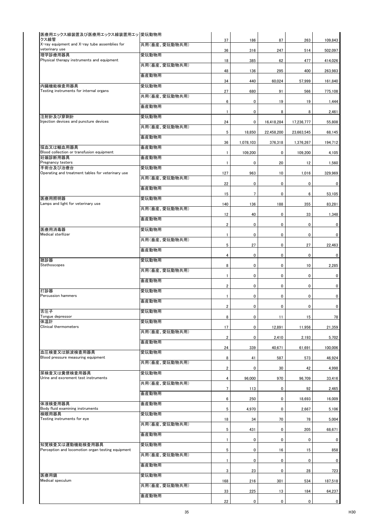| 医療用エックス線装置及び医療用エックス線装置用エッ  愛玩動物用<br>クス線管                        |               |                         |                |             |             |             |
|-----------------------------------------------------------------|---------------|-------------------------|----------------|-------------|-------------|-------------|
| X-ray equipment and X-ray tube assemblies for<br>veterinary use | 共用(畜産、愛玩動物共用) | 37                      | 186            | 87          | 263         | 109,843     |
| 理学診療用器具                                                         | 愛玩動物用         | 36                      | 316            | 247         | 514         | 502,097     |
| Physical therapy instruments and equipment                      | 共用(畜産、愛玩動物共用) | 18                      | 385            | 62          | 477         | 414,026     |
|                                                                 | 畜産動物用         | 48                      | 136            | 295         | 400         | 263,983     |
| 内臓機能検査用器具                                                       | 愛玩動物用         | 34                      | 440            | 60,024      | 57,999      | 161,840     |
| Testing instruments for internal organs                         | 共用(畜産、愛玩動物共用) | 27                      | 680            | 91          | 566         | 775,108     |
|                                                                 | 畜産動物用         | 6                       | 0              | 19          | 19          | 1,444       |
| 注射針及び穿刺針                                                        | 愛玩動物用         | 1                       | 0              | 8           | 8           | 2,461       |
| Injection devices and puncture devices                          | 共用(畜産、愛玩動物共用) | 24                      | 0              | 16,418,284  | 17,236,777  | 55,808      |
|                                                                 | 畜産動物用         | 5                       | 18,850         | 22,458,200  | 23,663,545  | 68,145      |
| 採血又は輸血用器具                                                       | 畜産動物用         | 36                      | 1,078,103      | 376,318     | 1,376,267   | 194,712     |
| Blood collection or transfusion equipment<br>妊娠診断用器具            | 畜産動物用         | 1                       | 109,200        | 0           | 109,200     | 4,105       |
| Pregnancy testers<br>手術台及び治療台                                   | 愛玩動物用         | $\mathbf{1}$            | 0              | 20          | 12          | 1,560       |
| Operating and treatment tables for veterinary use               | 共用(畜産、愛玩動物共用) | 127                     | 963            | 10          | 1,016       | 329,969     |
|                                                                 | 畜産動物用         | 22                      | 0              | 0           | 0           | 0           |
| 医療用照明器                                                          | 愛玩動物用         | 15                      | $\overline{7}$ | 0           | 6           | 53,105      |
| Lamps and light for veterinary use                              | 共用(畜産、愛玩動物共用) | 140                     | 136            | 188         | 355         | 83,281      |
|                                                                 | 畜産動物用         | 12                      | 40             | $\pmb{0}$   | 33          | 1,348       |
| 医療用消毒器                                                          | 愛玩動物用         | $\overline{\mathbf{c}}$ | 0              | $\pmb{0}$   | 0           | 0           |
| Medical sterllizer                                              | 共用(畜産、愛玩動物共用) | $\mathbf{1}$            | 0              | $\pmb{0}$   | 0           | 0           |
|                                                                 | 畜産動物用         | 5                       | 27             | $\mathbf 0$ | 27          | 22,463      |
| 聴診器                                                             | 愛玩動物用         | 4                       | 0              | 0           | 0           | 0           |
| Stethoscopes                                                    |               | 8                       | $\mathbf 0$    | $\pmb{0}$   | 10          | 2,285       |
|                                                                 | 共用(畜産、愛玩動物共用) | 1                       | 0              | 0           | 0           | 0           |
|                                                                 | 畜産動物用         | $\overline{\mathbf{2}}$ | 0              | 0           | 0           | 0           |
| 打診器<br><b>Percussion hammers</b>                                | 愛玩動物用         | $\mathbf{1}$            | 0              | 0           | 0           | 0           |
|                                                                 | 畜産動物用         | $\overline{\mathbf{c}}$ | 0              | 0           | 0           | 0           |
| 舌圧子<br>Tongue depressor                                         | 愛玩動物用         | 8                       | 0              | 11          | 15          | 78          |
| 体温計<br>Clinical thermometers                                    | 愛玩動物用         | 17                      | 0              | 12,891      | 11,956      | 21,359      |
|                                                                 | 共用(畜産、愛玩動物共用) | $\boldsymbol{2}$        | 0              | 2,410       | 2,193       | 5,702       |
|                                                                 | 畜産動物用         | 24                      | 339            | 40,671      | 61,691      | 100,006     |
| 血圧検査又は脈波検査用器具<br>Blood pressure measuring equipment             | 愛玩動物用         | 8                       | 41             | 587         | 573         | 46,924      |
|                                                                 | 共用(畜産、愛玩動物共用) | $\overline{\mathbf{2}}$ | 0              | 30          | 42          | 4,998       |
| 尿検査又は糞便検査用器具<br>Urine and excrement test instruments            | 愛玩動物用         | 4                       | 96,000         | 970         | 96,709      | 33,416      |
|                                                                 | 共用(畜産、愛玩動物共用) | $\overline{7}$          | 113            | $\pmb{0}$   | 92          | 2,465       |
|                                                                 | 畜産動物用         | 6                       | 250            | 0           | 18,693      | 16,009      |
| 体液検査用器具<br>Body fluid examining instruments                     | 畜産動物用         | 5                       | 4,970          | 0           | 2,667       | 5,106       |
| 検眼用器具<br>Testing instruments for eye                            | 愛玩動物用         | 18                      | 34             | 70          | 78          | 5,004       |
|                                                                 | 共用(畜産、愛玩動物共用) | 5                       |                |             |             |             |
|                                                                 | 畜産動物用         |                         | 431            | 0           | 205         | 68,671      |
| 知覚検査又は運動機能検査用器具                                                 | 愛玩動物用         | 1                       | 0              | 0           | 0           | $\mathbf 0$ |
| Perception and locomotion organ testing equipment               | 共用(畜産、愛玩動物共用) | 5                       | 0              | 16          | 15          | 858         |
|                                                                 | 畜産動物用         | $\mathbf{1}$            | 0              | 0           | 0           | 0           |
| 医療用鏡                                                            | 愛玩動物用         | 3                       | 23             | 0           | 28          | 723         |
| Medical speculum                                                | 共用(畜産、愛玩動物共用) | 168                     | 216            | 301         | 534         | 187,518     |
|                                                                 | 畜産動物用         | 33                      | 225            | 13          | 184         | 64,237      |
|                                                                 |               | 22                      | $\mathbf 0$    | $\pmb{0}$   | $\mathbf 0$ | $\mathbf 0$ |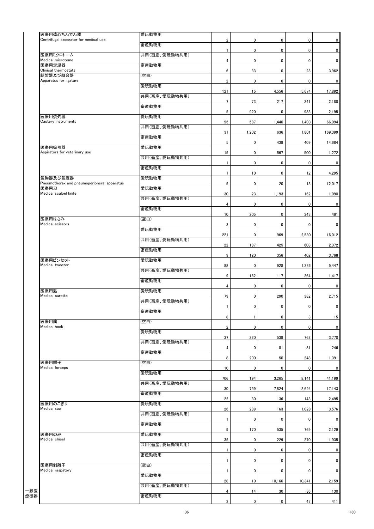| 医療用遠心ちんでん器                                          | 愛玩動物用         |                         |              |             |             |             |
|-----------------------------------------------------|---------------|-------------------------|--------------|-------------|-------------|-------------|
| Centrifugal separator for medical use               |               | $\overline{2}$          | 0            | 0           | $\mathbf 0$ | $\mathbf 0$ |
|                                                     | 畜産動物用         | $\mathbf{1}$            | 0            | 0           | 0           | 0           |
| 医療用ミクロトーム<br>Medical microtome                      | 共用(畜産、愛玩動物共用) | 4                       | $\pmb{0}$    | $\pmb{0}$   | $\mathbf 0$ | $\mathbf 0$ |
| 医療用定温器<br>Clinical thermostats                      | 畜産動物用         | 6                       |              | 0           |             |             |
| 結紮器及び縫合器                                            | (空白)          |                         | 33           |             | 28          | 3,962       |
| Apparatus for ligature                              | 愛玩動物用         | $\overline{\mathbf{2}}$ | 0            | 0           | 0           | $\mathbf 0$ |
|                                                     | 共用(畜産、愛玩動物共用) | 121                     | 15           | 4,556       | 5,674       | 17,892      |
|                                                     | 畜産動物用         | $\overline{7}$          | 73           | 217         | 241         | 2,188       |
| 医療用焼灼器                                              | 愛玩動物用         | 5                       | 920          | 0           | 983         | 2,195       |
| Cautery instruments                                 |               | 95                      | 587          | 1,440       | 1,403       | 66,094      |
|                                                     | 共用(畜産、愛玩動物共用) | 31                      | 1,202        | 636         | 1,801       | 169,399     |
|                                                     | 畜産動物用         | 5                       | 0            | 439         | 409         | 14,684      |
| 医療用吸引器<br>Aspirators for veterinary use             | 愛玩動物用         | 15                      | 0            | 567         | 500         | 1,272       |
|                                                     | 共用(畜産、愛玩動物共用) | $\mathbf{1}$            | 0            | 0           | 0           | 0           |
|                                                     | 畜産動物用         |                         |              |             |             |             |
| 気胸器及び気腹器                                            | 愛玩動物用         | $\mathbf{1}$            | 10           | $\pmb{0}$   | 12          | 4,295       |
| Pneumothorax and pneumoperipheral apparatus<br>医療用刀 | 愛玩動物用         | 5                       | 0            | 20          | 13          | 12,017      |
| Medical scalpel knife                               | 共用(畜産、愛玩動物共用) | 30                      | 23           | 1,193       | 162         | 1,090       |
|                                                     | 畜産動物用         | 4                       | 0            | $\pmb{0}$   | $\pmb{0}$   | $\mathbf 0$ |
|                                                     |               | 10                      | 205          | 0           | 343         | 461         |
| 医療用はさみ<br>Medical scissors                          | (空白)          | 3                       | $\pmb{0}$    | 0           | 0           | 0           |
|                                                     | 愛玩動物用         | 221                     | 0            | 969         | 2,530       | 16,012      |
|                                                     | 共用(畜産、愛玩動物共用) | 22                      | 187          | 425         | 608         | 2,372       |
|                                                     | 畜産動物用         | 9                       |              |             |             |             |
| 医療用ピンセット                                            | 愛玩動物用         |                         | 120          | 356         | 402         | 3,768       |
| Medical tweezer                                     | 共用(畜産、愛玩動物共用) | 88                      | 0            | 928         | 1,336       | 5,447       |
|                                                     | 畜産動物用         | 9                       | 162          | 117         | 264         | 1,417       |
| 医療用匙                                                | 愛玩動物用         | 4                       | $\pmb{0}$    | $\pmb{0}$   | 0           | $\mathbf 0$ |
| Medical curette                                     | 共用(畜産、愛玩動物共用) | 79                      | 0            | 290         | 382         | 2,715       |
|                                                     |               | $\mathbf{1}$            | 0            | 0           | 0           | $\mathbf 0$ |
|                                                     | 畜産動物用         | 8                       | $\mathbf{1}$ | 0           | 3           | 15          |
| 医療用鈎<br>Medical hook                                | (空白)          | $\overline{2}$          | 0            | $\mathbf 0$ | $\mathbf 0$ | $\mathbf 0$ |
|                                                     | 愛玩動物用         | 37                      | 220          | 539         | 762         | 3,770       |
|                                                     | 共用(畜産、愛玩動物共用) | 4                       | $\mathbf 0$  | 81          | 81          | 246         |
|                                                     | 畜産動物用         |                         |              |             |             |             |
| 医療用鉗子                                               | (空白)          | 8                       | 200          | 50          | 248         | 1,391       |
| Medical forceps                                     | 愛玩動物用         | 10                      | 0            | $\pmb{0}$   | $\mathbf 0$ | $\mathbf 0$ |
|                                                     | 共用(畜産、愛玩動物共用) | 706                     | 194          | 3,265       | 8,141       | 41,199      |
|                                                     | 畜産動物用         | 30                      | 759          | 7,824       | 2,694       | 17,143      |
|                                                     |               | 22                      | 30           | 136         | 143         | 2,495       |
| 医療用のこぎり<br>Medical saw                              | 愛玩動物用         | 26                      | 289          | 163         | 1,028       | 3,576       |
|                                                     | 共用(畜産、愛玩動物共用) | $\mathbf{1}$            | 0            | $\pmb{0}$   | 0           | $\mathbf 0$ |
|                                                     | 畜産動物用         | 9                       | 170          | 535         | 769         | 2,129       |
| 医療用のみ<br>Medical chisel                             | 愛玩動物用         | 35                      | 0            | 229         | 270         | 1,935       |
|                                                     | 共用(畜産、愛玩動物共用) |                         |              |             |             |             |
|                                                     | 畜産動物用         | $\mathbf{1}$            | 0            | $\mathbf 0$ | $\mathbf 0$ | $\mathbf 0$ |
| 医療用剥離子                                              | (空白)          | $\mathbf{1}$            | 0            | $\mathbf 0$ | $\mathbf 0$ | $\mathbf 0$ |
| Medical raspatory                                   | 愛玩動物用         | $\mathbf{1}$            | 0            | 0           | 0           | $\mathbf 0$ |
|                                                     | 共用(畜産、愛玩動物共用) | 28                      | 10           | 10,160      | 10,341      | 2,159       |
|                                                     |               | 4                       | 14           | 30          | 36          | 130         |
|                                                     | 畜産動物用         | 3                       | $\mathbf 0$  | $\mathbf 0$ | 47          | 411         |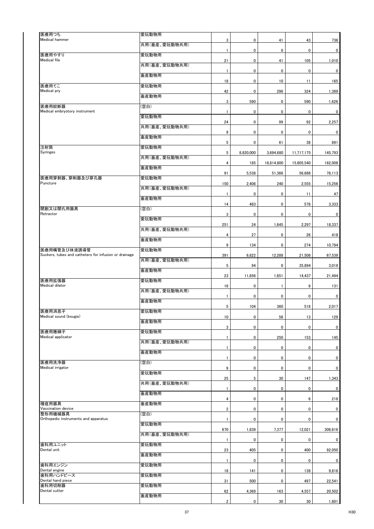| 医療用つち<br>Medical hammer                                               | 愛玩動物用         |                         |           |              |             |             |
|-----------------------------------------------------------------------|---------------|-------------------------|-----------|--------------|-------------|-------------|
|                                                                       | 共用(畜産、愛玩動物共用) | 3                       | 0         | 41           | 43          | 736         |
| 医療用やすり                                                                | 愛玩動物用         | 1                       | 0         | $\pmb{0}$    | 0           | 0           |
| Medical file<br>医療用てこ<br>Medical pry                                  | 共用(畜産、愛玩動物共用) | 21                      | 0         | 41           | 105         | 1,010       |
|                                                                       | 畜産動物用         | $\mathbf{1}$            | 0         | $\pmb{0}$    | 0           | $\mathbf 0$ |
|                                                                       | 愛玩動物用         | 18                      | 0         | 10           | 11          | 165         |
|                                                                       | 畜産動物用         | 42                      | 0         | 296          | 324         | 1,389       |
| 医療用絞断器                                                                | 【空白】          | 3                       | 590       | $\pmb{0}$    | 590         | 1,626       |
| Medical embryotory instrument                                         | 愛玩動物用         | $\mathbf{1}$            | 0         | $\pmb{0}$    | 0           | 0           |
|                                                                       | 共用(畜産、愛玩動物共用) | 24                      | 0         | 99           | 92          | 2,257       |
|                                                                       | 畜産動物用         | 9                       | 0         | $\pmb{0}$    | 0           | 0           |
| 注射筒                                                                   | 愛玩動物用         | 5                       | 0         | 61           | 38          | 891         |
| Syringes                                                              | 共用(畜産、愛玩動物共用) | 5                       | 8,820,000 | 3,694,680    | 11,717,175  | 145,793     |
|                                                                       | 畜産動物用         | 4                       | 185       | 16,814,800   | 15,805,540  | 182,008     |
| 医療用穿刺器、穿削器及び穿孔器<br>Puncture                                           | 愛玩動物用         | 91                      | 5,538     | 51,366       | 56,686      | 78,113      |
|                                                                       | 共用(畜産、愛玩動物共用) | 150                     | 2,406     | 240          | 2,555       | 15,256      |
|                                                                       | 畜産動物用         | $\mathbf{1}$            | 0         | $\pmb{0}$    | 11          | 47          |
|                                                                       |               | 14                      | 483       | 0            | 578         | 3,333       |
| 開創又は開孔用器具<br>Retractor                                                | (空白)          | 3                       | 0         | 0            | 0           | 0           |
|                                                                       | 愛玩動物用         | 251                     | 24        | 1,645        | 2,297       | 18,337      |
|                                                                       | 共用(畜産、愛玩動物共用) | $\pmb{4}$               | 27        | $\pmb{0}$    | 26          | 418         |
|                                                                       | 畜産動物用         | 9                       | 134       | 0            | 274         | 10,794      |
| 医療用嘴管及び体液誘導管<br>Suckers, tubes and catheters for infusion or drainage | 愛玩動物用         | 391                     | 6,822     | 12,288       | 21,508      | 67,539      |
|                                                                       | 共用(畜産、愛玩動物共用) | 5                       | 94        | 0            | 35,894      | 3,019       |
|                                                                       | 畜産動物用         | 23                      | 11,856    | 1,651        | 14,437      | 21,494      |
| 医療用拡張器<br>Medical dilator                                             | 愛玩動物用         | 16                      | 0         | $\mathbf{1}$ | 8           | 131         |
|                                                                       | 共用(畜産、愛玩動物共用) | $\mathbf{1}$            | 0         | $\pmb{0}$    | 0           | 0           |
|                                                                       | 畜産動物用         | 5                       | 104       | 360          | 518         | 2,017       |
| 医療用消息子<br>Medical sound (bougie)                                      | 愛玩動物用         | $10$                    | 0         | 56           | 13          | 129         |
|                                                                       | 畜産動物用         | 3                       | 0         | $\pmb{0}$    | $\mathbf 0$ | $\mathbf 0$ |
| 医療用捲綿子<br>Medical applicator                                          | 愛玩動物用         | $\mathbf{1}$            | 0         | 250          | 153         | 145         |
|                                                                       | 共用(畜産、愛玩動物共用) | $\mathbf{1}$            |           |              | $\mathbf 0$ | $\mathbf 0$ |
|                                                                       | 畜産動物用         |                         | 0         | 0            |             |             |
| 医療用洗浄器                                                                | 【空白】          | $\mathbf{1}$            | 0         | $\pmb{0}$    | 0           | 0           |
| Medical irrigator                                                     | 愛玩動物用         | 9                       | 0         | $\pmb{0}$    | 0           | 0           |
|                                                                       | 共用(畜産、愛玩動物共用) | 25                      | 5         | 30           | 147         | 1,343       |
|                                                                       | 畜産動物用         | $\mathbf{1}$            | 0         | 0            | $\mathbf 0$ | $\mathbf 0$ |
| 種痘用器具                                                                 | 畜産動物用         | 4                       | 0         | $\pmb{0}$    | 6           | 218         |
| Vaccination device<br>整形用機械器具                                         | (空白)          | $\overline{\mathbf{2}}$ | 0         | $\pmb{0}$    | 0           | 0           |
| Orthopedic instruments and apparatus                                  | 愛玩動物用         | $\mathbf{1}$            | 0         | 0            | $\mathbf 0$ | 0           |
|                                                                       | 共用(畜産、愛玩動物共用) | 670                     | 1,839     | 7,377        | 12,021      | 306,616     |
| 歯科用ユニット                                                               | 愛玩動物用         | 1                       | 0         | 0            | 0           | 0           |
| Dental unit                                                           | 畜産動物用         | 23                      | 405       | 0            | 400         | 92,050      |
| 歯科用エンジン                                                               | 愛玩動物用         | $\mathbf{1}$            | 0         | 0            | $\mathbf 0$ | 0           |
| Dental engine<br>歯科用ハンドピース                                            | 愛玩動物用         | 18                      | 141       | $\pmb{0}$    | 139         | 9,816       |
| Dental hand piece<br>歯科用切削器                                           | 愛玩動物用         | 31                      | 500       | $\pmb{0}$    | 497         | 22,541      |
| Dental cutter                                                         |               | 62                      | 4,369     | 163          | 4,557       | 20,502      |
|                                                                       | 畜産動物用         | $\overline{2}$          | 0         | 30           | 30          | 1,801       |